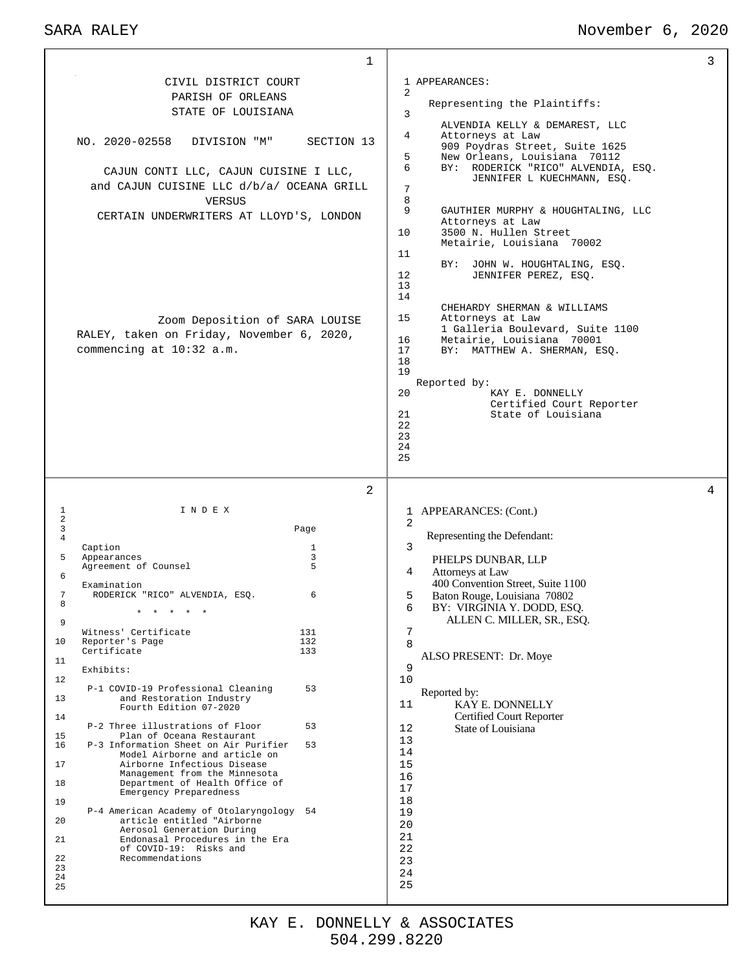#### SARA RALEY November 6, 2020

| 400 Convention Street, Suite 1100<br>Examination<br>7<br>RODERICK "RICO" ALVENDIA, ESQ.<br>6<br>5<br>Baton Rouge, Louisiana 70802<br>8<br>6<br>BY: VIRGINIA Y. DODD, ESQ.<br>ALLEN C. MILLER, SR., ESQ.<br>9<br>7<br>Witness' Certificate<br>131<br>10<br>Reporter's Page<br>132<br>8<br>Certificate<br>133<br>ALSO PRESENT: Dr. Moye<br>11<br>9<br>Exhibits:<br>12.<br>10<br>P-1 COVID-19 Professional Cleaning<br>53<br>Reported by:<br>13<br>and Restoration Industry<br><b>KAY E. DONNELLY</b><br>11<br>Fourth Edition 07-2020<br>Certified Court Reporter<br>14<br>P-2 Three illustrations of Floor<br>53<br>State of Louisiana<br>12<br>Plan of Oceana Restaurant<br>15<br>13<br>P-3 Information Sheet on Air Purifier<br>53<br>16<br>14<br>Model Airborne and article on<br>Airborne Infectious Disease<br>15<br>17<br>Management from the Minnesota<br>16<br>Department of Health Office of<br>18<br>17<br>Emergency Preparedness<br>18<br>19<br>P-4 American Academy of Otolaryngology<br>54<br>19<br>article entitled "Airborne<br>20<br>20<br>Aerosol Generation During<br>21<br>21<br>Endonasal Procedures in the Era<br>22<br>of COVID-19: Risks and<br>Recommendations<br>22<br>23<br>23<br>24<br>24<br>25<br>25<br>KAY E. DONNELLY & ASSOCIATES<br>504.299.8220 |  |  |  |
|--------------------------------------------------------------------------------------------------------------------------------------------------------------------------------------------------------------------------------------------------------------------------------------------------------------------------------------------------------------------------------------------------------------------------------------------------------------------------------------------------------------------------------------------------------------------------------------------------------------------------------------------------------------------------------------------------------------------------------------------------------------------------------------------------------------------------------------------------------------------------------------------------------------------------------------------------------------------------------------------------------------------------------------------------------------------------------------------------------------------------------------------------------------------------------------------------------------------------------------------------------------------------------|--|--|--|
|                                                                                                                                                                                                                                                                                                                                                                                                                                                                                                                                                                                                                                                                                                                                                                                                                                                                                                                                                                                                                                                                                                                                                                                                                                                                                |  |  |  |
|                                                                                                                                                                                                                                                                                                                                                                                                                                                                                                                                                                                                                                                                                                                                                                                                                                                                                                                                                                                                                                                                                                                                                                                                                                                                                |  |  |  |
|                                                                                                                                                                                                                                                                                                                                                                                                                                                                                                                                                                                                                                                                                                                                                                                                                                                                                                                                                                                                                                                                                                                                                                                                                                                                                |  |  |  |
|                                                                                                                                                                                                                                                                                                                                                                                                                                                                                                                                                                                                                                                                                                                                                                                                                                                                                                                                                                                                                                                                                                                                                                                                                                                                                |  |  |  |
|                                                                                                                                                                                                                                                                                                                                                                                                                                                                                                                                                                                                                                                                                                                                                                                                                                                                                                                                                                                                                                                                                                                                                                                                                                                                                |  |  |  |
|                                                                                                                                                                                                                                                                                                                                                                                                                                                                                                                                                                                                                                                                                                                                                                                                                                                                                                                                                                                                                                                                                                                                                                                                                                                                                |  |  |  |
|                                                                                                                                                                                                                                                                                                                                                                                                                                                                                                                                                                                                                                                                                                                                                                                                                                                                                                                                                                                                                                                                                                                                                                                                                                                                                |  |  |  |
|                                                                                                                                                                                                                                                                                                                                                                                                                                                                                                                                                                                                                                                                                                                                                                                                                                                                                                                                                                                                                                                                                                                                                                                                                                                                                |  |  |  |
|                                                                                                                                                                                                                                                                                                                                                                                                                                                                                                                                                                                                                                                                                                                                                                                                                                                                                                                                                                                                                                                                                                                                                                                                                                                                                |  |  |  |
|                                                                                                                                                                                                                                                                                                                                                                                                                                                                                                                                                                                                                                                                                                                                                                                                                                                                                                                                                                                                                                                                                                                                                                                                                                                                                |  |  |  |
|                                                                                                                                                                                                                                                                                                                                                                                                                                                                                                                                                                                                                                                                                                                                                                                                                                                                                                                                                                                                                                                                                                                                                                                                                                                                                |  |  |  |
|                                                                                                                                                                                                                                                                                                                                                                                                                                                                                                                                                                                                                                                                                                                                                                                                                                                                                                                                                                                                                                                                                                                                                                                                                                                                                |  |  |  |
|                                                                                                                                                                                                                                                                                                                                                                                                                                                                                                                                                                                                                                                                                                                                                                                                                                                                                                                                                                                                                                                                                                                                                                                                                                                                                |  |  |  |
|                                                                                                                                                                                                                                                                                                                                                                                                                                                                                                                                                                                                                                                                                                                                                                                                                                                                                                                                                                                                                                                                                                                                                                                                                                                                                |  |  |  |
|                                                                                                                                                                                                                                                                                                                                                                                                                                                                                                                                                                                                                                                                                                                                                                                                                                                                                                                                                                                                                                                                                                                                                                                                                                                                                |  |  |  |
|                                                                                                                                                                                                                                                                                                                                                                                                                                                                                                                                                                                                                                                                                                                                                                                                                                                                                                                                                                                                                                                                                                                                                                                                                                                                                |  |  |  |
|                                                                                                                                                                                                                                                                                                                                                                                                                                                                                                                                                                                                                                                                                                                                                                                                                                                                                                                                                                                                                                                                                                                                                                                                                                                                                |  |  |  |
|                                                                                                                                                                                                                                                                                                                                                                                                                                                                                                                                                                                                                                                                                                                                                                                                                                                                                                                                                                                                                                                                                                                                                                                                                                                                                |  |  |  |
|                                                                                                                                                                                                                                                                                                                                                                                                                                                                                                                                                                                                                                                                                                                                                                                                                                                                                                                                                                                                                                                                                                                                                                                                                                                                                |  |  |  |
|                                                                                                                                                                                                                                                                                                                                                                                                                                                                                                                                                                                                                                                                                                                                                                                                                                                                                                                                                                                                                                                                                                                                                                                                                                                                                |  |  |  |
|                                                                                                                                                                                                                                                                                                                                                                                                                                                                                                                                                                                                                                                                                                                                                                                                                                                                                                                                                                                                                                                                                                                                                                                                                                                                                |  |  |  |
|                                                                                                                                                                                                                                                                                                                                                                                                                                                                                                                                                                                                                                                                                                                                                                                                                                                                                                                                                                                                                                                                                                                                                                                                                                                                                |  |  |  |
|                                                                                                                                                                                                                                                                                                                                                                                                                                                                                                                                                                                                                                                                                                                                                                                                                                                                                                                                                                                                                                                                                                                                                                                                                                                                                |  |  |  |
|                                                                                                                                                                                                                                                                                                                                                                                                                                                                                                                                                                                                                                                                                                                                                                                                                                                                                                                                                                                                                                                                                                                                                                                                                                                                                |  |  |  |
|                                                                                                                                                                                                                                                                                                                                                                                                                                                                                                                                                                                                                                                                                                                                                                                                                                                                                                                                                                                                                                                                                                                                                                                                                                                                                |  |  |  |
|                                                                                                                                                                                                                                                                                                                                                                                                                                                                                                                                                                                                                                                                                                                                                                                                                                                                                                                                                                                                                                                                                                                                                                                                                                                                                |  |  |  |
|                                                                                                                                                                                                                                                                                                                                                                                                                                                                                                                                                                                                                                                                                                                                                                                                                                                                                                                                                                                                                                                                                                                                                                                                                                                                                |  |  |  |
|                                                                                                                                                                                                                                                                                                                                                                                                                                                                                                                                                                                                                                                                                                                                                                                                                                                                                                                                                                                                                                                                                                                                                                                                                                                                                |  |  |  |
|                                                                                                                                                                                                                                                                                                                                                                                                                                                                                                                                                                                                                                                                                                                                                                                                                                                                                                                                                                                                                                                                                                                                                                                                                                                                                |  |  |  |
|                                                                                                                                                                                                                                                                                                                                                                                                                                                                                                                                                                                                                                                                                                                                                                                                                                                                                                                                                                                                                                                                                                                                                                                                                                                                                |  |  |  |
|                                                                                                                                                                                                                                                                                                                                                                                                                                                                                                                                                                                                                                                                                                                                                                                                                                                                                                                                                                                                                                                                                                                                                                                                                                                                                |  |  |  |
|                                                                                                                                                                                                                                                                                                                                                                                                                                                                                                                                                                                                                                                                                                                                                                                                                                                                                                                                                                                                                                                                                                                                                                                                                                                                                |  |  |  |
|                                                                                                                                                                                                                                                                                                                                                                                                                                                                                                                                                                                                                                                                                                                                                                                                                                                                                                                                                                                                                                                                                                                                                                                                                                                                                |  |  |  |
|                                                                                                                                                                                                                                                                                                                                                                                                                                                                                                                                                                                                                                                                                                                                                                                                                                                                                                                                                                                                                                                                                                                                                                                                                                                                                |  |  |  |

 $\overline{2}$ 

1

1 APPEARANCES:

4 Attorneys at Law

Representing the Plaintiffs:

5 New Orleans, Louisiana 70112<br>6 BY: RODERICK "RICO" ALVENDIA

Metairie, Louisiana 70002

CHEHARDY SHERMAN & WILLIAMS

1 Galleria Boulevard, Suite 1100

Certified Court Reporter

BY: JOHN W. HOUGHTALING, ESQ.

 Attorneys at Law 10 3500 N. Hullen Street

12 JENNIFER PEREZ, ESQ.

16 Metairie, Louisiana 70001 17 BY: MATTHEW A. SHERMAN, ESQ.

20 KAY E. DONNELLY

21 State of Louisiana

15 Attorneys at Law

1 APPEARANCES: (Cont.)

Representing the Defendant:

PHELPS DUNBAR, LLP

Reported by:

ALVENDIA KELLY & DEMAREST, LLC

909 Poydras Street, Suite 1625

BY: RODERICK "RICO" ALVENDIA, ESQ. JENNIFER L KUECHMANN, ESQ.

9 GAUTHIER MURPHY & HOUGHTALING, LLC

 $\Omega$ 

3

7 8

11

13 14

18 19

> > 2

3

 CIVIL DISTRICT COURT PARISH OF ORLEANS STATE OF LOUISIANA

NO. 2020-02558 DIVISION "M" SECTION 13

 CAJUN CONTI LLC, CAJUN CUISINE I LLC, and CAJUN CUISINE LLC d/b/a/ OCEANA GRILL VERSUS CERTAIN UNDERWRITERS AT LLOYD'S, LONDON

RALEY, taken on Friday, November 6, 2020,

1 I N D E X

Caption 1<br>Appearances 3 5 Appearances 3<br>Agreement of Counsel 5

3 Page

Agreement of Counsel

commencing at 10:32 a.m.

Zoom Deposition of SARA LOUISE

 $\begin{array}{c} 1 \\ 2 \\ 3 \end{array}$ 

4

3

4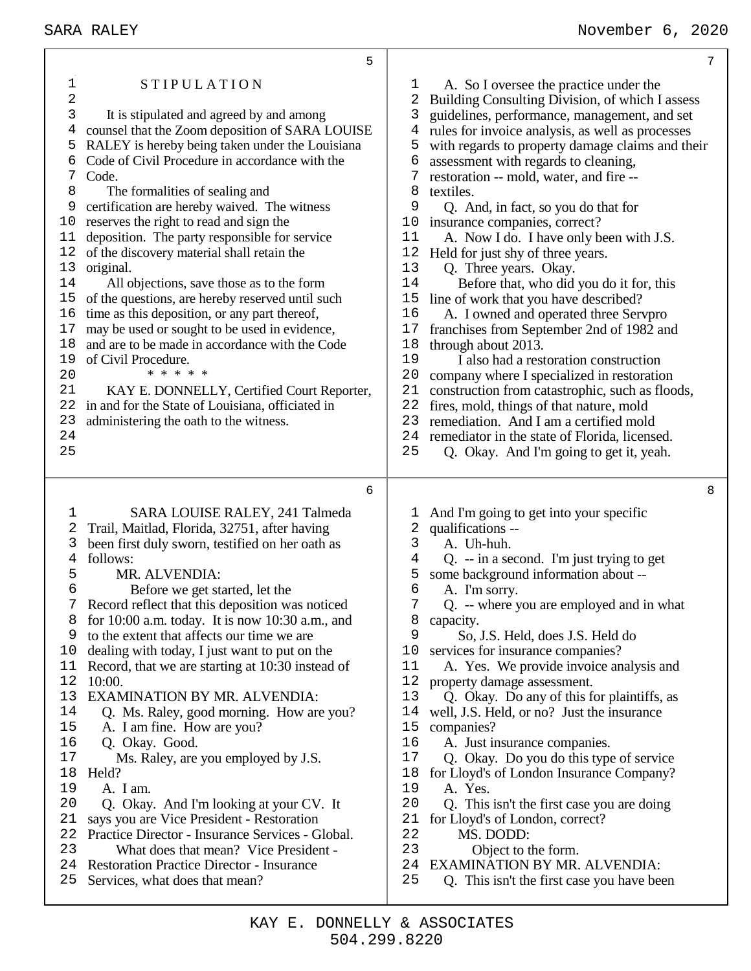| 5                                                                                                                                                                                                                                                                                                                                                                                                                                                                                                                                                                                                                                                                                                                                                                                                                                                                                                                                                                                                                                                                                                   | 7                                                                                                                                                                                                                                                                                                                                                                                                                                                                                                                                                                                                                                                                                                                                                                                                                                                                                                                                                                                                                                                                                                                                                                                                             |
|-----------------------------------------------------------------------------------------------------------------------------------------------------------------------------------------------------------------------------------------------------------------------------------------------------------------------------------------------------------------------------------------------------------------------------------------------------------------------------------------------------------------------------------------------------------------------------------------------------------------------------------------------------------------------------------------------------------------------------------------------------------------------------------------------------------------------------------------------------------------------------------------------------------------------------------------------------------------------------------------------------------------------------------------------------------------------------------------------------|---------------------------------------------------------------------------------------------------------------------------------------------------------------------------------------------------------------------------------------------------------------------------------------------------------------------------------------------------------------------------------------------------------------------------------------------------------------------------------------------------------------------------------------------------------------------------------------------------------------------------------------------------------------------------------------------------------------------------------------------------------------------------------------------------------------------------------------------------------------------------------------------------------------------------------------------------------------------------------------------------------------------------------------------------------------------------------------------------------------------------------------------------------------------------------------------------------------|
| $\mathbf 1$<br><b>STIPULATION</b><br>$\sqrt{2}$<br>3<br>It is stipulated and agreed by and among<br>counsel that the Zoom deposition of SARA LOUISE<br>4<br>RALEY is hereby being taken under the Louisiana<br>5<br>Code of Civil Procedure in accordance with the<br>6<br>7<br>Code.<br>8<br>The formalities of sealing and<br>certification are hereby waived. The witness<br>9<br>reserves the right to read and sign the<br>10<br>deposition. The party responsible for service<br>11<br>of the discovery material shall retain the<br>12<br>13<br>original.<br>14<br>All objections, save those as to the form<br>15<br>of the questions, are hereby reserved until such<br>time as this deposition, or any part thereof,<br>16<br>17<br>may be used or sought to be used in evidence,<br>and are to be made in accordance with the Code<br>18<br>19<br>of Civil Procedure.<br>* * * * *<br>20<br>21<br>KAY E. DONNELLY, Certified Court Reporter,<br>in and for the State of Louisiana, officiated in<br>22<br>23<br>administering the oath to the witness.<br>24<br>25                       | A. So I oversee the practice under the<br>ı<br>2<br>Building Consulting Division, of which I assess<br>3<br>guidelines, performance, management, and set<br>rules for invoice analysis, as well as processes<br>4<br>5<br>with regards to property damage claims and their<br>6<br>assessment with regards to cleaning,<br>7<br>restoration -- mold, water, and fire --<br>8<br>textiles.<br>9<br>Q. And, in fact, so you do that for<br>insurance companies, correct?<br>10<br>A. Now I do. I have only been with J.S.<br>11<br>12<br>Held for just shy of three years.<br>13<br>Q. Three years. Okay.<br>14<br>Before that, who did you do it for, this<br>15<br>line of work that you have described?<br>16<br>A. I owned and operated three Servpro<br>17<br>franchises from September 2nd of 1982 and<br>18<br>through about 2013.<br>19<br>I also had a restoration construction<br>20<br>company where I specialized in restoration<br>21<br>construction from catastrophic, such as floods,<br>22<br>fires, mold, things of that nature, mold<br>23<br>remediation. And I am a certified mold<br>24<br>remediator in the state of Florida, licensed.<br>25<br>Q. Okay. And I'm going to get it, yeah. |
| 6<br>SARA LOUISE RALEY, 241 Talmeda<br>1<br>2<br>Trail, Maitlad, Florida, 32751, after having<br>3<br>been first duly sworn, testified on her oath as<br>4<br>follows:<br>5<br>MR. ALVENDIA:<br>6<br>Before we get started, let the<br>Record reflect that this deposition was noticed<br>7<br>for $10:00$ a.m. today. It is now $10:30$ a.m., and<br>8<br>to the extent that affects our time we are<br>9<br>dealing with today, I just want to put on the<br>10<br>Record, that we are starting at 10:30 instead of<br>11<br>12<br>10:00.<br>13<br><b>EXAMINATION BY MR. ALVENDIA:</b><br>14<br>Q. Ms. Raley, good morning. How are you?<br>15<br>A. I am fine. How are you?<br>16<br>Q. Okay. Good.<br>17<br>Ms. Raley, are you employed by J.S.<br>18<br>Held?<br>19<br>A. I am.<br>20<br>Q. Okay. And I'm looking at your CV. It<br>21<br>says you are Vice President - Restoration<br>22<br>Practice Director - Insurance Services - Global.<br>23<br>What does that mean? Vice President -<br>24<br><b>Restoration Practice Director - Insurance</b><br>25<br>Services, what does that mean? | 8<br>And I'm going to get into your specific<br>1<br>qualifications --<br>2<br>3<br>A. Uh-huh.<br>Q. -- in a second. I'm just trying to get<br>4<br>some background information about --<br>5<br>6<br>A. I'm sorry.<br>7<br>Q. -- where you are employed and in what<br>8<br>capacity.<br>9<br>So, J.S. Held, does J.S. Held do<br>10<br>services for insurance companies?<br>11<br>A. Yes. We provide invoice analysis and<br>12<br>property damage assessment.<br>13<br>Q. Okay. Do any of this for plaintiffs, as<br>14<br>well, J.S. Held, or no? Just the insurance<br>15<br>companies?<br>16<br>A. Just insurance companies.<br>17<br>Q. Okay. Do you do this type of service<br>18<br>for Lloyd's of London Insurance Company?<br>19<br>A. Yes.<br>20<br>Q. This isn't the first case you are doing<br>21<br>for Lloyd's of London, correct?<br>22<br>MS. DODD:<br>23<br>Object to the form.<br><b>EXAMINATION BY MR. ALVENDIA:</b><br>24<br>25<br>Q. This isn't the first case you have been                                                                                                                                                                                                          |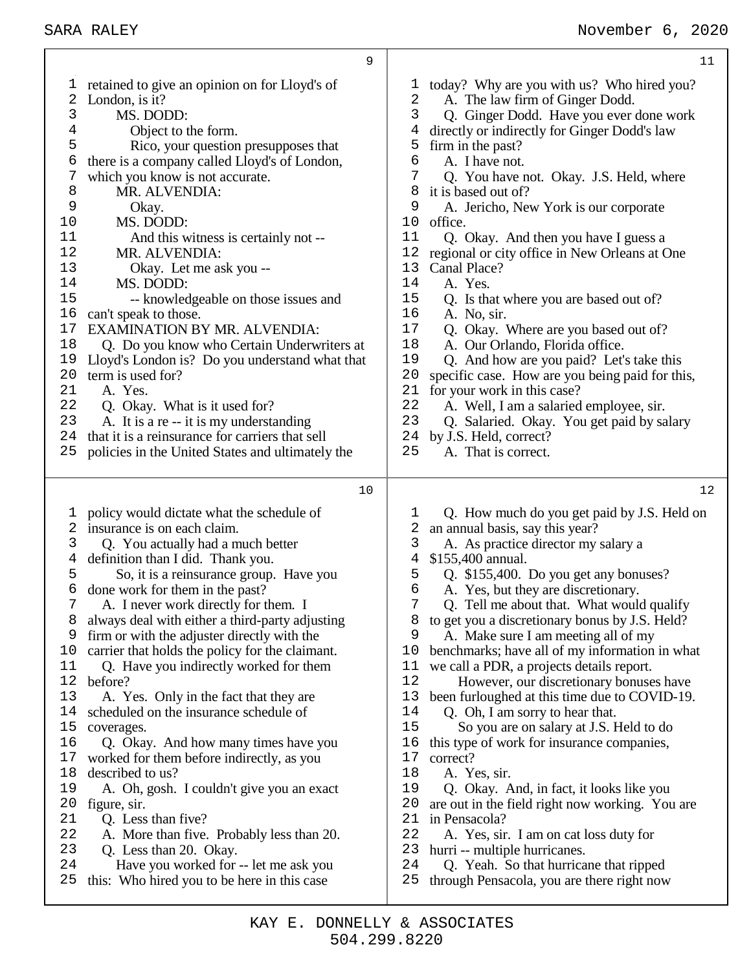|                                                                                         | 9                                                                                                                                                                                                                                                                                                                                                                                                                                                                                                                                                                                                                                                                                                             | 11                                                                                                                                                                                                                                                                                                                                                                                                                                                                                                                                                                                                                                                                                                                                                                                                                                                                 |
|-----------------------------------------------------------------------------------------|---------------------------------------------------------------------------------------------------------------------------------------------------------------------------------------------------------------------------------------------------------------------------------------------------------------------------------------------------------------------------------------------------------------------------------------------------------------------------------------------------------------------------------------------------------------------------------------------------------------------------------------------------------------------------------------------------------------|--------------------------------------------------------------------------------------------------------------------------------------------------------------------------------------------------------------------------------------------------------------------------------------------------------------------------------------------------------------------------------------------------------------------------------------------------------------------------------------------------------------------------------------------------------------------------------------------------------------------------------------------------------------------------------------------------------------------------------------------------------------------------------------------------------------------------------------------------------------------|
| 1                                                                                       | retained to give an opinion on for Lloyd's of                                                                                                                                                                                                                                                                                                                                                                                                                                                                                                                                                                                                                                                                 | today? Why are you with us? Who hired you?<br>ı                                                                                                                                                                                                                                                                                                                                                                                                                                                                                                                                                                                                                                                                                                                                                                                                                    |
| 2                                                                                       | London, is it?                                                                                                                                                                                                                                                                                                                                                                                                                                                                                                                                                                                                                                                                                                | 2<br>A. The law firm of Ginger Dodd.                                                                                                                                                                                                                                                                                                                                                                                                                                                                                                                                                                                                                                                                                                                                                                                                                               |
| 3                                                                                       | MS. DODD:                                                                                                                                                                                                                                                                                                                                                                                                                                                                                                                                                                                                                                                                                                     | $\mathsf{3}$<br>Q. Ginger Dodd. Have you ever done work                                                                                                                                                                                                                                                                                                                                                                                                                                                                                                                                                                                                                                                                                                                                                                                                            |
| 4                                                                                       | Object to the form.                                                                                                                                                                                                                                                                                                                                                                                                                                                                                                                                                                                                                                                                                           | 4<br>directly or indirectly for Ginger Dodd's law                                                                                                                                                                                                                                                                                                                                                                                                                                                                                                                                                                                                                                                                                                                                                                                                                  |
| 5                                                                                       | Rico, your question presupposes that                                                                                                                                                                                                                                                                                                                                                                                                                                                                                                                                                                                                                                                                          | 5<br>firm in the past?                                                                                                                                                                                                                                                                                                                                                                                                                                                                                                                                                                                                                                                                                                                                                                                                                                             |
| 6                                                                                       | there is a company called Lloyd's of London,                                                                                                                                                                                                                                                                                                                                                                                                                                                                                                                                                                                                                                                                  | 6<br>A. I have not.                                                                                                                                                                                                                                                                                                                                                                                                                                                                                                                                                                                                                                                                                                                                                                                                                                                |
| 7                                                                                       | which you know is not accurate.                                                                                                                                                                                                                                                                                                                                                                                                                                                                                                                                                                                                                                                                               | 7<br>Q. You have not. Okay. J.S. Held, where                                                                                                                                                                                                                                                                                                                                                                                                                                                                                                                                                                                                                                                                                                                                                                                                                       |
| 8                                                                                       | MR. ALVENDIA:                                                                                                                                                                                                                                                                                                                                                                                                                                                                                                                                                                                                                                                                                                 | 8<br>it is based out of?                                                                                                                                                                                                                                                                                                                                                                                                                                                                                                                                                                                                                                                                                                                                                                                                                                           |
| 9                                                                                       | Okay.                                                                                                                                                                                                                                                                                                                                                                                                                                                                                                                                                                                                                                                                                                         | 9<br>A. Jericho, New York is our corporate                                                                                                                                                                                                                                                                                                                                                                                                                                                                                                                                                                                                                                                                                                                                                                                                                         |
| 10                                                                                      | MS. DODD:                                                                                                                                                                                                                                                                                                                                                                                                                                                                                                                                                                                                                                                                                                     | 10<br>office.                                                                                                                                                                                                                                                                                                                                                                                                                                                                                                                                                                                                                                                                                                                                                                                                                                                      |
| 11<br>12                                                                                | And this witness is certainly not --                                                                                                                                                                                                                                                                                                                                                                                                                                                                                                                                                                                                                                                                          | 11<br>Q. Okay. And then you have I guess a<br>12                                                                                                                                                                                                                                                                                                                                                                                                                                                                                                                                                                                                                                                                                                                                                                                                                   |
| 13                                                                                      | MR. ALVENDIA:                                                                                                                                                                                                                                                                                                                                                                                                                                                                                                                                                                                                                                                                                                 | regional or city office in New Orleans at One<br>13<br>Canal Place?                                                                                                                                                                                                                                                                                                                                                                                                                                                                                                                                                                                                                                                                                                                                                                                                |
| 14                                                                                      | Okay. Let me ask you --<br>MS. DODD:                                                                                                                                                                                                                                                                                                                                                                                                                                                                                                                                                                                                                                                                          | 14<br>A. Yes.                                                                                                                                                                                                                                                                                                                                                                                                                                                                                                                                                                                                                                                                                                                                                                                                                                                      |
| 15                                                                                      | -- knowledgeable on those issues and                                                                                                                                                                                                                                                                                                                                                                                                                                                                                                                                                                                                                                                                          | 15<br>Q. Is that where you are based out of?                                                                                                                                                                                                                                                                                                                                                                                                                                                                                                                                                                                                                                                                                                                                                                                                                       |
| 16                                                                                      | can't speak to those.                                                                                                                                                                                                                                                                                                                                                                                                                                                                                                                                                                                                                                                                                         | 16<br>A. No, sir.                                                                                                                                                                                                                                                                                                                                                                                                                                                                                                                                                                                                                                                                                                                                                                                                                                                  |
| 17                                                                                      | EXAMINATION BY MR. ALVENDIA:                                                                                                                                                                                                                                                                                                                                                                                                                                                                                                                                                                                                                                                                                  | 17<br>Q. Okay. Where are you based out of?                                                                                                                                                                                                                                                                                                                                                                                                                                                                                                                                                                                                                                                                                                                                                                                                                         |
| 18                                                                                      | Q. Do you know who Certain Underwriters at                                                                                                                                                                                                                                                                                                                                                                                                                                                                                                                                                                                                                                                                    | 18<br>A. Our Orlando, Florida office.                                                                                                                                                                                                                                                                                                                                                                                                                                                                                                                                                                                                                                                                                                                                                                                                                              |
| 19                                                                                      | Lloyd's London is? Do you understand what that                                                                                                                                                                                                                                                                                                                                                                                                                                                                                                                                                                                                                                                                | 19<br>Q. And how are you paid? Let's take this                                                                                                                                                                                                                                                                                                                                                                                                                                                                                                                                                                                                                                                                                                                                                                                                                     |
| 20                                                                                      | term is used for?                                                                                                                                                                                                                                                                                                                                                                                                                                                                                                                                                                                                                                                                                             | 20<br>specific case. How are you being paid for this,                                                                                                                                                                                                                                                                                                                                                                                                                                                                                                                                                                                                                                                                                                                                                                                                              |
| 21                                                                                      | A. Yes.                                                                                                                                                                                                                                                                                                                                                                                                                                                                                                                                                                                                                                                                                                       | 21<br>for your work in this case?                                                                                                                                                                                                                                                                                                                                                                                                                                                                                                                                                                                                                                                                                                                                                                                                                                  |
| 22                                                                                      | Q. Okay. What is it used for?                                                                                                                                                                                                                                                                                                                                                                                                                                                                                                                                                                                                                                                                                 | 22<br>A. Well, I am a salaried employee, sir.                                                                                                                                                                                                                                                                                                                                                                                                                                                                                                                                                                                                                                                                                                                                                                                                                      |
| 23                                                                                      | A. It is a re -- it is my understanding                                                                                                                                                                                                                                                                                                                                                                                                                                                                                                                                                                                                                                                                       | 23<br>Q. Salaried. Okay. You get paid by salary                                                                                                                                                                                                                                                                                                                                                                                                                                                                                                                                                                                                                                                                                                                                                                                                                    |
| 24                                                                                      | that it is a reinsurance for carriers that sell                                                                                                                                                                                                                                                                                                                                                                                                                                                                                                                                                                                                                                                               | by J.S. Held, correct?<br>24                                                                                                                                                                                                                                                                                                                                                                                                                                                                                                                                                                                                                                                                                                                                                                                                                                       |
| 25                                                                                      | policies in the United States and ultimately the                                                                                                                                                                                                                                                                                                                                                                                                                                                                                                                                                                                                                                                              | 25<br>A. That is correct.                                                                                                                                                                                                                                                                                                                                                                                                                                                                                                                                                                                                                                                                                                                                                                                                                                          |
|                                                                                         |                                                                                                                                                                                                                                                                                                                                                                                                                                                                                                                                                                                                                                                                                                               |                                                                                                                                                                                                                                                                                                                                                                                                                                                                                                                                                                                                                                                                                                                                                                                                                                                                    |
|                                                                                         |                                                                                                                                                                                                                                                                                                                                                                                                                                                                                                                                                                                                                                                                                                               |                                                                                                                                                                                                                                                                                                                                                                                                                                                                                                                                                                                                                                                                                                                                                                                                                                                                    |
|                                                                                         |                                                                                                                                                                                                                                                                                                                                                                                                                                                                                                                                                                                                                                                                                                               |                                                                                                                                                                                                                                                                                                                                                                                                                                                                                                                                                                                                                                                                                                                                                                                                                                                                    |
|                                                                                         |                                                                                                                                                                                                                                                                                                                                                                                                                                                                                                                                                                                                                                                                                                               |                                                                                                                                                                                                                                                                                                                                                                                                                                                                                                                                                                                                                                                                                                                                                                                                                                                                    |
|                                                                                         |                                                                                                                                                                                                                                                                                                                                                                                                                                                                                                                                                                                                                                                                                                               |                                                                                                                                                                                                                                                                                                                                                                                                                                                                                                                                                                                                                                                                                                                                                                                                                                                                    |
|                                                                                         |                                                                                                                                                                                                                                                                                                                                                                                                                                                                                                                                                                                                                                                                                                               |                                                                                                                                                                                                                                                                                                                                                                                                                                                                                                                                                                                                                                                                                                                                                                                                                                                                    |
| 6                                                                                       |                                                                                                                                                                                                                                                                                                                                                                                                                                                                                                                                                                                                                                                                                                               | 6                                                                                                                                                                                                                                                                                                                                                                                                                                                                                                                                                                                                                                                                                                                                                                                                                                                                  |
| 7                                                                                       |                                                                                                                                                                                                                                                                                                                                                                                                                                                                                                                                                                                                                                                                                                               | 7                                                                                                                                                                                                                                                                                                                                                                                                                                                                                                                                                                                                                                                                                                                                                                                                                                                                  |
| 8                                                                                       | always deal with either a third-party adjusting                                                                                                                                                                                                                                                                                                                                                                                                                                                                                                                                                                                                                                                               | to get you a discretionary bonus by J.S. Held?<br>8                                                                                                                                                                                                                                                                                                                                                                                                                                                                                                                                                                                                                                                                                                                                                                                                                |
| 9                                                                                       | firm or with the adjuster directly with the                                                                                                                                                                                                                                                                                                                                                                                                                                                                                                                                                                                                                                                                   | 9<br>A. Make sure I am meeting all of my                                                                                                                                                                                                                                                                                                                                                                                                                                                                                                                                                                                                                                                                                                                                                                                                                           |
|                                                                                         |                                                                                                                                                                                                                                                                                                                                                                                                                                                                                                                                                                                                                                                                                                               | 10                                                                                                                                                                                                                                                                                                                                                                                                                                                                                                                                                                                                                                                                                                                                                                                                                                                                 |
|                                                                                         |                                                                                                                                                                                                                                                                                                                                                                                                                                                                                                                                                                                                                                                                                                               |                                                                                                                                                                                                                                                                                                                                                                                                                                                                                                                                                                                                                                                                                                                                                                                                                                                                    |
|                                                                                         |                                                                                                                                                                                                                                                                                                                                                                                                                                                                                                                                                                                                                                                                                                               |                                                                                                                                                                                                                                                                                                                                                                                                                                                                                                                                                                                                                                                                                                                                                                                                                                                                    |
|                                                                                         |                                                                                                                                                                                                                                                                                                                                                                                                                                                                                                                                                                                                                                                                                                               |                                                                                                                                                                                                                                                                                                                                                                                                                                                                                                                                                                                                                                                                                                                                                                                                                                                                    |
|                                                                                         |                                                                                                                                                                                                                                                                                                                                                                                                                                                                                                                                                                                                                                                                                                               |                                                                                                                                                                                                                                                                                                                                                                                                                                                                                                                                                                                                                                                                                                                                                                                                                                                                    |
|                                                                                         |                                                                                                                                                                                                                                                                                                                                                                                                                                                                                                                                                                                                                                                                                                               |                                                                                                                                                                                                                                                                                                                                                                                                                                                                                                                                                                                                                                                                                                                                                                                                                                                                    |
|                                                                                         |                                                                                                                                                                                                                                                                                                                                                                                                                                                                                                                                                                                                                                                                                                               |                                                                                                                                                                                                                                                                                                                                                                                                                                                                                                                                                                                                                                                                                                                                                                                                                                                                    |
|                                                                                         |                                                                                                                                                                                                                                                                                                                                                                                                                                                                                                                                                                                                                                                                                                               |                                                                                                                                                                                                                                                                                                                                                                                                                                                                                                                                                                                                                                                                                                                                                                                                                                                                    |
| 19                                                                                      |                                                                                                                                                                                                                                                                                                                                                                                                                                                                                                                                                                                                                                                                                                               | 19                                                                                                                                                                                                                                                                                                                                                                                                                                                                                                                                                                                                                                                                                                                                                                                                                                                                 |
| 20                                                                                      |                                                                                                                                                                                                                                                                                                                                                                                                                                                                                                                                                                                                                                                                                                               | 20                                                                                                                                                                                                                                                                                                                                                                                                                                                                                                                                                                                                                                                                                                                                                                                                                                                                 |
| 21                                                                                      | Q. Less than five?                                                                                                                                                                                                                                                                                                                                                                                                                                                                                                                                                                                                                                                                                            | 21<br>in Pensacola?                                                                                                                                                                                                                                                                                                                                                                                                                                                                                                                                                                                                                                                                                                                                                                                                                                                |
| 22                                                                                      | A. More than five. Probably less than 20.                                                                                                                                                                                                                                                                                                                                                                                                                                                                                                                                                                                                                                                                     | 22<br>A. Yes, sir. I am on cat loss duty for                                                                                                                                                                                                                                                                                                                                                                                                                                                                                                                                                                                                                                                                                                                                                                                                                       |
| 23                                                                                      | Q. Less than 20. Okay.                                                                                                                                                                                                                                                                                                                                                                                                                                                                                                                                                                                                                                                                                        | 23<br>hurri -- multiple hurricanes.                                                                                                                                                                                                                                                                                                                                                                                                                                                                                                                                                                                                                                                                                                                                                                                                                                |
|                                                                                         | Have you worked for -- let me ask you                                                                                                                                                                                                                                                                                                                                                                                                                                                                                                                                                                                                                                                                         | Q. Yeah. So that hurricane that ripped                                                                                                                                                                                                                                                                                                                                                                                                                                                                                                                                                                                                                                                                                                                                                                                                                             |
|                                                                                         |                                                                                                                                                                                                                                                                                                                                                                                                                                                                                                                                                                                                                                                                                                               |                                                                                                                                                                                                                                                                                                                                                                                                                                                                                                                                                                                                                                                                                                                                                                                                                                                                    |
| 1<br>2<br>3<br>4<br>5<br>10<br>11<br>12<br>13<br>14<br>15<br>16<br>17<br>18<br>24<br>25 | 10<br>policy would dictate what the schedule of<br>insurance is on each claim.<br>Q. You actually had a much better<br>definition than I did. Thank you.<br>So, it is a reinsurance group. Have you<br>done work for them in the past?<br>A. I never work directly for them. I<br>carrier that holds the policy for the claimant.<br>Q. Have you indirectly worked for them<br>before?<br>A. Yes. Only in the fact that they are<br>scheduled on the insurance schedule of<br>coverages.<br>Q. Okay. And how many times have you<br>worked for them before indirectly, as you<br>described to us?<br>A. Oh, gosh. I couldn't give you an exact<br>figure, sir.<br>this: Who hired you to be here in this case | 12<br>Q. How much do you get paid by J.S. Held on<br>ı<br>an annual basis, say this year?<br>2<br>3<br>A. As practice director my salary a<br>\$155,400 annual.<br>4<br>5<br>Q. \$155,400. Do you get any bonuses?<br>A. Yes, but they are discretionary.<br>Q. Tell me about that. What would qualify<br>benchmarks; have all of my information in what<br>11<br>we call a PDR, a projects details report.<br>12<br>However, our discretionary bonuses have<br>13<br>been furloughed at this time due to COVID-19.<br>14<br>Q. Oh, I am sorry to hear that.<br>15<br>So you are on salary at J.S. Held to do<br>16<br>this type of work for insurance companies,<br>17<br>correct?<br>18<br>A. Yes, sir.<br>Q. Okay. And, in fact, it looks like you<br>are out in the field right now working. You are<br>24<br>25<br>through Pensacola, you are there right now |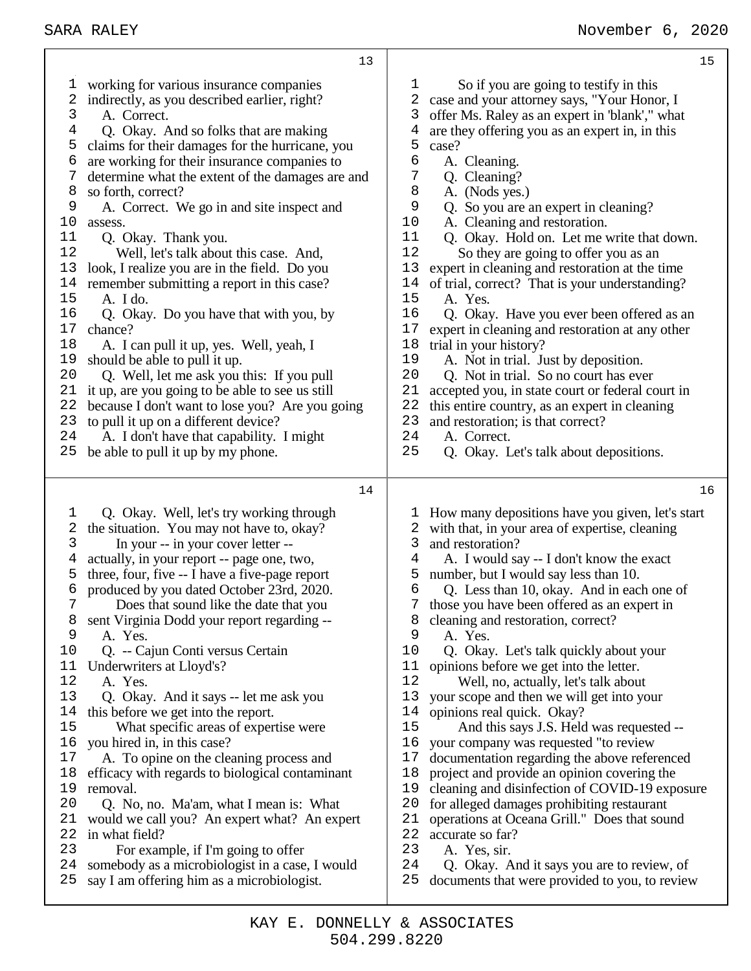| 13                                                                                                                                                                                                                                                                                                                                                                                                                                                                                                                                                                                                                                                                                                                                                                                                                                                                                                                                                                                                                                                                                                                         | $15$                                                                                                                                                                                                                                                                                                                                                                                                                                                                                                                                                                                                                                                                                                                                                                                                                                                                                                                                                                                                                                                                                                                                                                                  |
|----------------------------------------------------------------------------------------------------------------------------------------------------------------------------------------------------------------------------------------------------------------------------------------------------------------------------------------------------------------------------------------------------------------------------------------------------------------------------------------------------------------------------------------------------------------------------------------------------------------------------------------------------------------------------------------------------------------------------------------------------------------------------------------------------------------------------------------------------------------------------------------------------------------------------------------------------------------------------------------------------------------------------------------------------------------------------------------------------------------------------|---------------------------------------------------------------------------------------------------------------------------------------------------------------------------------------------------------------------------------------------------------------------------------------------------------------------------------------------------------------------------------------------------------------------------------------------------------------------------------------------------------------------------------------------------------------------------------------------------------------------------------------------------------------------------------------------------------------------------------------------------------------------------------------------------------------------------------------------------------------------------------------------------------------------------------------------------------------------------------------------------------------------------------------------------------------------------------------------------------------------------------------------------------------------------------------|
| working for various insurance companies<br>T<br>2<br>indirectly, as you described earlier, right?<br>3<br>A. Correct.<br>4<br>Q. Okay. And so folks that are making<br>5<br>claims for their damages for the hurricane, you<br>6<br>are working for their insurance companies to<br>determine what the extent of the damages are and<br>8<br>so forth, correct?<br>9<br>A. Correct. We go in and site inspect and<br>10<br>assess.<br>Q. Okay. Thank you.<br>11<br>12<br>Well, let's talk about this case. And,<br>13<br>look, I realize you are in the field. Do you<br>14<br>remember submitting a report in this case?<br>15<br>A. I do.<br>16<br>Q. Okay. Do you have that with you, by<br>$17$<br>chance?<br>18<br>A. I can pull it up, yes. Well, yeah, I<br>19<br>should be able to pull it up.<br>20<br>Q. Well, let me ask you this: If you pull<br>it up, are you going to be able to see us still<br>21<br>22<br>because I don't want to lose you? Are you going<br>23<br>to pull it up on a different device?<br>24<br>A. I don't have that capability. I might<br>25<br>be able to pull it up by my phone.    | $\mathbf 1$<br>So if you are going to testify in this<br>2<br>case and your attorney says, "Your Honor, I<br>3<br>offer Ms. Raley as an expert in 'blank'," what<br>$\overline{4}$<br>are they offering you as an expert in, in this<br>5<br>case?<br>6<br>A. Cleaning.<br>7<br>Q. Cleaning?<br>8<br>A. (Nods yes.)<br>9<br>Q. So you are an expert in cleaning?<br>10<br>A. Cleaning and restoration.<br>11<br>Q. Okay. Hold on. Let me write that down.<br>12<br>So they are going to offer you as an<br>13<br>expert in cleaning and restoration at the time<br>14<br>of trial, correct? That is your understanding?<br>15<br>A. Yes.<br>16<br>Q. Okay. Have you ever been offered as an<br>$17$<br>expert in cleaning and restoration at any other<br>18<br>trial in your history?<br>19<br>A. Not in trial. Just by deposition.<br>20<br>Q. Not in trial. So no court has ever<br>21<br>accepted you, in state court or federal court in<br>22<br>this entire country, as an expert in cleaning<br>23<br>and restoration; is that correct?<br>24<br>A. Correct.<br>25<br>Q. Okay. Let's talk about depositions.                                                                  |
| 14                                                                                                                                                                                                                                                                                                                                                                                                                                                                                                                                                                                                                                                                                                                                                                                                                                                                                                                                                                                                                                                                                                                         | 16                                                                                                                                                                                                                                                                                                                                                                                                                                                                                                                                                                                                                                                                                                                                                                                                                                                                                                                                                                                                                                                                                                                                                                                    |
| Q. Okay. Well, let's try working through<br>1<br>2<br>the situation. You may not have to, okay?<br>3<br>In your -- in your cover letter --<br>actually, in your report -- page one, two,<br>4<br>three, four, five -- I have a five-page report<br>5<br>produced by you dated October 23rd, 2020.<br>6<br>7<br>Does that sound like the date that you<br>8<br>sent Virginia Dodd your report regarding --<br>9<br>A. Yes.<br>10<br>Q. -- Cajun Conti versus Certain<br>11<br>Underwriters at Lloyd's?<br>12<br>A. Yes.<br>13<br>Q. Okay. And it says -- let me ask you<br>this before we get into the report.<br>14<br>15<br>What specific areas of expertise were<br>16<br>you hired in, in this case?<br>17<br>A. To opine on the cleaning process and<br>efficacy with regards to biological contaminant<br>18<br>removal.<br>19<br>20<br>Q. No, no. Ma'am, what I mean is: What<br>21<br>would we call you? An expert what? An expert<br>22<br>in what field?<br>23<br>For example, if I'm going to offer<br>somebody as a microbiologist in a case, I would<br>24<br>say I am offering him as a microbiologist.<br>25 | How many depositions have you given, let's start<br>T<br>2<br>with that, in your area of expertise, cleaning<br>3<br>and restoration?<br>4<br>A. I would say -- I don't know the exact<br>5<br>number, but I would say less than 10.<br>6<br>Q. Less than 10, okay. And in each one of<br>those you have been offered as an expert in<br>7<br>cleaning and restoration, correct?<br>8<br>9<br>A. Yes.<br>10<br>Q. Okay. Let's talk quickly about your<br>11<br>opinions before we get into the letter.<br>12<br>Well, no, actually, let's talk about<br>13<br>your scope and then we will get into your<br>opinions real quick. Okay?<br>14<br>15<br>And this says J.S. Held was requested --<br>16<br>your company was requested "to review<br>documentation regarding the above referenced<br>17<br>project and provide an opinion covering the<br>18<br>cleaning and disinfection of COVID-19 exposure<br>19<br>for alleged damages prohibiting restaurant<br>20<br>21<br>operations at Oceana Grill." Does that sound<br>22<br>accurate so far?<br>23<br>A. Yes, sir.<br>24<br>Q. Okay. And it says you are to review, of<br>25<br>documents that were provided to you, to review |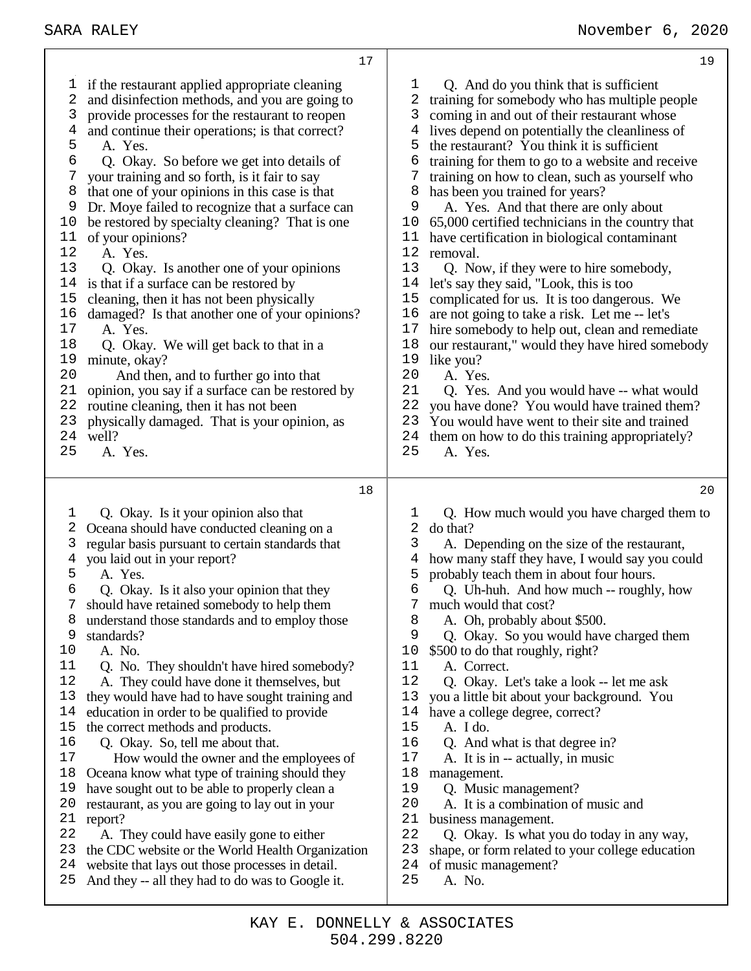A. Yes.

A. Yes.

17 A. Yes.<br>18 O. Okay

well?<br> $25$  A

A. Yes.

 standards? A. No.

minute, okay?

A. Yes.

 if the restaurant applied appropriate cleaning and disinfection methods, and you are going to provide processes for the restaurant to reopen and continue their operations; is that correct? 6 Q. Okay. So before we get into details of  $\overline{7}$  vour training and so forth, is it fair to say your training and so forth, is it fair to say that one of your opinions in this case is that Dr. Moye failed to recognize that a surface can be restored by specialty cleaning? That is one of your opinions? Q. Okay. Is another one of your opinions is that if a surface can be restored by cleaning, then it has not been physically damaged? Is that another one of your opinions? Q. Okay. We will get back to that in a And then, and to further go into that 21 opinion, you say if a surface can be restored by 22 routine cleaning, then it has not been routine cleaning, then it has not been physically damaged. That is your opinion, as Q. Okay. Is it your opinion also that Oceana should have conducted cleaning on a regular basis pursuant to certain standards that you laid out in your report? Q. Okay. Is it also your opinion that they should have retained somebody to help them understand those standards and to employ those Q. No. They shouldn't have hired somebody? Q. And do you think that is sufficient training for somebody who has multiple people coming in and out of their restaurant whose lives depend on potentially the cleanliness of the restaurant? You think it is sufficient training for them to go to a website and receive training on how to clean, such as yourself who has been you trained for years? A. Yes. And that there are only about 10 65,000 certified technicians in the country that<br>11 have certification in biological contaminant have certification in biological contaminant removal. 13 Q. Now, if they were to hire somebody,<br>14 let's say they said, "Look, this is too let's say they said, "Look, this is too complicated for us. It is too dangerous. We are not going to take a risk. Let me -- let's 17 hire somebody to help out, clean and remediate<br>18 our restaurant." would they have hired somebod 18 our restaurant," would they have hired somebody<br>19 like vou? 19 like you?<br>20 A Yes 20 A. Yes.<br>21 O. Yes. 21 Q. Yes. And you would have -- what would 22 vou have done? You would have trained them? you have done? You would have trained them? You would have went to their site and trained 24 them on how to do this training appropriately?<br>25 A. Yes. A. Yes. Q. How much would you have charged them to do that? 3 A. Depending on the size of the restaurant,<br>4 how many staff they have. I would say you com how many staff they have, I would say you could probably teach them in about four hours. Q. Uh-huh. And how much -- roughly, how much would that cost? A. Oh, probably about \$500. Q. Okay. So you would have charged them \$500 to do that roughly, right? 11 A. Correct.<br>12 O. Okav. I

- A. They could have done it themselves, but
	- they would have had to have sought training and
	- education in order to be qualified to provide
	- the correct methods and products.
	- Q. Okay. So, tell me about that.
	- How would the owner and the employees of
	- Oceana know what type of training should they
	- have sought out to be able to properly clean a
	- restaurant, as you are going to lay out in your
	- report?<br>22 A. T
	- A. They could have easily gone to either
	- the CDC website or the World Health Organization website that lays out those processes in detail.
	- And they -- all they had to do was to Google it.
- Q. Okay. Let's take a look -- let me ask
- you a little bit about your background. You
- 14 have a college degree, correct?<br>15 A. I do.
- A. I do.
- Q. And what is that degree in?
- A. It is in -- actually, in music
- management.
- 19 Q. Music management?<br>20 A It is a combination of
	- A. It is a combination of music and
- business management.
- Q. Okay. Is what you do today in any way,
- shape, or form related to your college education
- of music management?
- A. No.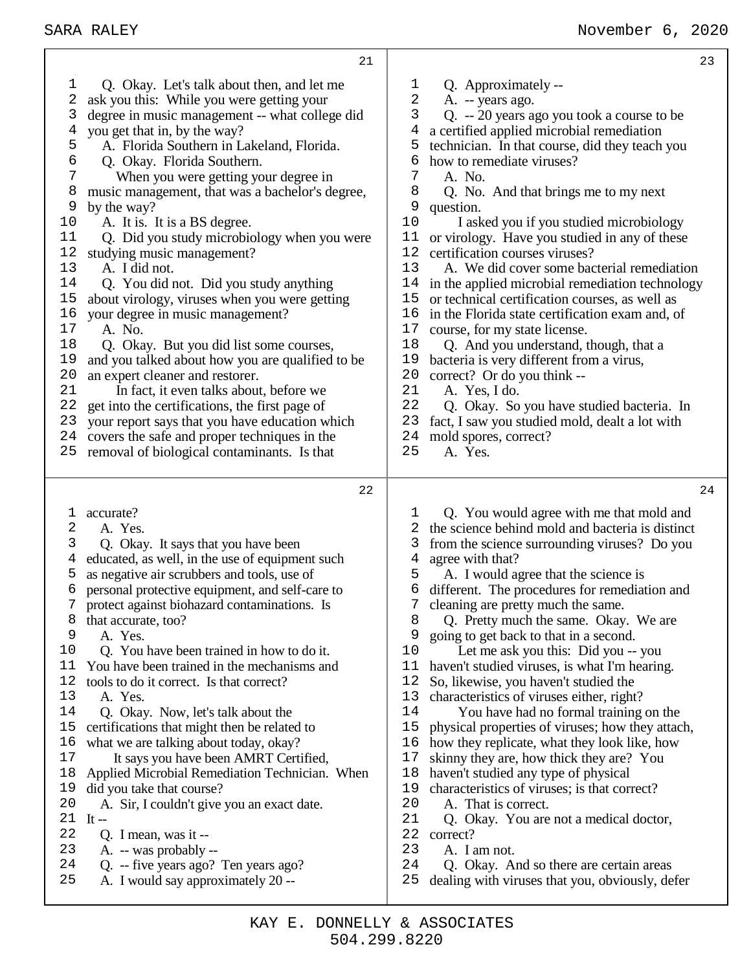| 21                                               | 23                                               |
|--------------------------------------------------|--------------------------------------------------|
| Q. Okay. Let's talk about then, and let me       | Q. Approximately --                              |
| ı                                                | T                                                |
| 2                                                | 2                                                |
| ask you this: While you were getting your        | A. -- years ago.                                 |
| 3                                                | 3                                                |
| degree in music management -- what college did   | Q. -- 20 years ago you took a course to be       |
| you get that in, by the way?                     | 4                                                |
| 4                                                | a certified applied microbial remediation        |
| 5                                                | 5                                                |
| A. Florida Southern in Lakeland, Florida.        | technician. In that course, did they teach you   |
| 6                                                | 6                                                |
| Q. Okay. Florida Southern.                       | how to remediate viruses?                        |
| 7                                                | 7                                                |
| When you were getting your degree in             | A. No.                                           |
| 8                                                | 8                                                |
| music management, that was a bachelor's degree,  | Q. No. And that brings me to my next             |
| 9                                                | 9                                                |
| by the way?                                      | question.                                        |
| $10$                                             | 10                                               |
| A. It is. It is a BS degree.                     | I asked you if you studied microbiology          |
| 11                                               | 11                                               |
| Q. Did you study microbiology when you were      | or virology. Have you studied in any of these    |
| 12                                               | 12                                               |
| studying music management?                       | certification courses viruses?                   |
| 13                                               | 13                                               |
| A. I did not.                                    | A. We did cover some bacterial remediation       |
| 14                                               | 14                                               |
| Q. You did not. Did you study anything           | in the applied microbial remediation technology  |
| 15                                               | 15                                               |
| about virology, viruses when you were getting    | or technical certification courses, as well as   |
| 16                                               | 16                                               |
| your degree in music management?                 | in the Florida state certification exam and, of  |
| 17                                               | 17                                               |
| A. No.                                           | course, for my state license.                    |
| 18                                               | 18                                               |
| Q. Okay. But you did list some courses,          | Q. And you understand, though, that a            |
| 19                                               | 19                                               |
| and you talked about how you are qualified to be | bacteria is very different from a virus,         |
| 20                                               | 20                                               |
| an expert cleaner and restorer.                  | correct? Or do you think --                      |
| 21                                               | 21                                               |
| In fact, it even talks about, before we          | A. Yes, I do.                                    |
| 22                                               | 22                                               |
| get into the certifications, the first page of   | Q. Okay. So you have studied bacteria. In        |
| 23                                               | 23                                               |
| your report says that you have education which   | fact, I saw you studied mold, dealt a lot with   |
| 24                                               | 24                                               |
| covers the safe and proper techniques in the     | mold spores, correct?                            |
| removal of biological contaminants. Is that      | 25                                               |
| 25                                               | A. Yes.                                          |
| 22                                               | 24                                               |
| accurate?                                        | Q. You would agree with me that mold and         |
| T                                                | ı                                                |
| 2                                                | the science behind mold and bacteria is distinct |
| A. Yes.                                          | 2                                                |
| 3                                                | from the science surrounding viruses? Do you     |
| Q. Okay. It says that you have been              | 3                                                |
| educated, as well, in the use of equipment such  | 4                                                |
| 4                                                | agree with that?                                 |
| 5                                                | 5                                                |
| as negative air scrubbers and tools, use of      | A. I would agree that the science is             |
| 6                                                | different. The procedures for remediation and    |
| personal protective equipment, and self-care to  | 6                                                |
| 7                                                | 7                                                |
| protect against biohazard contaminations. Is     | cleaning are pretty much the same.               |
| 8                                                | 8                                                |
| that accurate, too?                              | Q. Pretty much the same. Okay. We are            |
| 9                                                | 9                                                |
| A. Yes.                                          | going to get back to that in a second.           |
| 10                                               | 10                                               |
| Q. You have been trained in how to do it.        | Let me ask you this: Did you -- you              |
| You have been trained in the mechanisms and      | 11                                               |
| 11                                               | haven't studied viruses, is what I'm hearing.    |
| tools to do it correct. Is that correct?         | 12                                               |
| 12                                               | So, likewise, you haven't studied the            |
| 13                                               | 13                                               |
| A. Yes.                                          | characteristics of viruses either, right?        |
| 14                                               | 14                                               |
| Q. Okay. Now, let's talk about the               | You have had no formal training on the           |
| 15                                               | 15                                               |
| certifications that might then be related to     | physical properties of viruses; how they attach, |
| what we are talking about today, okay?           | 16                                               |
| 16                                               | how they replicate, what they look like, how     |
| 17                                               | 17                                               |
| It says you have been AMRT Certified,            | skinny they are, how thick they are? You         |
| 18                                               | 18                                               |
| Applied Microbial Remediation Technician. When   | haven't studied any type of physical             |
| 19                                               | 19                                               |
| did you take that course?                        | characteristics of viruses; is that correct?     |
| 20                                               | 20                                               |
| A. Sir, I couldn't give you an exact date.       | A. That is correct.                              |
| 21                                               | 21                                               |
| It $-$                                           | Q. Okay. You are not a medical doctor,           |
| 22                                               | 22                                               |
| Q. I mean, was it --                             | correct?                                         |
| 23                                               | 23                                               |
| A. -- was probably --                            | A. I am not.                                     |
| 24                                               | 24                                               |
| Q. -- five years ago? Ten years ago?             | Q. Okay. And so there are certain areas          |

- 
- 24 Q. -- five years ago? Ten years ago?<br>25 A. I would say approximately 20 --A. I would say approximately 20 --

Q. Okay. And so there are certain areas dealing with viruses that you, obviously, defer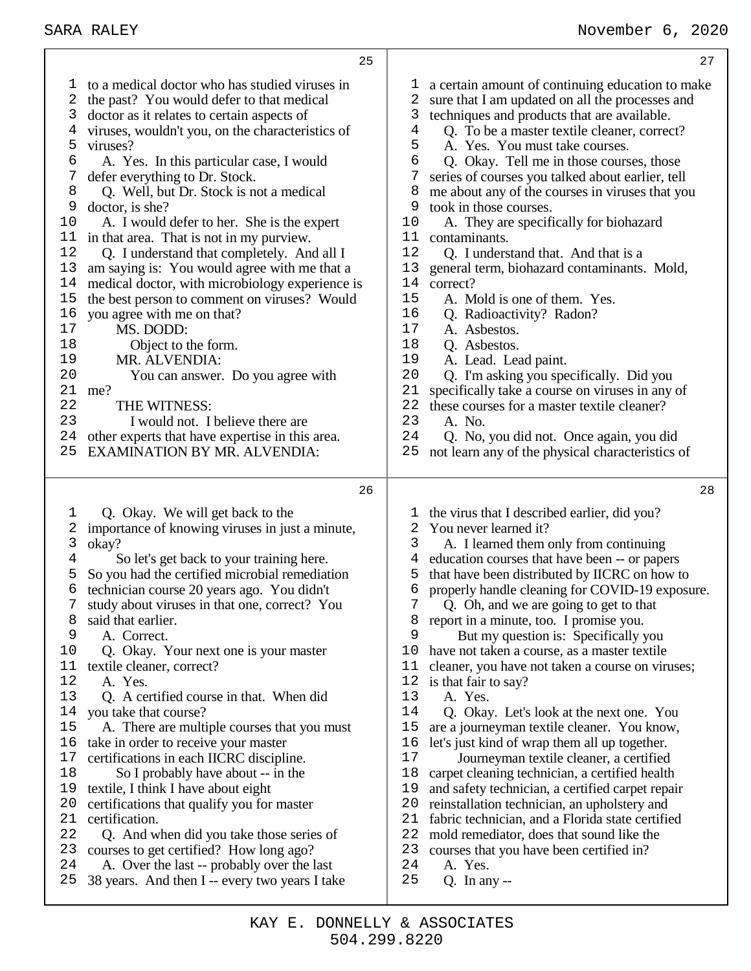|          | 25                                                                                         |          | 27                                                                                             |
|----------|--------------------------------------------------------------------------------------------|----------|------------------------------------------------------------------------------------------------|
| 1        | to a medical doctor who has studied viruses in                                             | ı        | a certain amount of continuing education to make                                               |
| 2        | the past? You would defer to that medical                                                  | 2        | sure that I am updated on all the processes and                                                |
| 3        | doctor as it relates to certain aspects of                                                 | 3        | techniques and products that are available.                                                    |
| 4        | viruses, wouldn't you, on the characteristics of                                           | 4        | Q. To be a master textile cleaner, correct?                                                    |
| 5        | viruses?                                                                                   | 5        | A. Yes. You must take courses.                                                                 |
| 6        | A. Yes. In this particular case, I would                                                   | 6        | Q. Okay. Tell me in those courses, those                                                       |
| 7        | defer everything to Dr. Stock.                                                             | 7        | series of courses you talked about earlier, tell                                               |
| 8        | Q. Well, but Dr. Stock is not a medical                                                    | 8        | me about any of the courses in viruses that you                                                |
| 9        | doctor, is she?                                                                            | 9        | took in those courses.                                                                         |
| 10       | A. I would defer to her. She is the expert                                                 | 10       | A. They are specifically for biohazard                                                         |
| 11       | in that area. That is not in my purview.                                                   | 11       | contaminants.                                                                                  |
| 12       | Q. I understand that completely. And all I                                                 | 12       | Q. I understand that. And that is a                                                            |
| 13       | am saying is: You would agree with me that a                                               | 13       | general term, biohazard contaminants. Mold,                                                    |
| 14       | medical doctor, with microbiology experience is                                            | 14       | correct?                                                                                       |
| 15       | the best person to comment on viruses? Would                                               | 15       | A. Mold is one of them. Yes.                                                                   |
| 16       | you agree with me on that?                                                                 | 16       | Q. Radioactivity? Radon?                                                                       |
| 17       | MS. DODD:                                                                                  | 17       | A. Asbestos.                                                                                   |
| 18       | Object to the form.                                                                        | 18       | Q. Asbestos.                                                                                   |
| 19       | MR. ALVENDIA:                                                                              | 19       | A. Lead. Lead paint.                                                                           |
| 20       | You can answer. Do you agree with                                                          | 20       | Q. I'm asking you specifically. Did you                                                        |
| 21       | me?                                                                                        | 21       | specifically take a course on viruses in any of                                                |
| 22<br>23 | THE WITNESS:                                                                               | 22<br>23 | these courses for a master textile cleaner?                                                    |
| 24       | I would not. I believe there are                                                           | 24       | A. No.                                                                                         |
| 25       | other experts that have expertise in this area.<br><b>EXAMINATION BY MR. ALVENDIA:</b>     | 25       | Q. No, you did not. Once again, you did<br>not learn any of the physical characteristics of    |
|          |                                                                                            |          |                                                                                                |
|          |                                                                                            |          |                                                                                                |
|          | 26                                                                                         |          | 28                                                                                             |
|          |                                                                                            |          |                                                                                                |
| 1        | Q. Okay. We will get back to the                                                           |          | the virus that I described earlier, did you?                                                   |
| 2<br>3   | importance of knowing viruses in just a minute,                                            | 2<br>3   | You never learned it?                                                                          |
| 4        | okay?                                                                                      | 4        | A. I learned them only from continuing                                                         |
| 5        | So let's get back to your training here.<br>So you had the certified microbial remediation | 5        | education courses that have been -- or papers<br>that have been distributed by IICRC on how to |
| 6        | technician course 20 years ago. You didn't                                                 | 6        | properly handle cleaning for COVID-19 exposure.                                                |
|          | study about viruses in that one, correct? You                                              |          | Q. Oh, and we are going to get to that                                                         |
| 8        | said that earlier.                                                                         | 8        | report in a minute, too. I promise you.                                                        |
| 9        | A. Correct.                                                                                | 9        | But my question is: Specifically you                                                           |
| 10       | Q. Okay. Your next one is your master                                                      | 10       | have not taken a course, as a master textile                                                   |
| 11       | textile cleaner, correct?                                                                  | 11       | cleaner, you have not taken a course on viruses;                                               |
| 12       | A. Yes.                                                                                    | 12       | is that fair to say?                                                                           |
| 13       | Q. A certified course in that. When did                                                    | 13       | A. Yes.                                                                                        |
| 14       | you take that course?                                                                      | 14       | Q. Okay. Let's look at the next one. You                                                       |
| 15       | A. There are multiple courses that you must                                                | 15       | are a journeyman textile cleaner. You know,                                                    |
| 16       | take in order to receive your master                                                       | 16       | let's just kind of wrap them all up together.                                                  |
| 17       | certifications in each IICRC discipline.                                                   | 17       | Journeyman textile cleaner, a certified                                                        |
| 18       | So I probably have about -- in the                                                         | 18       | carpet cleaning technician, a certified health                                                 |
| 19       | textile, I think I have about eight                                                        | 19       | and safety technician, a certified carpet repair                                               |
| 20       | certifications that qualify you for master                                                 | 20       | reinstallation technician, an upholstery and                                                   |
| 21       | certification.                                                                             | 21       | fabric technician, and a Florida state certified                                               |
| 22       | Q. And when did you take those series of                                                   | 22       | mold remediator, does that sound like the                                                      |
| 23<br>24 | courses to get certified? How long ago?<br>A. Over the last -- probably over the last      | 23<br>24 | courses that you have been certified in?<br>A. Yes.                                            |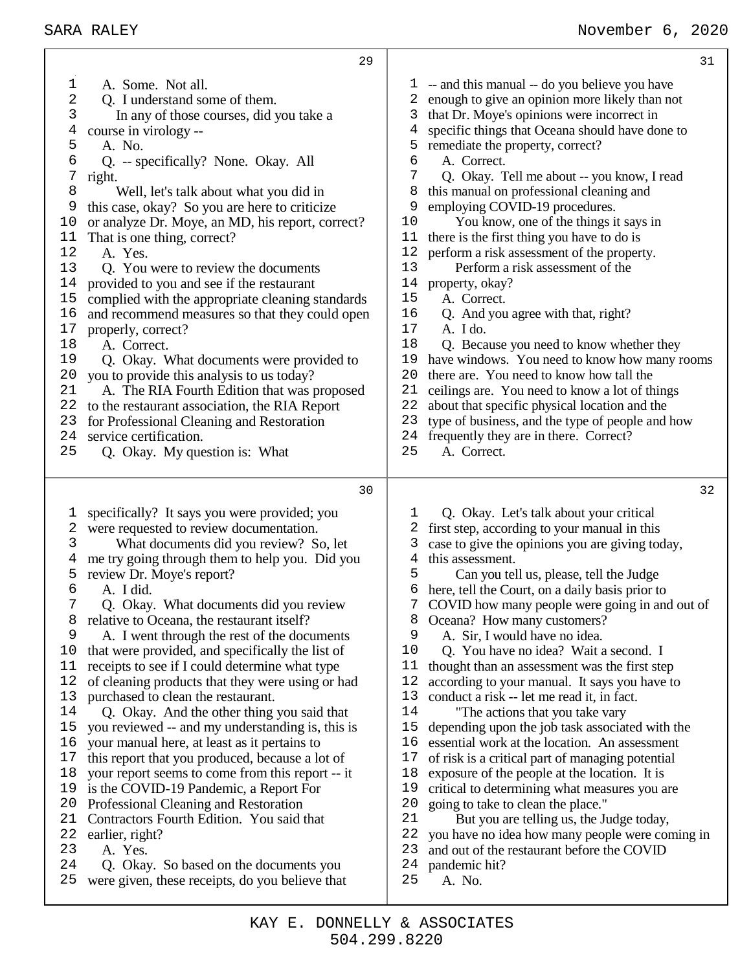1 A. Some. Not all.<br>2 O. I understand so 2 Q. I understand some of them.<br>3 In any of those courses, did y In any of those courses, did you take a course in virology -- A. No. Q. -- specifically? None. Okay. All right. Well, let's talk about what you did in this case, okay? So you are here to criticize or analyze Dr. Moye, an MD, his report, correct? That is one thing, correct? A. Yes. Q. You were to review the documents provided to you and see if the restaurant complied with the appropriate cleaning standards and recommend measures so that they could open 17 properly, correct?<br>18 A. Correct. A. Correct. Q. Okay. What documents were provided to 20 you to provide this analysis to us today?<br>21 A. The RIA Fourth Edition that was r A. The RIA Fourth Edition that was proposed to the restaurant association, the RIA Report for Professional Cleaning and Restoration 24 service certification.<br>25 O. Okay My que Q. Okay. My question is: What specifically? It says you were provided; you were requested to review documentation. 3 What documents did you review? So, let<br>4 me try going through them to help you. Did yo me try going through them to help you. Did you review Dr. Moye's report? A. I did. Q. Okay. What documents did you review relative to Oceana, the restaurant itself? A. I went through the rest of the documents that were provided, and specifically the list of receipts to see if I could determine what type of cleaning products that they were using or had purchased to clean the restaurant. 14 Q. Okay. And the other thing you said that 15 you reviewed -- and my understanding is, this i you reviewed -- and my understanding is, this is your manual here, at least as it pertains to this report that you produced, because a lot of your report seems to come from this report -- it is the COVID-19 Pandemic, a Report For Professional Cleaning and Restoration Contractors Fourth Edition. You said that 22 earlier, right?<br>23 A Yes A. Yes. Q. Okay. So based on the documents you were given, these receipts, do you believe that -- and this manual -- do you believe you have enough to give an opinion more likely than not that Dr. Moye's opinions were incorrect in specific things that Oceana should have done to remediate the property, correct? A. Correct. Q. Okay. Tell me about -- you know, I read this manual on professional cleaning and 9 employing COVID-19 procedures.<br>10 You know one of the things i You know, one of the things it says in there is the first thing you have to do is perform a risk assessment of the property. Perform a risk assessment of the property, okay? A. Correct. Q. And you agree with that, right? A. I do. Q. Because you need to know whether they have windows. You need to know how many rooms there are. You need to know how tall the ceilings are. You need to know a lot of things about that specific physical location and the type of business, and the type of people and how frequently they are in there. Correct? A. Correct. Q. Okay. Let's talk about your critical first step, according to your manual in this case to give the opinions you are giving today, this assessment. Can you tell us, please, tell the Judge here, tell the Court, on a daily basis prior to COVID how many people were going in and out of Oceana? How many customers? A. Sir, I would have no idea. Q. You have no idea? Wait a second. I thought than an assessment was the first step according to your manual. It says you have to conduct a risk -- let me read it, in fact. "The actions that you take vary depending upon the job task associated with the essential work at the location. An assessment of risk is a critical part of managing potential exposure of the people at the location. It is critical to determining what measures you are going to take to clean the place." 21 But you are telling us, the Judge today,<br>22 vou have no idea how many people were con 22 you have no idea how many people were coming in 23 and out of the restaurant before the COVID and out of the restaurant before the COVID pandemic hit? A. No.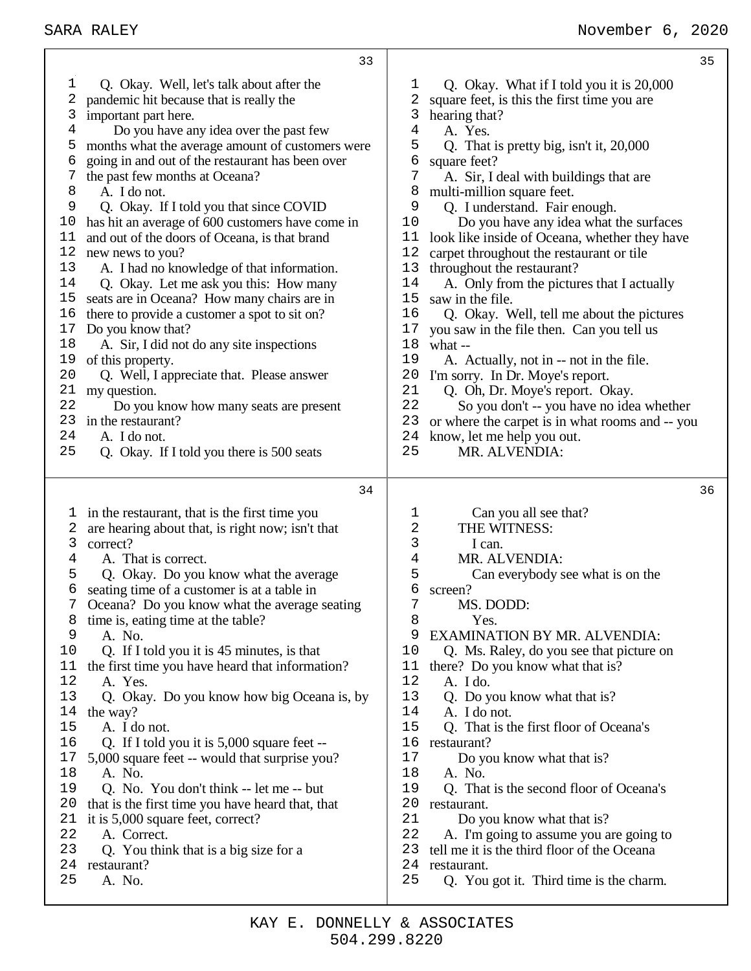| 1<br>Q. Okay. Well, let's talk about after the<br>Q. Okay. What if I told you it is 20,000<br>ı<br>2<br>pandemic hit because that is really the<br>2<br>square feet, is this the first time you are<br>3<br>3<br>important part here.<br>hearing that?<br>4<br>4<br>Do you have any idea over the past few<br>A. Yes.<br>5<br>5<br>months what the average amount of customers were<br>Q. That is pretty big, isn't it, 20,000<br>going in and out of the restaurant has been over<br>6<br>6<br>square feet?<br>7<br>7<br>the past few months at Oceana?<br>A. Sir, I deal with buildings that are<br>8<br>A. I do not.<br>multi-million square feet.<br>8<br>9<br>Q. Okay. If I told you that since COVID<br>9<br>Q. I understand. Fair enough.<br>has hit an average of 600 customers have come in<br>Do you have any idea what the surfaces<br>10<br>10<br>and out of the doors of Oceana, is that brand<br>11<br>11<br>12<br>12<br>new news to you?<br>carpet throughout the restaurant or tile<br>13<br>A. I had no knowledge of that information.<br>13<br>throughout the restaurant?<br>14<br>Q. Okay. Let me ask you this: How many<br>14<br>A. Only from the pictures that I actually<br>15<br>seats are in Oceana? How many chairs are in<br>15<br>saw in the file.<br>16<br>16<br>there to provide a customer a spot to sit on?<br>Q. Okay. Well, tell me about the pictures<br>17<br>Do you know that?<br>17<br>you saw in the file then. Can you tell us<br>18<br>18<br>A. Sir, I did not do any site inspections<br>what --<br>19<br>of this property.<br>19<br>A. Actually, not in -- not in the file.<br>20<br>20<br>Q. Well, I appreciate that. Please answer<br>I'm sorry. In Dr. Moye's report.<br>21<br>21<br>my question.<br>Q. Oh, Dr. Moye's report. Okay.<br>22<br>22<br>Do you know how many seats are present<br>in the restaurant?<br>23<br>23<br>24<br>24<br>A. I do not.<br>know, let me help you out.<br>25<br>25<br>MR. ALVENDIA:<br>Q. Okay. If I told you there is 500 seats<br>34<br>in the restaurant, that is the first time you<br>Can you all see that?<br>1<br>ı,<br>2<br>are hearing about that, is right now; isn't that<br>THE WITNESS:<br>2<br>3<br>3<br>correct?<br>I can.<br>4<br>MR. ALVENDIA:<br>A. That is correct.<br>4<br>5<br>5<br>Q. Okay. Do you know what the average<br>Can everybody see what is on the<br>6<br>6<br>seating time of a customer is at a table in<br>screen?<br>7<br>MS. DODD:<br>7<br>Oceana? Do you know what the average seating<br>8<br>8<br>Yes.<br>time is, eating time at the table?<br>9<br><b>EXAMINATION BY MR. ALVENDIA:</b><br>A. No.<br>9<br>10<br>10<br>Q. If I told you it is 45 minutes, is that<br>Q. Ms. Raley, do you see that picture on<br>11<br>the first time you have heard that information?<br>there? Do you know what that is?<br>11<br>12<br>12<br>A. Yes.<br>A. I do.<br>13<br>13<br>Q. Okay. Do you know how big Oceana is, by<br>Q. Do you know what that is?<br>14<br>14<br>A. I do not.<br>the way? | 33                 | 35                                                                                                                                           |
|-------------------------------------------------------------------------------------------------------------------------------------------------------------------------------------------------------------------------------------------------------------------------------------------------------------------------------------------------------------------------------------------------------------------------------------------------------------------------------------------------------------------------------------------------------------------------------------------------------------------------------------------------------------------------------------------------------------------------------------------------------------------------------------------------------------------------------------------------------------------------------------------------------------------------------------------------------------------------------------------------------------------------------------------------------------------------------------------------------------------------------------------------------------------------------------------------------------------------------------------------------------------------------------------------------------------------------------------------------------------------------------------------------------------------------------------------------------------------------------------------------------------------------------------------------------------------------------------------------------------------------------------------------------------------------------------------------------------------------------------------------------------------------------------------------------------------------------------------------------------------------------------------------------------------------------------------------------------------------------------------------------------------------------------------------------------------------------------------------------------------------------------------------------------------------------------------------------------------------------------------------------------------------------------------------------------------------------------------------------------------------------------------------------------------------------------------------------------------------------------------------------------------------------------------------------------------------------------------------------------------------------------------------------------------------------------------------------------------------------------------------------------------------------------------------------------------------------------------------------------------------------------------------------------------------------------------------------------------------------------------------------|--------------------|----------------------------------------------------------------------------------------------------------------------------------------------|
|                                                                                                                                                                                                                                                                                                                                                                                                                                                                                                                                                                                                                                                                                                                                                                                                                                                                                                                                                                                                                                                                                                                                                                                                                                                                                                                                                                                                                                                                                                                                                                                                                                                                                                                                                                                                                                                                                                                                                                                                                                                                                                                                                                                                                                                                                                                                                                                                                                                                                                                                                                                                                                                                                                                                                                                                                                                                                                                                                                                                             |                    | look like inside of Oceana, whether they have<br>So you don't -- you have no idea whether<br>or where the carpet is in what rooms and -- you |
| 16<br>Q. If I told you it is 5,000 square feet --<br>16<br>restaurant?<br>17<br>17<br>Do you know what that is?<br>5,000 square feet -- would that surprise you?<br>18<br>A. No.<br>18<br>A. No.<br>19<br>Q. No. You don't think -- let me -- but<br>19<br>Q. That is the second floor of Oceana's<br>20<br>20<br>that is the first time you have heard that, that<br>restaurant.<br>21<br>Do you know what that is?<br>21<br>it is 5,000 square feet, correct?<br>22<br>22<br>A. Correct.<br>A. I'm going to assume you are going to<br>23<br>23<br>tell me it is the third floor of the Oceana<br>Q. You think that is a big size for a<br>24<br>24<br>restaurant?<br>restaurant.                                                                                                                                                                                                                                                                                                                                                                                                                                                                                                                                                                                                                                                                                                                                                                                                                                                                                                                                                                                                                                                                                                                                                                                                                                                                                                                                                                                                                                                                                                                                                                                                                                                                                                                                                                                                                                                                                                                                                                                                                                                                                                                                                                                                                                                                                                                         | 15<br>A. I do not. | 36<br>15<br>Q. That is the first floor of Oceana's                                                                                           |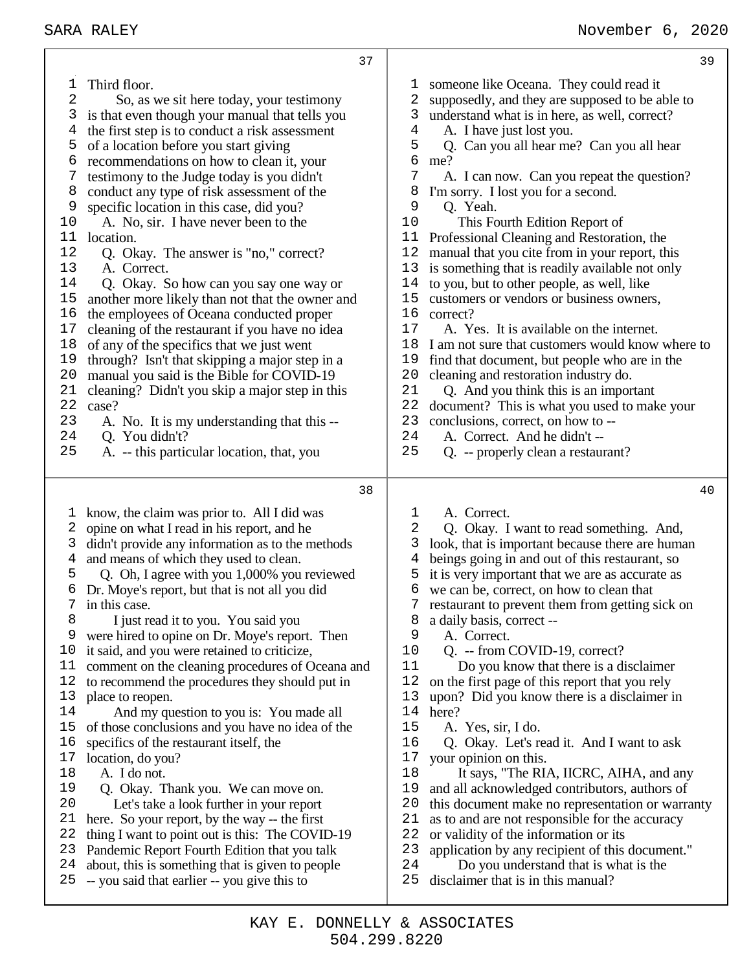| 1<br>2<br>3<br>4<br>5<br>6<br>7<br>8<br>9<br>10<br>11<br>12<br>13<br>14<br>15<br>16<br>$17$<br>18<br>19<br>20<br>21<br>22<br>23<br>24<br>25 | Third floor.<br>So, as we sit here today, your testimony<br>is that even though your manual that tells you<br>the first step is to conduct a risk assessment<br>of a location before you start giving<br>recommendations on how to clean it, your<br>testimony to the Judge today is you didn't<br>conduct any type of risk assessment of the<br>specific location in this case, did you?<br>A. No, sir. I have never been to the<br>location.<br>Q. Okay. The answer is "no," correct?<br>A. Correct.<br>Q. Okay. So how can you say one way or<br>another more likely than not that the owner and<br>the employees of Oceana conducted proper<br>cleaning of the restaurant if you have no idea<br>of any of the specifics that we just went<br>through? Isn't that skipping a major step in a<br>manual you said is the Bible for COVID-19<br>cleaning? Didn't you skip a major step in this<br>case?<br>A. No. It is my understanding that this --<br>Q. You didn't?<br>A. -- this particular location, that, you | ı,<br>2<br>3<br>$\overline{4}$<br>5<br>6<br>7<br>8<br>9<br>10<br>11<br>12<br>13<br>14<br>15<br>16<br>17<br>18<br>19<br>20<br>21<br>22<br>23<br>24<br>25 | someone like Oceana. They could read it<br>supposedly, and they are supposed to be able to<br>understand what is in here, as well, correct?<br>A. I have just lost you.<br>Q. Can you all hear me? Can you all hear<br>me?<br>A. I can now. Can you repeat the question?<br>I'm sorry. I lost you for a second.<br>Q. Yeah.<br>This Fourth Edition Report of<br>Professional Cleaning and Restoration, the<br>manual that you cite from in your report, this<br>is something that is readily available not only<br>to you, but to other people, as well, like<br>customers or vendors or business owners,<br>correct?<br>A. Yes. It is available on the internet.<br>I am not sure that customers would know where to<br>find that document, but people who are in the<br>cleaning and restoration industry do.<br>Q. And you think this is an important<br>document? This is what you used to make your<br>conclusions, correct, on how to --<br>A. Correct. And he didn't --<br>Q. -- properly clean a restaurant? |
|---------------------------------------------------------------------------------------------------------------------------------------------|-----------------------------------------------------------------------------------------------------------------------------------------------------------------------------------------------------------------------------------------------------------------------------------------------------------------------------------------------------------------------------------------------------------------------------------------------------------------------------------------------------------------------------------------------------------------------------------------------------------------------------------------------------------------------------------------------------------------------------------------------------------------------------------------------------------------------------------------------------------------------------------------------------------------------------------------------------------------------------------------------------------------------|---------------------------------------------------------------------------------------------------------------------------------------------------------|----------------------------------------------------------------------------------------------------------------------------------------------------------------------------------------------------------------------------------------------------------------------------------------------------------------------------------------------------------------------------------------------------------------------------------------------------------------------------------------------------------------------------------------------------------------------------------------------------------------------------------------------------------------------------------------------------------------------------------------------------------------------------------------------------------------------------------------------------------------------------------------------------------------------------------------------------------------------------------------------------------------------|
| 1                                                                                                                                           | 38<br>know, the claim was prior to. All I did was                                                                                                                                                                                                                                                                                                                                                                                                                                                                                                                                                                                                                                                                                                                                                                                                                                                                                                                                                                     | 1                                                                                                                                                       | 40                                                                                                                                                                                                                                                                                                                                                                                                                                                                                                                                                                                                                                                                                                                                                                                                                                                                                                                                                                                                                   |
|                                                                                                                                             |                                                                                                                                                                                                                                                                                                                                                                                                                                                                                                                                                                                                                                                                                                                                                                                                                                                                                                                                                                                                                       |                                                                                                                                                         | A. Correct.                                                                                                                                                                                                                                                                                                                                                                                                                                                                                                                                                                                                                                                                                                                                                                                                                                                                                                                                                                                                          |
| 2<br>3                                                                                                                                      | opine on what I read in his report, and he<br>didn't provide any information as to the methods                                                                                                                                                                                                                                                                                                                                                                                                                                                                                                                                                                                                                                                                                                                                                                                                                                                                                                                        | 2<br>3                                                                                                                                                  | Q. Okay. I want to read something. And,<br>look, that is important because there are human                                                                                                                                                                                                                                                                                                                                                                                                                                                                                                                                                                                                                                                                                                                                                                                                                                                                                                                           |
| 4                                                                                                                                           | and means of which they used to clean.                                                                                                                                                                                                                                                                                                                                                                                                                                                                                                                                                                                                                                                                                                                                                                                                                                                                                                                                                                                | 4                                                                                                                                                       | beings going in and out of this restaurant, so                                                                                                                                                                                                                                                                                                                                                                                                                                                                                                                                                                                                                                                                                                                                                                                                                                                                                                                                                                       |
| 5<br>6                                                                                                                                      | Q. Oh, I agree with you 1,000% you reviewed                                                                                                                                                                                                                                                                                                                                                                                                                                                                                                                                                                                                                                                                                                                                                                                                                                                                                                                                                                           | 5<br>6                                                                                                                                                  | it is very important that we are as accurate as                                                                                                                                                                                                                                                                                                                                                                                                                                                                                                                                                                                                                                                                                                                                                                                                                                                                                                                                                                      |
| 7                                                                                                                                           | Dr. Moye's report, but that is not all you did<br>in this case.                                                                                                                                                                                                                                                                                                                                                                                                                                                                                                                                                                                                                                                                                                                                                                                                                                                                                                                                                       |                                                                                                                                                         | we can be, correct, on how to clean that<br>restaurant to prevent them from getting sick on                                                                                                                                                                                                                                                                                                                                                                                                                                                                                                                                                                                                                                                                                                                                                                                                                                                                                                                          |
| 8                                                                                                                                           | I just read it to you. You said you                                                                                                                                                                                                                                                                                                                                                                                                                                                                                                                                                                                                                                                                                                                                                                                                                                                                                                                                                                                   | 8                                                                                                                                                       | a daily basis, correct --                                                                                                                                                                                                                                                                                                                                                                                                                                                                                                                                                                                                                                                                                                                                                                                                                                                                                                                                                                                            |
| 9                                                                                                                                           | were hired to opine on Dr. Moye's report. Then                                                                                                                                                                                                                                                                                                                                                                                                                                                                                                                                                                                                                                                                                                                                                                                                                                                                                                                                                                        | 9                                                                                                                                                       | A. Correct.                                                                                                                                                                                                                                                                                                                                                                                                                                                                                                                                                                                                                                                                                                                                                                                                                                                                                                                                                                                                          |
| 10                                                                                                                                          | it said, and you were retained to criticize,                                                                                                                                                                                                                                                                                                                                                                                                                                                                                                                                                                                                                                                                                                                                                                                                                                                                                                                                                                          | 10                                                                                                                                                      | Q. -- from COVID-19, correct?                                                                                                                                                                                                                                                                                                                                                                                                                                                                                                                                                                                                                                                                                                                                                                                                                                                                                                                                                                                        |
| 11<br>12                                                                                                                                    | comment on the cleaning procedures of Oceana and<br>to recommend the procedures they should put in                                                                                                                                                                                                                                                                                                                                                                                                                                                                                                                                                                                                                                                                                                                                                                                                                                                                                                                    | 11<br>12                                                                                                                                                | Do you know that there is a disclaimer<br>on the first page of this report that you rely                                                                                                                                                                                                                                                                                                                                                                                                                                                                                                                                                                                                                                                                                                                                                                                                                                                                                                                             |
| 13                                                                                                                                          | place to reopen.                                                                                                                                                                                                                                                                                                                                                                                                                                                                                                                                                                                                                                                                                                                                                                                                                                                                                                                                                                                                      | 13                                                                                                                                                      | upon? Did you know there is a disclaimer in                                                                                                                                                                                                                                                                                                                                                                                                                                                                                                                                                                                                                                                                                                                                                                                                                                                                                                                                                                          |
| 14                                                                                                                                          | And my question to you is: You made all                                                                                                                                                                                                                                                                                                                                                                                                                                                                                                                                                                                                                                                                                                                                                                                                                                                                                                                                                                               | 14                                                                                                                                                      | here?                                                                                                                                                                                                                                                                                                                                                                                                                                                                                                                                                                                                                                                                                                                                                                                                                                                                                                                                                                                                                |
| 15                                                                                                                                          | of those conclusions and you have no idea of the                                                                                                                                                                                                                                                                                                                                                                                                                                                                                                                                                                                                                                                                                                                                                                                                                                                                                                                                                                      | 15                                                                                                                                                      | A. Yes, sir, I do.                                                                                                                                                                                                                                                                                                                                                                                                                                                                                                                                                                                                                                                                                                                                                                                                                                                                                                                                                                                                   |
| 16<br>17                                                                                                                                    | specifics of the restaurant itself, the                                                                                                                                                                                                                                                                                                                                                                                                                                                                                                                                                                                                                                                                                                                                                                                                                                                                                                                                                                               | 16<br>17                                                                                                                                                | Q. Okay. Let's read it. And I want to ask                                                                                                                                                                                                                                                                                                                                                                                                                                                                                                                                                                                                                                                                                                                                                                                                                                                                                                                                                                            |
| 18                                                                                                                                          | location, do you?<br>A. I do not.                                                                                                                                                                                                                                                                                                                                                                                                                                                                                                                                                                                                                                                                                                                                                                                                                                                                                                                                                                                     | 18                                                                                                                                                      | your opinion on this.<br>It says, "The RIA, IICRC, AIHA, and any                                                                                                                                                                                                                                                                                                                                                                                                                                                                                                                                                                                                                                                                                                                                                                                                                                                                                                                                                     |
| 19                                                                                                                                          | Q. Okay. Thank you. We can move on.                                                                                                                                                                                                                                                                                                                                                                                                                                                                                                                                                                                                                                                                                                                                                                                                                                                                                                                                                                                   | 19                                                                                                                                                      | and all acknowledged contributors, authors of                                                                                                                                                                                                                                                                                                                                                                                                                                                                                                                                                                                                                                                                                                                                                                                                                                                                                                                                                                        |
| 20                                                                                                                                          | Let's take a look further in your report                                                                                                                                                                                                                                                                                                                                                                                                                                                                                                                                                                                                                                                                                                                                                                                                                                                                                                                                                                              | 20                                                                                                                                                      | this document make no representation or warranty                                                                                                                                                                                                                                                                                                                                                                                                                                                                                                                                                                                                                                                                                                                                                                                                                                                                                                                                                                     |
| 21                                                                                                                                          | here. So your report, by the way -- the first                                                                                                                                                                                                                                                                                                                                                                                                                                                                                                                                                                                                                                                                                                                                                                                                                                                                                                                                                                         | 21                                                                                                                                                      | as to and are not responsible for the accuracy                                                                                                                                                                                                                                                                                                                                                                                                                                                                                                                                                                                                                                                                                                                                                                                                                                                                                                                                                                       |
| 22                                                                                                                                          | thing I want to point out is this: The COVID-19                                                                                                                                                                                                                                                                                                                                                                                                                                                                                                                                                                                                                                                                                                                                                                                                                                                                                                                                                                       | 22                                                                                                                                                      | or validity of the information or its                                                                                                                                                                                                                                                                                                                                                                                                                                                                                                                                                                                                                                                                                                                                                                                                                                                                                                                                                                                |
| 23                                                                                                                                          | Pandemic Report Fourth Edition that you talk                                                                                                                                                                                                                                                                                                                                                                                                                                                                                                                                                                                                                                                                                                                                                                                                                                                                                                                                                                          | 23                                                                                                                                                      | application by any recipient of this document."                                                                                                                                                                                                                                                                                                                                                                                                                                                                                                                                                                                                                                                                                                                                                                                                                                                                                                                                                                      |
| 24<br>25                                                                                                                                    | about, this is something that is given to people<br>-- you said that earlier -- you give this to                                                                                                                                                                                                                                                                                                                                                                                                                                                                                                                                                                                                                                                                                                                                                                                                                                                                                                                      | 24<br>25                                                                                                                                                | Do you understand that is what is the<br>disclaimer that is in this manual?                                                                                                                                                                                                                                                                                                                                                                                                                                                                                                                                                                                                                                                                                                                                                                                                                                                                                                                                          |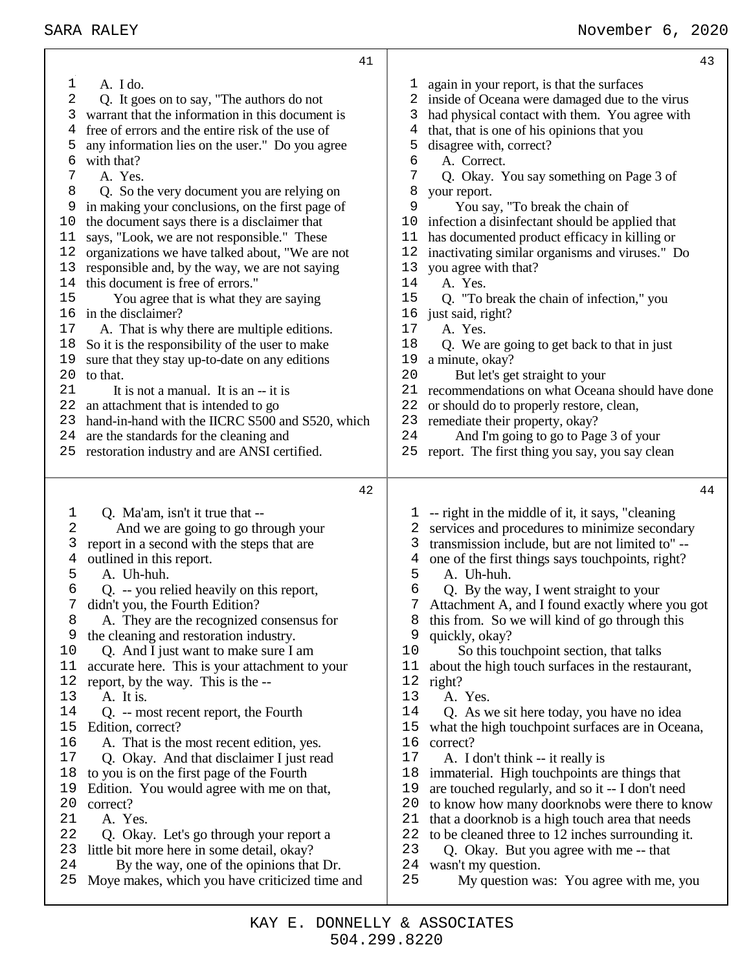|    | SARA RALEY                                       |    | November 6, 2020                                  |
|----|--------------------------------------------------|----|---------------------------------------------------|
|    | 41                                               |    | 43                                                |
| 1  | A. I do.                                         | T, | again in your report, is that the surfaces        |
| 2  | Q. It goes on to say, "The authors do not        |    | inside of Oceana were damaged due to the virus    |
| 3  | warrant that the information in this document is | 3  | had physical contact with them. You agree with    |
| 4  | free of errors and the entire risk of the use of | 4  | that, that is one of his opinions that you        |
| 5  | any information lies on the user." Do you agree  | 5  | disagree with, correct?                           |
| 6  | with that?                                       | 6  | A. Correct.                                       |
| 7  | A. Yes.                                          | 7  | Q. Okay. You say something on Page 3 of           |
| 8  | Q. So the very document you are relying on       | 8  | your report.                                      |
| 9  | in making your conclusions, on the first page of | 9  | You say, "To break the chain of                   |
| 10 | the document says there is a disclaimer that     | 10 | infection a disinfectant should be applied that   |
| 11 | says, "Look, we are not responsible." These      | 11 | has documented product efficacy in killing or     |
| 12 | organizations we have talked about, "We are not  | 12 | inactivating similar organisms and viruses." Do   |
| 13 | responsible and, by the way, we are not saying   | 13 | you agree with that?                              |
| 14 | this document is free of errors."                | 14 | A. Yes.                                           |
| 15 | You agree that is what they are saying           | 15 | Q. "To break the chain of infection," you         |
| 16 | in the disclaimer?                               | 16 | just said, right?                                 |
| 17 | A. That is why there are multiple editions.      | 17 | A. Yes.                                           |
| 18 | So it is the responsibility of the user to make  | 18 | Q. We are going to get back to that in just       |
| 19 | sure that they stay up-to-date on any editions   | 19 | a minute, okay?                                   |
| 20 | to that.                                         | 20 | But let's get straight to your                    |
| 21 | It is not a manual. It is an -- it is            | 21 | recommendations on what Oceana should have done   |
| 22 | an attachment that is intended to go             | 22 | or should do to properly restore, clean,          |
| 23 | hand-in-hand with the IICRC S500 and S520, which | 23 | remediate their property, okay?                   |
| 24 | are the standards for the cleaning and           | 24 | And I'm going to go to Page 3 of your             |
| 25 | restoration industry and are ANSI certified.     | 25 | report. The first thing you say, you say clean    |
|    |                                                  |    |                                                   |
|    | 42                                               |    | 44                                                |
| 1  | Q. Ma'am, isn't it true that --                  | ı  | -- right in the middle of it, it says, "cleaning  |
| 2  | And we are going to go through your              | 2  | services and procedures to minimize secondary     |
| 3  | report in a second with the steps that are       | 3  | transmission include, but are not limited to" --  |
| 4  | outlined in this report.                         | 4  | one of the first things says touch points, right? |
| 5  | A. Uh-huh.                                       | 5  | A. Uh-huh.                                        |
| 6  | Q. -- you relied heavily on this report,         | 6  | Q. By the way, I went straight to your            |
| 7  | didn't you, the Fourth Edition?                  | 7  | Attachment A, and I found exactly where you got   |
| 8  | A. They are the recognized consensus for         | 8  | this from. So we will kind of go through this     |
| 9  | the cleaning and restoration industry.           | 9  | quickly, okay?                                    |
| 10 | Q. And I just want to make sure I am             | 10 | So this touchpoint section, that talks            |
| 11 | accurate here. This is your attachment to your   | 11 | about the high touch surfaces in the restaurant,  |
| 12 | report, by the way. This is the --               | 12 | right?                                            |
| 13 | A. It is.                                        | 13 | A. Yes.                                           |
| 14 | Q. -- most recent report, the Fourth             | 14 | Q. As we sit here today, you have no idea         |
| 15 | Edition, correct?                                | 15 | what the high touchpoint surfaces are in Oceana,  |

correct?

A. I don't think -- it really is

- A. That is the most recent edition, yes.
- Q. Okay. And that disclaimer I just read
- to you is on the first page of the Fourth
- Edition. You would agree with me on that,
- correct?
- A. Yes.
- Q. Okay. Let's go through your report a
- little bit more here in some detail, okay?
- By the way, one of the opinions that Dr.
- Moye makes, which you have criticized time and
- 23 Q. Okay. But you agree with me -- that 24 wasn't my question. wasn't my question. My question was: You agree with me, you

 immaterial. High touchpoints are things that are touched regularly, and so it -- I don't need to know how many doorknobs were there to know that a doorknob is a high touch area that needs 22 to be cleaned three to 12 inches surrounding it.<br>23  $\bullet$  O Okay But you agree with me -- that

504.299.8220 KAY E. DONNELLY & ASSOCIATES

- 
- have done
- 
- report. The first thing you say, you say clean
	-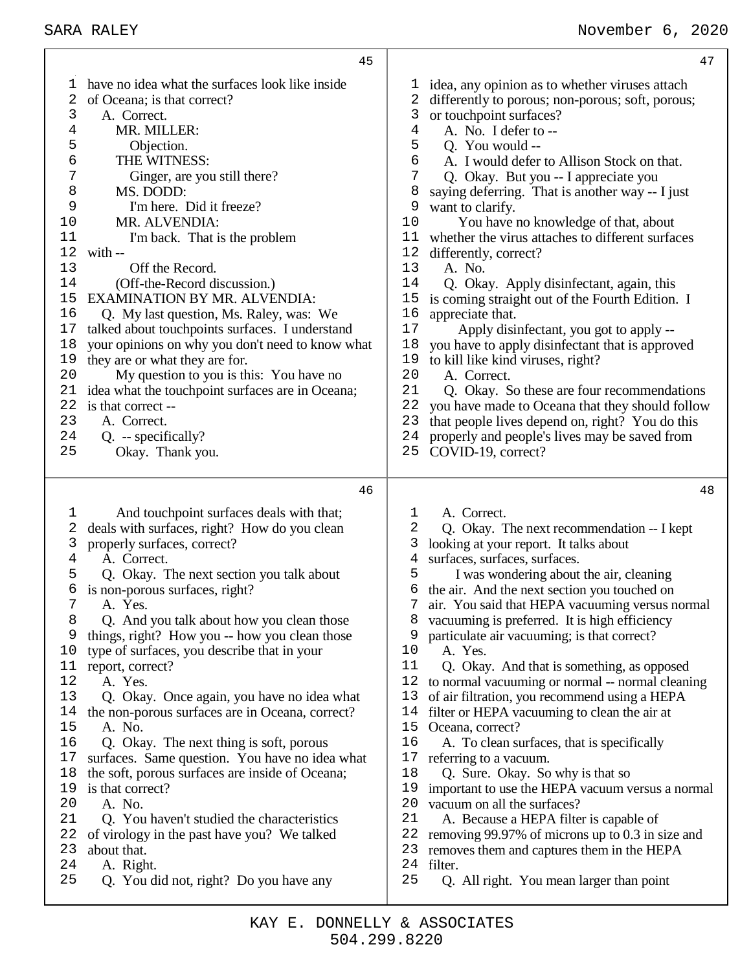| 45                                               | 47                                               |
|--------------------------------------------------|--------------------------------------------------|
| have no idea what the surfaces look like inside  | idea, any opinion as to whether viruses attach   |
| T.                                               | $\perp$                                          |
| 2                                                | differently to porous; non-porous; soft, porous; |
| of Oceana; is that correct?                      | 2                                                |
| 3                                                | or touchpoint surfaces?                          |
| A. Correct.                                      | 3                                                |
| MR. MILLER:                                      | A. No. I defer to --                             |
| 4                                                | 4                                                |
| 5                                                | 5                                                |
| Objection.                                       | Q. You would --                                  |
| 6                                                | 6                                                |
| THE WITNESS:                                     | A. I would defer to Allison Stock on that.       |
| 7                                                | 7                                                |
| Ginger, are you still there?                     | Q. Okay. But you -- I appreciate you             |
| 8                                                | saying deferring. That is another way -- I just  |
| MS. DODD:                                        | 8                                                |
| 9                                                | 9                                                |
| I'm here. Did it freeze?                         | want to clarify.                                 |
| MR. ALVENDIA:                                    | You have no knowledge of that, about             |
| 10                                               | 10                                               |
| 11                                               | whether the virus attaches to different surfaces |
| I'm back. That is the problem                    | 11                                               |
| 12                                               | 12                                               |
| with --                                          | differently, correct?                            |
| 13                                               | 13                                               |
| Off the Record.                                  | A. No.                                           |
| (Off-the-Record discussion.)                     | 14                                               |
| 14                                               | Q. Okay. Apply disinfectant, again, this         |
| <b>EXAMINATION BY MR. ALVENDIA:</b>              | 15                                               |
| 15                                               | is coming straight out of the Fourth Edition. I  |
| 16                                               | 16                                               |
| Q. My last question, Ms. Raley, was: We          | appreciate that.                                 |
| 17                                               | 17                                               |
| talked about touchpoints surfaces. I understand  | Apply disinfectant, you got to apply --          |
| your opinions on why you don't need to know what | 18                                               |
| 18                                               | you have to apply disinfectant that is approved  |
| they are or what they are for.                   | 19                                               |
| 19                                               | to kill like kind viruses, right?                |
| 20                                               | 20                                               |
| My question to you is this: You have no          | A. Correct.                                      |
| 21                                               | 21                                               |
| idea what the touchpoint surfaces are in Oceana; | Q. Okay. So these are four recommendations       |
| 22                                               | 22                                               |
| is that correct --                               | you have made to Oceana that they should follow  |
| 23                                               | that people lives depend on, right? You do this  |
| A. Correct.                                      | 23                                               |
| 24                                               | 24                                               |
| $Q. - specifically?$                             | properly and people's lives may be saved from    |
| 25                                               | COVID-19, correct?                               |
| Okay. Thank you.                                 | 25                                               |
| 46                                               | 48                                               |
| And touchpoint surfaces deals with that;         | A. Correct.                                      |
| 1                                                | ı                                                |
| deals with surfaces, right? How do you clean     | 2                                                |
| 2                                                | Q. Okay. The next recommendation -- I kept       |
| 3                                                | 3                                                |
| properly surfaces, correct?                      | looking at your report. It talks about           |
| 4                                                | surfaces, surfaces, surfaces.                    |
| A. Correct.                                      | 4                                                |
| 5                                                | 5                                                |
| Q. Okay. The next section you talk about         | I was wondering about the air, cleaning          |
| 6                                                | the air. And the next section you touched on     |
| is non-porous surfaces, right?                   | 6                                                |
| 7                                                | $\overline{7}$                                   |
| A. Yes.                                          | air. You said that HEPA vacuuming versus normal  |
| 8                                                | vacuuming is preferred. It is high efficiency    |
| Q. And you talk about how you clean those        | 8                                                |
| 9                                                | particulate air vacuuming; is that correct?      |
| things, right? How you -- how you clean those    | 9                                                |
| 10                                               | 10                                               |
| type of surfaces, you describe that in your      | A. Yes.                                          |
| 11                                               | 11                                               |
| report, correct?                                 | Q. Okay. And that is something, as opposed       |
| 12                                               | 12                                               |
| A. Yes.                                          | to normal vacuuming or normal -- normal cleaning |
| 13                                               | 13                                               |
| Q. Okay. Once again, you have no idea what       | of air filtration, you recommend using a HEPA    |
| 14                                               | filter or HEPA vacuuming to clean the air at     |
| the non-porous surfaces are in Oceana, correct?  | 14                                               |
| 15                                               | 15                                               |
| A. No.                                           | Oceana, correct?                                 |
| 16                                               | 16                                               |
| Q. Okay. The next thing is soft, porous          | A. To clean surfaces, that is specifically       |
| 17                                               | 17                                               |
| surfaces. Same question. You have no idea what   | referring to a vacuum.                           |
| 18                                               | 18                                               |
| the soft, porous surfaces are inside of Oceana;  | Q. Sure. Okay. So why is that so                 |
| is that correct?                                 | 19                                               |
| 19                                               | important to use the HEPA vacuum versus a normal |
| A. No.                                           | 20                                               |
| 20                                               | vacuum on all the surfaces?                      |
| 21                                               | 21                                               |
| Q. You haven't studied the characteristics       | A. Because a HEPA filter is capable of           |
| 22                                               | 22                                               |
| of virology in the past have you? We talked      | removing 99.97% of microns up to 0.3 in size and |
| 23                                               | 23                                               |
| about that.                                      | removes them and captures them in the HEPA       |
| 24                                               | 24                                               |
| A. Right.                                        | filter.                                          |
| 25                                               | 25                                               |
| Q. You did not, right? Do you have any           | Q. All right. You mean larger than point         |

Τ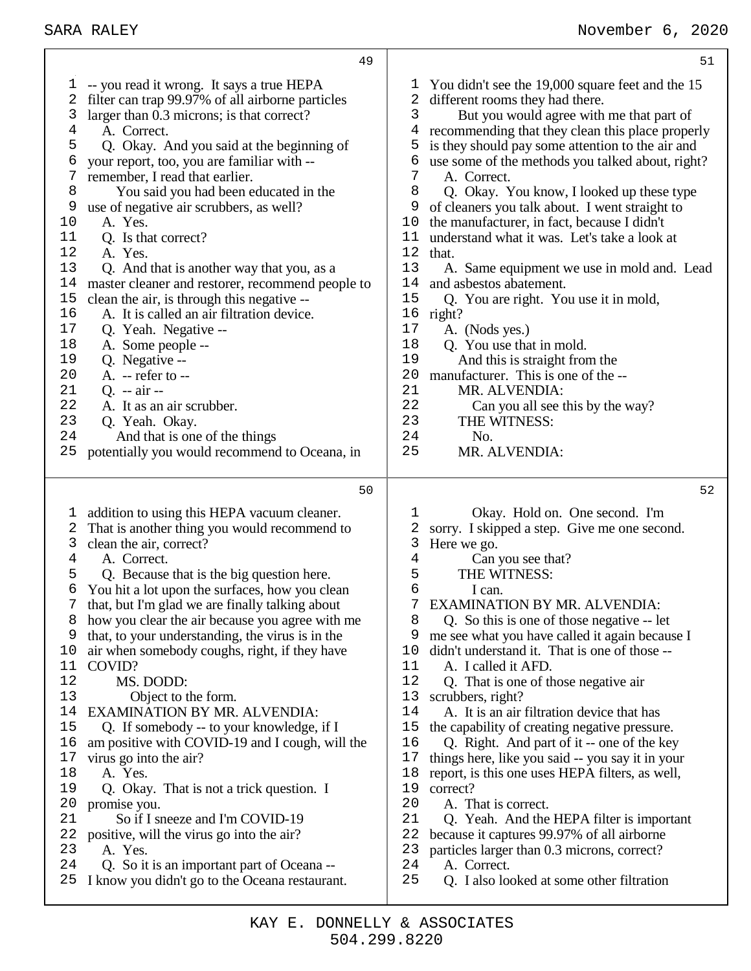|                                                                                                                                            | 49                                                                                                                                                                                                                                                                                                                                                                                                                                                                                                                                                                                                                                                                                                                                                                                                                                                                                                                        |                                                                                                                                            | 51                                                                                                                                                                                                                                                                                                                                                                                                                                                                                                                                                                                                                                                                                                                                                                                                                                                                                                                    |
|--------------------------------------------------------------------------------------------------------------------------------------------|---------------------------------------------------------------------------------------------------------------------------------------------------------------------------------------------------------------------------------------------------------------------------------------------------------------------------------------------------------------------------------------------------------------------------------------------------------------------------------------------------------------------------------------------------------------------------------------------------------------------------------------------------------------------------------------------------------------------------------------------------------------------------------------------------------------------------------------------------------------------------------------------------------------------------|--------------------------------------------------------------------------------------------------------------------------------------------|-----------------------------------------------------------------------------------------------------------------------------------------------------------------------------------------------------------------------------------------------------------------------------------------------------------------------------------------------------------------------------------------------------------------------------------------------------------------------------------------------------------------------------------------------------------------------------------------------------------------------------------------------------------------------------------------------------------------------------------------------------------------------------------------------------------------------------------------------------------------------------------------------------------------------|
| I,<br>2<br>3<br>4<br>5<br>6<br>7<br>8<br>9<br>10<br>11<br>12<br>13<br>14<br>15<br>16<br>17<br>18<br>19<br>20<br>21<br>22<br>23<br>24<br>25 | -- you read it wrong. It says a true HEPA<br>filter can trap 99.97% of all airborne particles<br>larger than 0.3 microns; is that correct?<br>A. Correct.<br>Q. Okay. And you said at the beginning of<br>your report, too, you are familiar with --<br>remember, I read that earlier.<br>You said you had been educated in the<br>use of negative air scrubbers, as well?<br>A. Yes.<br>Q. Is that correct?<br>A. Yes.<br>Q. And that is another way that you, as a<br>master cleaner and restorer, recommend people to<br>clean the air, is through this negative --<br>A. It is called an air filtration device.<br>Q. Yeah. Negative --<br>A. Some people --<br>Q. Negative --<br>$A. - refer to -$<br>Q. $-$ air $-$<br>A. It as an air scrubber.<br>Q. Yeah. Okay.<br>And that is one of the things<br>potentially you would recommend to Oceana, in                                                                | ı,<br>2<br>3<br>4<br>5<br>6<br>7<br>8<br>9<br>10<br>11<br>12<br>13<br>14<br>15<br>16<br>17<br>18<br>19<br>20<br>21<br>22<br>23<br>24<br>25 | You didn't see the 19,000 square feet and the 15<br>different rooms they had there.<br>But you would agree with me that part of<br>recommending that they clean this place properly<br>is they should pay some attention to the air and<br>use some of the methods you talked about, right?<br>A. Correct.<br>Q. Okay. You know, I looked up these type<br>of cleaners you talk about. I went straight to<br>the manufacturer, in fact, because I didn't<br>understand what it was. Let's take a look at<br>that.<br>A. Same equipment we use in mold and. Lead<br>and asbestos abatement.<br>Q. You are right. You use it in mold,<br>right?<br>A. (Nods yes.)<br>Q. You use that in mold.<br>And this is straight from the<br>manufacturer. This is one of the --<br>MR. ALVENDIA:<br>Can you all see this by the way?<br>THE WITNESS:<br>No.<br>MR. ALVENDIA:                                                      |
|                                                                                                                                            | 50                                                                                                                                                                                                                                                                                                                                                                                                                                                                                                                                                                                                                                                                                                                                                                                                                                                                                                                        |                                                                                                                                            | 52                                                                                                                                                                                                                                                                                                                                                                                                                                                                                                                                                                                                                                                                                                                                                                                                                                                                                                                    |
| l,<br>2<br>3<br>4<br>5<br>6<br>8<br>9<br>10<br>11<br>12<br>13<br>14<br>15<br>16<br>17<br>18<br>19<br>20<br>21<br>22<br>23<br>24<br>25      | addition to using this HEPA vacuum cleaner.<br>That is another thing you would recommend to<br>clean the air, correct?<br>A. Correct.<br>Q. Because that is the big question here.<br>You hit a lot upon the surfaces, how you clean<br>that, but I'm glad we are finally talking about<br>how you clear the air because you agree with me<br>that, to your understanding, the virus is in the<br>air when somebody coughs, right, if they have<br>COVID?<br>MS. DODD:<br>Object to the form.<br>EXAMINATION BY MR. ALVENDIA:<br>Q. If somebody -- to your knowledge, if I<br>am positive with COVID-19 and I cough, will the<br>virus go into the air?<br>A. Yes.<br>Q. Okay. That is not a trick question. I<br>promise you.<br>So if I sneeze and I'm COVID-19<br>positive, will the virus go into the air?<br>A. Yes.<br>Q. So it is an important part of Oceana --<br>I know you didn't go to the Oceana restaurant. | ı<br>2<br>3<br>4<br>5<br>6<br>7<br>8<br>9<br>10<br>11<br>12<br>13<br>14<br>15<br>16<br>17<br>18<br>19<br>20<br>21<br>22<br>23<br>24<br>25  | Okay. Hold on. One second. I'm<br>sorry. I skipped a step. Give me one second.<br>Here we go.<br>Can you see that?<br>THE WITNESS:<br>I can.<br><b>EXAMINATION BY MR. ALVENDIA:</b><br>Q. So this is one of those negative -- let<br>me see what you have called it again because I<br>didn't understand it. That is one of those --<br>A. I called it AFD.<br>Q. That is one of those negative air<br>scrubbers, right?<br>A. It is an air filtration device that has<br>the capability of creating negative pressure.<br>Q. Right. And part of it -- one of the key<br>things here, like you said -- you say it in your<br>report, is this one uses HEPA filters, as well,<br>correct?<br>A. That is correct.<br>Q. Yeah. And the HEPA filter is important<br>because it captures 99.97% of all airborne<br>particles larger than 0.3 microns, correct?<br>A. Correct.<br>Q. I also looked at some other filtration |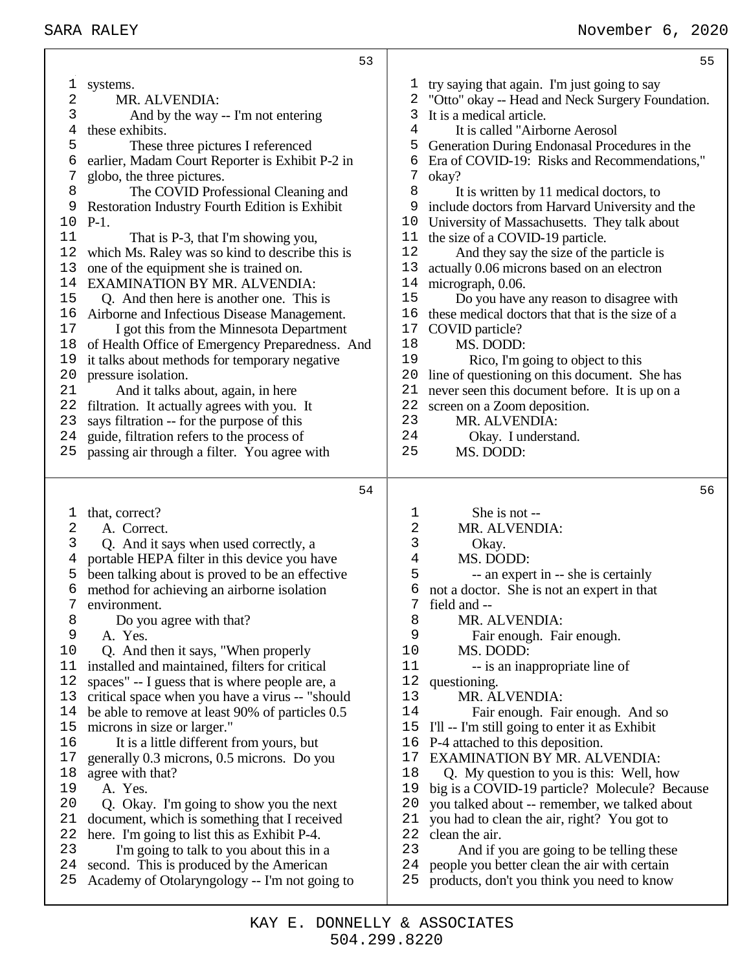|          | 53                                                                                        |            | 55                                                                                         |
|----------|-------------------------------------------------------------------------------------------|------------|--------------------------------------------------------------------------------------------|
| 1        | systems.                                                                                  | T          | try saying that again. I'm just going to say                                               |
| 2        | MR. ALVENDIA:                                                                             | 2          | "Otto" okay -- Head and Neck Surgery Foundation.                                           |
| 3        | And by the way -- I'm not entering                                                        | 3          | It is a medical article.                                                                   |
| 4        | these exhibits.                                                                           | 4          | It is called "Airborne Aerosol                                                             |
| 5        | These three pictures I referenced                                                         | 5          | Generation During Endonasal Procedures in the                                              |
| 6        | earlier, Madam Court Reporter is Exhibit P-2 in                                           | 6          | Era of COVID-19: Risks and Recommendations,"                                               |
| 7        | globo, the three pictures.                                                                | 7          | okay?                                                                                      |
| 8        | The COVID Professional Cleaning and                                                       | 8          | It is written by 11 medical doctors, to                                                    |
| 9        | Restoration Industry Fourth Edition is Exhibit                                            | 9          | include doctors from Harvard University and the                                            |
| 10       | $P-1.$                                                                                    | 10         | University of Massachusetts. They talk about                                               |
| 11       | That is P-3, that I'm showing you,                                                        | 11         | the size of a COVID-19 particle.                                                           |
| 12       | which Ms. Raley was so kind to describe this is                                           | 12         | And they say the size of the particle is                                                   |
| 13       | one of the equipment she is trained on.                                                   | 13         | actually 0.06 microns based on an electron                                                 |
| 14       | EXAMINATION BY MR. ALVENDIA:                                                              | 14         | micrograph, 0.06.                                                                          |
| 15       | Q. And then here is another one. This is                                                  | 15         | Do you have any reason to disagree with                                                    |
| 16       | Airborne and Infectious Disease Management.                                               | 16         | these medical doctors that that is the size of a                                           |
| 17       | I got this from the Minnesota Department                                                  | 17         | COVID particle?                                                                            |
| 18       | of Health Office of Emergency Preparedness. And                                           | 18         | MS. DODD:                                                                                  |
| 19       | it talks about methods for temporary negative                                             | 19         | Rico, I'm going to object to this                                                          |
| 20       | pressure isolation.                                                                       | 20         | line of questioning on this document. She has                                              |
| 21       | And it talks about, again, in here                                                        | 21         | never seen this document before. It is up on a                                             |
| 22       | filtration. It actually agrees with you. It                                               | 22         | screen on a Zoom deposition.                                                               |
| 23       | says filtration -- for the purpose of this                                                | 23         | MR. ALVENDIA:                                                                              |
| 24       | guide, filtration refers to the process of                                                | 24         | Okay. I understand.                                                                        |
| 25       | passing air through a filter. You agree with                                              | 25         | MS. DODD:                                                                                  |
|          | 54                                                                                        |            | 56                                                                                         |
|          | that, correct?                                                                            | 1          | She is not --                                                                              |
| l,<br>2  | A. Correct.                                                                               | $\sqrt{2}$ | MR. ALVENDIA:                                                                              |
| 3        | Q. And it says when used correctly, a                                                     | 3          | Okay.                                                                                      |
| 4        | portable HEPA filter in this device you have                                              | 4          | MS. DODD:                                                                                  |
| 5        | been talking about is proved to be an effective                                           | 5          | -- an expert in -- she is certainly                                                        |
| 6        | method for achieving an airborne isolation                                                | б          | not a doctor. She is not an expert in that                                                 |
|          | environment.                                                                              | 7          | field and --                                                                               |
| 8        | Do you agree with that?                                                                   | 8          | MR. ALVENDIA:                                                                              |
| 9        | A. Yes.                                                                                   | 9          | Fair enough. Fair enough.                                                                  |
| 10       | Q. And then it says, "When properly                                                       | 10         | MS. DODD:                                                                                  |
| 11       | installed and maintained, filters for critical                                            | 11         | -- is an inappropriate line of                                                             |
| 12       | spaces" -- I guess that is where people are, a                                            | 12         | questioning.                                                                               |
| 13       | critical space when you have a virus -- "should                                           | 13         | MR. ALVENDIA:                                                                              |
| 14       | be able to remove at least 90% of particles 0.5                                           | 14         | Fair enough. Fair enough. And so                                                           |
| 15       | microns in size or larger."                                                               | 15         | I'll -- I'm still going to enter it as Exhibit                                             |
| 16       | It is a little different from yours, but                                                  | 16         | P-4 attached to this deposition.                                                           |
| 17       | generally 0.3 microns, 0.5 microns. Do you                                                | 17         | <b>EXAMINATION BY MR. ALVENDIA:</b>                                                        |
| 18       | agree with that?                                                                          | 18         | Q. My question to you is this: Well, how                                                   |
| 19       | A. Yes.                                                                                   | 19         | big is a COVID-19 particle? Molecule? Because                                              |
| 20       | Q. Okay. I'm going to show you the next                                                   | 20         | you talked about -- remember, we talked about                                              |
| 21       | document, which is something that I received                                              | 21         | you had to clean the air, right? You got to                                                |
| 22       | here. I'm going to list this as Exhibit P-4.                                              | 22         | clean the air.                                                                             |
| 23       | I'm going to talk to you about this in a                                                  | 23         | And if you are going to be telling these                                                   |
|          |                                                                                           |            |                                                                                            |
| 24<br>25 | second. This is produced by the American<br>Academy of Otolaryngology -- I'm not going to | 24<br>25   | people you better clean the air with certain<br>products, don't you think you need to know |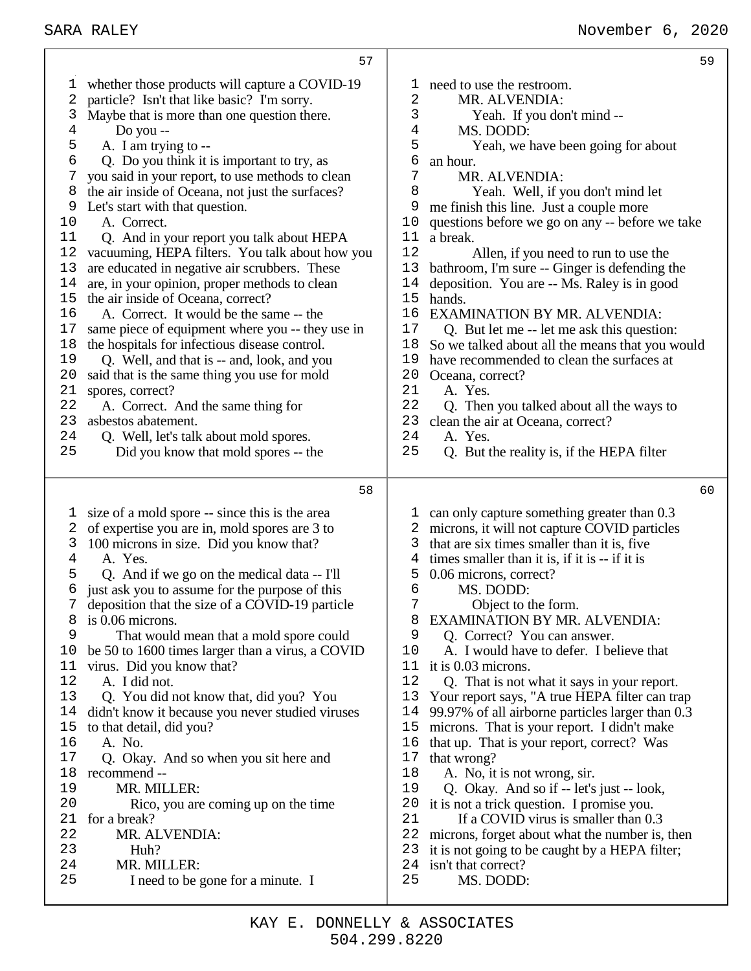|                | 57                                               |                |                                                  |
|----------------|--------------------------------------------------|----------------|--------------------------------------------------|
| T              | whether those products will capture a COVID-19   | I.             | need to use the restroom.                        |
| 2              | particle? Isn't that like basic? I'm sorry.      | 2              | MR. ALVENDIA:                                    |
| 3              | Maybe that is more than one question there.      | 3              | Yeah. If you don't mind --                       |
| 4              | Do you --                                        | $\overline{4}$ | MS. DODD:                                        |
| 5              | A. I am trying to --                             | 5              | Yeah, we have been going for about               |
| 6              | Q. Do you think it is important to try, as       | 6              | an hour.                                         |
| 7              | you said in your report, to use methods to clean | 7              | MR. ALVENDIA:                                    |
| 8              | the air inside of Oceana, not just the surfaces? | 8              | Yeah. Well, if you don't mind let                |
| 9              | Let's start with that question.                  | 9              | me finish this line. Just a couple more          |
| 10             | A. Correct.                                      | 10             | questions before we go on any -- before we take  |
| 11             | Q. And in your report you talk about HEPA        | 11             | a break.                                         |
| 12             | vacuuming, HEPA filters. You talk about how you  | 12             | Allen, if you need to run to use the             |
| 13             | are educated in negative air scrubbers. These    | 13             | bathroom, I'm sure -- Ginger is defending the    |
| 14             | are, in your opinion, proper methods to clean    | 14             | deposition. You are -- Ms. Raley is in good      |
| 15             | the air inside of Oceana, correct?               | 15             | hands.                                           |
| 16             | A. Correct. It would be the same -- the          | 16             | <b>EXAMINATION BY MR. ALVENDIA:</b>              |
| 17             | same piece of equipment where you -- they use in | 17             | Q. But let me -- let me ask this question:       |
| 18             | the hospitals for infectious disease control.    | 18             | So we talked about all the means that you would  |
| 19             | Q. Well, and that is -- and, look, and you       | 19             | have recommended to clean the surfaces at        |
| 20             | said that is the same thing you use for mold     | 20             | Oceana, correct?                                 |
| 21             | spores, correct?                                 | 21             | A. Yes.                                          |
| 22             | A. Correct. And the same thing for               | 22             | Q. Then you talked about all the ways to         |
| 23             | asbestos abatement.                              | 23             | clean the air at Oceana, correct?                |
| 24             | Q. Well, let's talk about mold spores.           | 24             | A. Yes.                                          |
| 25             | Did you know that mold spores -- the             | 25             | Q. But the reality is, if the HEPA filter        |
|                | 58                                               |                |                                                  |
| 1              | size of a mold spore -- since this is the area   |                | can only capture something greater than 0.3      |
| 2              | of expertise you are in, mold spores are 3 to    |                | microns, it will not capture COVID particles     |
| 3              | 100 microns in size. Did you know that?          | 3              | that are six times smaller than it is, five      |
| 4              | A. Yes.                                          | 4              | times smaller than it is, if it is -- if it is   |
| 5              | Q. And if we go on the medical data -- I'll      | 5              | 0.06 microns, correct?                           |
| 6              | just ask you to assume for the purpose of this   | 6              | MS. DODD:                                        |
| $7\phantom{.}$ | deposition that the size of a COVID-19 particle  | 7              | Object to the form.                              |
| 8              | is 0.06 microns.                                 | 8              | <b>EXAMINATION BY MR. ALVENDIA:</b>              |
| 9              | That would mean that a mold spore could          | 9              | Q. Correct? You can answer.                      |
| 10             | be 50 to 1600 times larger than a virus, a COVID | 10             | A. I would have to defer. I believe that         |
| 11             | virus. Did you know that?                        | 11             | it is 0.03 microns.                              |
| 12             | A. I did not.                                    | 12             | Q. That is not what it says in your report.      |
| 13             | Q. You did not know that, did you? You           | 13             | Your report says, "A true HEPA filter can trap   |
| 14             | didn't know it because you never studied viruses | 14             | 99.97% of all airborne particles larger than 0.3 |
| 15             | to that detail, did you?                         | 15             | microns. That is your report. I didn't make      |
| 16             | A. No.                                           | 16             | that up. That is your report, correct? Was       |
| 17             | Q. Okay. And so when you sit here and            | 17             | that wrong?                                      |
| 18             | recommend --                                     | 18             | A. No, it is not wrong, sir.                     |
| 19             | MR. MILLER:                                      | 19             | Q. Okay. And so if -- let's just -- look,        |
| 20             | Rico, you are coming up on the time              | 20             | it is not a trick question. I promise you.       |
| 21             | for a break?                                     | 21             | If a COVID virus is smaller than 0.3             |
| 22             | MR. ALVENDIA:                                    | 22             | microns, forget about what the number is, then   |
| 23             | Huh?                                             | 23             | it is not going to be caught by a HEPA filter;   |
| 24             | MR. MILLER:                                      | 24             | isn't that correct?                              |
| 25             | I need to be gone for a minute. I                | 25             | MS. DODD:                                        |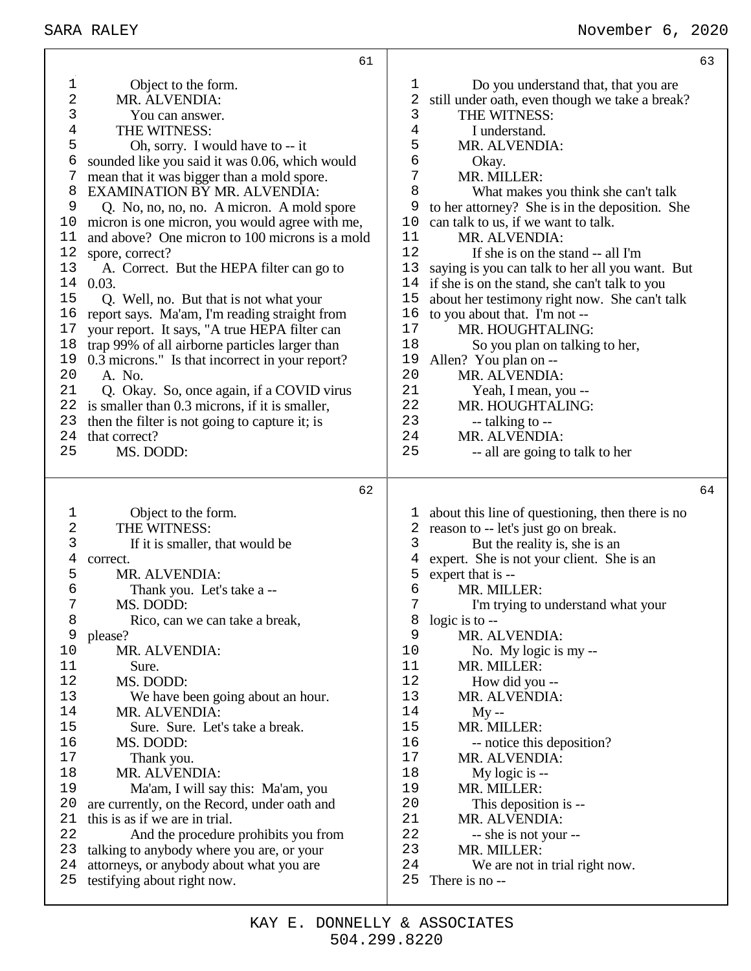|                 | 61                                                                      |          |                                                  | 63 |
|-----------------|-------------------------------------------------------------------------|----------|--------------------------------------------------|----|
| 1               | Object to the form.                                                     | 1        | Do you understand that, that you are             |    |
| 2               | MR. ALVENDIA:                                                           | 2        | still under oath, even though we take a break?   |    |
| 3               | You can answer.                                                         | 3        | THE WITNESS:                                     |    |
| 4               | THE WITNESS:                                                            | 4        | I understand.                                    |    |
| 5               | Oh, sorry. I would have to -- it                                        | 5        | MR. ALVENDIA:                                    |    |
| б               | sounded like you said it was 0.06, which would                          | 6        | Okay.                                            |    |
| 7               | mean that it was bigger than a mold spore.                              | 7        | MR. MILLER:                                      |    |
| 8               | <b>EXAMINATION BY MR. ALVENDIA:</b>                                     | 8        | What makes you think she can't talk              |    |
| 9               | Q. No, no, no, no. A micron. A mold spore                               | 9        | to her attorney? She is in the deposition. She   |    |
| 10              | micron is one micron, you would agree with me,                          | 10       | can talk to us, if we want to talk.              |    |
| 11              | and above? One micron to 100 microns is a mold                          | 11       | MR. ALVENDIA:                                    |    |
| $1\,2$          | spore, correct?                                                         | 12       | If she is on the stand -- all I'm                |    |
| 13              | A. Correct. But the HEPA filter can go to                               | 13       | saying is you can talk to her all you want. But  |    |
| 14              | 0.03.                                                                   | 14       | if she is on the stand, she can't talk to you    |    |
| 15              | Q. Well, no. But that is not what your                                  | 15       | about her testimony right now. She can't talk    |    |
| 16              | report says. Ma'am, I'm reading straight from                           | 16       | to you about that. I'm not --                    |    |
| 17              | your report. It says, "A true HEPA filter can                           | 17       | MR. HOUGHTALING:                                 |    |
| 18              | trap 99% of all airborne particles larger than                          | 18       | So you plan on talking to her,                   |    |
| 19              | 0.3 microns." Is that incorrect in your report?                         | 19       | Allen? You plan on --                            |    |
| 20              | A. No.                                                                  | 20       | MR. ALVENDIA:                                    |    |
| 21              | Q. Okay. So, once again, if a COVID virus                               | 21       | Yeah, I mean, you --                             |    |
| 22              | is smaller than 0.3 microns, if it is smaller,                          | 22       | MR. HOUGHTALING:                                 |    |
| 23              | then the filter is not going to capture it; is                          | 23       | --- talking to --                                |    |
| 24<br>25        | that correct?                                                           | 24<br>25 | MR. ALVENDIA:                                    |    |
|                 | MS. DODD:                                                               |          | -- all are going to talk to her                  |    |
|                 |                                                                         |          |                                                  |    |
|                 | 62                                                                      |          |                                                  | 64 |
|                 |                                                                         |          |                                                  |    |
| 1               | Object to the form.                                                     | L,       | about this line of questioning, then there is no |    |
| $\sqrt{2}$<br>3 | THE WITNESS:                                                            | 2<br>3   | reason to -- let's just go on break.             |    |
| 4               | If it is smaller, that would be<br>correct.                             | 4        | But the reality is, she is an                    |    |
| 5               | MR. ALVENDIA:                                                           | 5        | expert. She is not your client. She is an        |    |
| 6               | Thank you. Let's take a --                                              | 6        | expert that is --<br>MR. MILLER:                 |    |
| 7               | MS. DODD:                                                               | 7        | I'm trying to understand what your               |    |
| 8               | Rico, can we can take a break,                                          | 8        | logic is to $-$                                  |    |
| 9               | please?                                                                 | 9        | MR. ALVENDIA:                                    |    |
| 10              | MR. ALVENDIA:                                                           | 10       | No. My logic is my --                            |    |
| 11              | Sure.                                                                   | 11       | MR. MILLER:                                      |    |
| 12              | MS. DODD:                                                               | 12       | How did you --                                   |    |
| 13              | We have been going about an hour.                                       | 13       | MR. ALVENDIA:                                    |    |
| 14              | MR. ALVENDIA:                                                           | 14       | $My -$                                           |    |
| 15              | Sure. Sure. Let's take a break.                                         | 15       | MR. MILLER:                                      |    |
| 16              | MS. DODD:                                                               | 16       | -- notice this deposition?                       |    |
| 17              | Thank you.                                                              | 17       | MR. ALVENDIA:                                    |    |
| 18              | MR. ALVENDIA:                                                           | 18       | My logic is --                                   |    |
| 19              | Ma'am, I will say this: Ma'am, you                                      | 19       | MR. MILLER:                                      |    |
| 20              | are currently, on the Record, under oath and                            | 20       | This deposition is --                            |    |
| 21              | this is as if we are in trial.                                          | 21       | MR. ALVENDIA:                                    |    |
| 22              | And the procedure prohibits you from                                    | 22       | -- she is not your --                            |    |
| 23              | talking to anybody where you are, or your                               | 23       | MR. MILLER:                                      |    |
| 24<br>25        | attorneys, or anybody about what you are<br>testifying about right now. | 24<br>25 | We are not in trial right now.<br>There is no -- |    |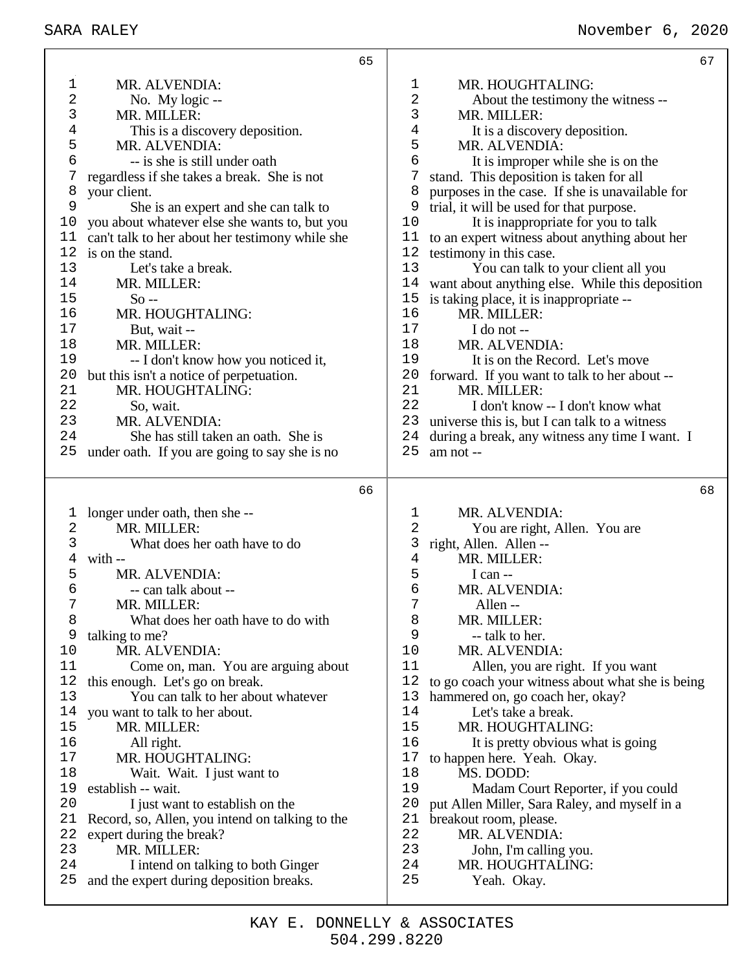|                 | 65                                                                             |                                                                                | 67                                               |
|-----------------|--------------------------------------------------------------------------------|--------------------------------------------------------------------------------|--------------------------------------------------|
| 1               | MR. ALVENDIA:                                                                  | $\mathbf 1$<br>MR. HOUGHTALING:                                                |                                                  |
| 2               | No. My logic --                                                                | $\sqrt{2}$                                                                     | About the testimony the witness --               |
| 3               | MR. MILLER:                                                                    | $\mathfrak{Z}$<br>MR. MILLER:                                                  |                                                  |
| 4               | This is a discovery deposition.                                                | $\overline{4}$<br>It is a discovery deposition.                                |                                                  |
| 5               | MR. ALVENDIA:                                                                  | 5<br>MR. ALVENDIA:                                                             |                                                  |
| 6               | -- is she is still under oath                                                  | 6                                                                              | It is improper while she is on the               |
| 7               | regardless if she takes a break. She is not                                    | 7<br>stand. This deposition is taken for all                                   |                                                  |
| 8               | your client.                                                                   | 8<br>purposes in the case. If she is unavailable for                           |                                                  |
| 9               | She is an expert and she can talk to                                           | trial, it will be used for that purpose.<br>9                                  |                                                  |
| 10<br>11        | you about whatever else she wants to, but you                                  | 10<br>11                                                                       | It is inappropriate for you to talk              |
| 12              | can't talk to her about her testimony while she<br>is on the stand.            | to an expert witness about anything about her<br>12<br>testimony in this case. |                                                  |
| 13              | Let's take a break.                                                            | 13                                                                             | You can talk to your client all you              |
| 14              | MR. MILLER:                                                                    | 14                                                                             | want about anything else. While this deposition  |
| 15              | $So -$                                                                         | 15<br>is taking place, it is inappropriate --                                  |                                                  |
| 16              | MR. HOUGHTALING:                                                               | 16<br>MR. MILLER:                                                              |                                                  |
| 17              | But, wait --                                                                   | 17<br>I do not --                                                              |                                                  |
| 18              | MR. MILLER:                                                                    | 18<br>MR. ALVENDIA:                                                            |                                                  |
| 19              | -- I don't know how you noticed it,                                            | 19<br>It is on the Record. Let's move                                          |                                                  |
| 20              | but this isn't a notice of perpetuation.                                       | 20<br>forward. If you want to talk to her about --                             |                                                  |
| 21              | MR. HOUGHTALING:                                                               | 21<br>MR. MILLER:                                                              |                                                  |
| 22              | So, wait.                                                                      | 22                                                                             | I don't know -- I don't know what                |
| 23              | MR. ALVENDIA:                                                                  | 23<br>universe this is, but I can talk to a witness                            |                                                  |
| 24              | She has still taken an oath. She is                                            | 24<br>during a break, any witness any time I want. I                           |                                                  |
| 25              | under oath. If you are going to say she is no                                  | 25<br>am not --                                                                |                                                  |
|                 |                                                                                |                                                                                |                                                  |
|                 | 66                                                                             |                                                                                | 68                                               |
|                 |                                                                                |                                                                                |                                                  |
| 1<br>$\sqrt{2}$ | longer under oath, then she-<br>MR. MILLER:                                    | MR. ALVENDIA:<br>1<br>$\sqrt{2}$                                               |                                                  |
| 3               | What does her oath have to do                                                  | You are right, Allen. You are<br>3                                             |                                                  |
| 4               | with --                                                                        | right, Allen. Allen --<br>$\overline{4}$<br>MR. MILLER:                        |                                                  |
| 5               | MR. ALVENDIA:                                                                  | 5<br>I can $-$                                                                 |                                                  |
| 6               | -- can talk about --                                                           | 6<br>MR. ALVENDIA:                                                             |                                                  |
| 7               | MR. MILLER:                                                                    | 7<br>Allen --                                                                  |                                                  |
| 8               | What does her oath have to do with                                             | 8<br>MR. MILLER:                                                               |                                                  |
| 9               | talking to me?                                                                 | 9<br>-- talk to her.                                                           |                                                  |
| 10              | MR. ALVENDIA:                                                                  | 10<br>MR. ALVENDIA:                                                            |                                                  |
| 11              | Come on, man. You are arguing about                                            | 11                                                                             | Allen, you are right. If you want                |
| 12              | this enough. Let's go on break.                                                | 12                                                                             | to go coach your witness about what she is being |
| 13              | You can talk to her about whatever                                             | 13<br>hammered on, go coach her, okay?                                         |                                                  |
| 14              | you want to talk to her about.                                                 | 14<br>Let's take a break.                                                      |                                                  |
| 15              | MR. MILLER:                                                                    | 15<br>MR. HOUGHTALING:                                                         |                                                  |
| 16              | All right.                                                                     | 16                                                                             | It is pretty obvious what is going               |
| 17<br>18        | MR. HOUGHTALING:                                                               | $17$<br>to happen here. Yeah. Okay.<br>18                                      |                                                  |
| 19              | Wait. Wait. I just want to<br>establish -- wait.                               | MS. DODD:<br>19                                                                |                                                  |
| 20              | I just want to establish on the                                                | 20<br>put Allen Miller, Sara Raley, and myself in a                            | Madam Court Reporter, if you could               |
| 21              | Record, so, Allen, you intend on talking to the                                | 21<br>breakout room, please.                                                   |                                                  |
| 22              | expert during the break?                                                       | 22<br>MR. ALVENDIA:                                                            |                                                  |
| 23              | MR. MILLER:                                                                    | 23<br>John, I'm calling you.                                                   |                                                  |
| 24<br>25        | I intend on talking to both Ginger<br>and the expert during deposition breaks. | 24<br>MR. HOUGHTALING:<br>25<br>Yeah. Okay.                                    |                                                  |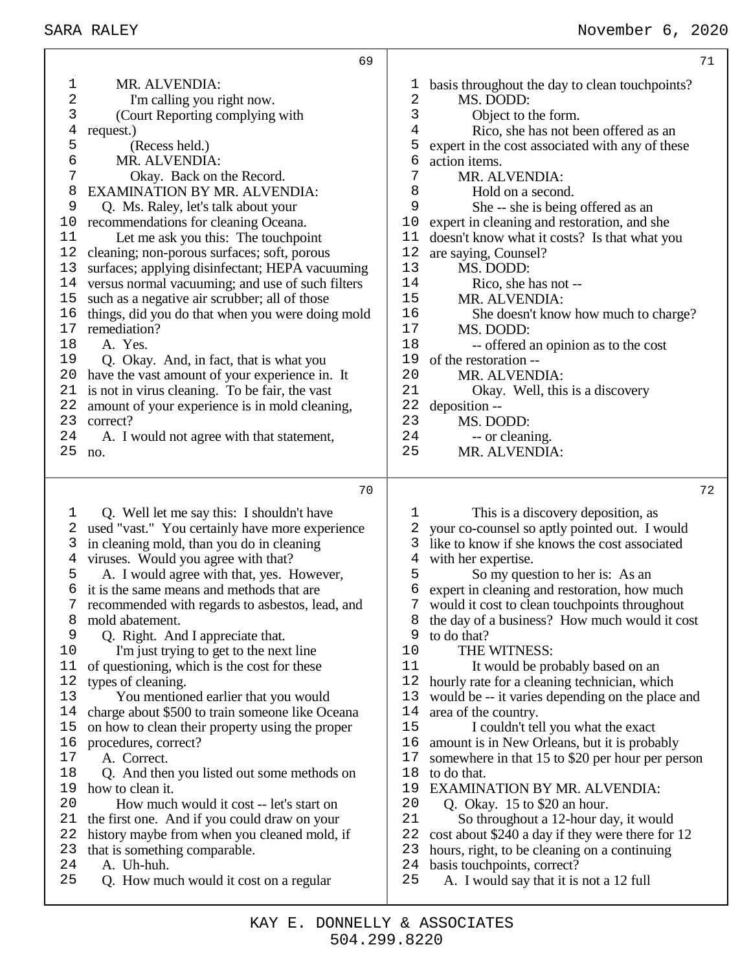|          | 69                                                                                                |            | 71                                                                               |
|----------|---------------------------------------------------------------------------------------------------|------------|----------------------------------------------------------------------------------|
| 1        | MR. ALVENDIA:                                                                                     | T          | basis throughout the day to clean touch points?                                  |
| 2        | I'm calling you right now.                                                                        | $\sqrt{2}$ | MS. DODD:                                                                        |
| 3        | (Court Reporting complying with                                                                   | 3          | Object to the form.                                                              |
| 4        | request.)                                                                                         | 4          | Rico, she has not been offered as an                                             |
| 5        | (Recess held.)                                                                                    | 5          | expert in the cost associated with any of these                                  |
| 6        | MR. ALVENDIA:                                                                                     | 6          | action items.                                                                    |
| 7        | Okay. Back on the Record.                                                                         | 7          | MR. ALVENDIA:                                                                    |
| 8        | <b>EXAMINATION BY MR. ALVENDIA:</b>                                                               | 8          | Hold on a second.                                                                |
| 9        | Q. Ms. Raley, let's talk about your                                                               | 9          | She -- she is being offered as an                                                |
| 10       | recommendations for cleaning Oceana.                                                              | 10         | expert in cleaning and restoration, and she                                      |
| 11       | Let me ask you this: The touchpoint                                                               | 11         | doesn't know what it costs? Is that what you                                     |
| 12<br>13 | cleaning; non-porous surfaces; soft, porous                                                       | 12<br>13   | are saying, Counsel?                                                             |
| 14       | surfaces; applying disinfectant; HEPA vacuuming                                                   | 14         | MS. DODD:<br>Rico, she has not --                                                |
| 15       | versus normal vacuuming; and use of such filters<br>such as a negative air scrubber; all of those | 15         | MR. ALVENDIA:                                                                    |
| 16       | things, did you do that when you were doing mold                                                  | 16         | She doesn't know how much to charge?                                             |
| 17       | remediation?                                                                                      | 17         | MS. DODD:                                                                        |
| 18       | A. Yes.                                                                                           | 18         | -- offered an opinion as to the cost                                             |
| 19       | Q. Okay. And, in fact, that is what you                                                           | 19         | of the restoration --                                                            |
| 20       | have the vast amount of your experience in. It                                                    | 20         | MR. ALVENDIA:                                                                    |
| 21       | is not in virus cleaning. To be fair, the vast                                                    | 21         | Okay. Well, this is a discovery                                                  |
| 22       | amount of your experience is in mold cleaning,                                                    | 22         | deposition --                                                                    |
| 23       | correct?                                                                                          | 23         | MS. DODD:                                                                        |
| 24       | A. I would not agree with that statement,                                                         | 24         | -- or cleaning.                                                                  |
| 25       | no.                                                                                               | 25         | MR. ALVENDIA:                                                                    |
|          |                                                                                                   |            |                                                                                  |
|          |                                                                                                   |            |                                                                                  |
|          | 70                                                                                                |            | 72                                                                               |
| 1        | Q. Well let me say this: I shouldn't have                                                         | 1          | This is a discovery deposition, as                                               |
| 2        | used "vast." You certainly have more experience                                                   | 2          | your co-counsel so aptly pointed out. I would                                    |
| 3        | in cleaning mold, than you do in cleaning                                                         | 3          | like to know if she knows the cost associated                                    |
| 4        | viruses. Would you agree with that?                                                               | 4          | with her expertise.                                                              |
| 5        | A. I would agree with that, yes. However,                                                         | 5          | So my question to her is: As an                                                  |
| 6        | it is the same means and methods that are                                                         | 6          | expert in cleaning and restoration, how much                                     |
|          | recommended with regards to asbestos, lead, and                                                   |            | would it cost to clean touch points throughout                                   |
| 8        | mold abatement.                                                                                   | 8          | the day of a business? How much would it cost                                    |
| 9        | Q. Right. And I appreciate that.                                                                  | 9          | to do that?                                                                      |
| 10       | I'm just trying to get to the next line                                                           | 10<br>11   | THE WITNESS:                                                                     |
| 11<br>12 | of questioning, which is the cost for these                                                       | 12         | It would be probably based on an<br>hourly rate for a cleaning technician, which |
| 13       | types of cleaning.<br>You mentioned earlier that you would                                        | 13         | would be -- it varies depending on the place and                                 |
| 14       | charge about \$500 to train someone like Oceana                                                   | 14         | area of the country.                                                             |
| 15       | on how to clean their property using the proper                                                   | 15         | I couldn't tell you what the exact                                               |
| 16       | procedures, correct?                                                                              | 16         | amount is in New Orleans, but it is probably                                     |
| 17       | A. Correct.                                                                                       | 17         | somewhere in that 15 to \$20 per hour per person                                 |
| 18       | Q. And then you listed out some methods on                                                        | 18         | to do that.                                                                      |
| 19       | how to clean it.                                                                                  | 19         | <b>EXAMINATION BY MR. ALVENDIA:</b>                                              |
| 20       | How much would it cost -- let's start on                                                          | 20         | Q. Okay. $15$ to \$20 an hour.                                                   |
| 21       | the first one. And if you could draw on your                                                      | 21         | So throughout a 12-hour day, it would                                            |
| 22       | history maybe from when you cleaned mold, if                                                      | 22         | cost about \$240 a day if they were there for 12                                 |
| 23       | that is something comparable.                                                                     | 23         | hours, right, to be cleaning on a continuing                                     |
| 24<br>25 | A. Uh-huh.<br>Q. How much would it cost on a regular                                              | 24<br>25   | basis touchpoints, correct?<br>A. I would say that it is not a 12 full           |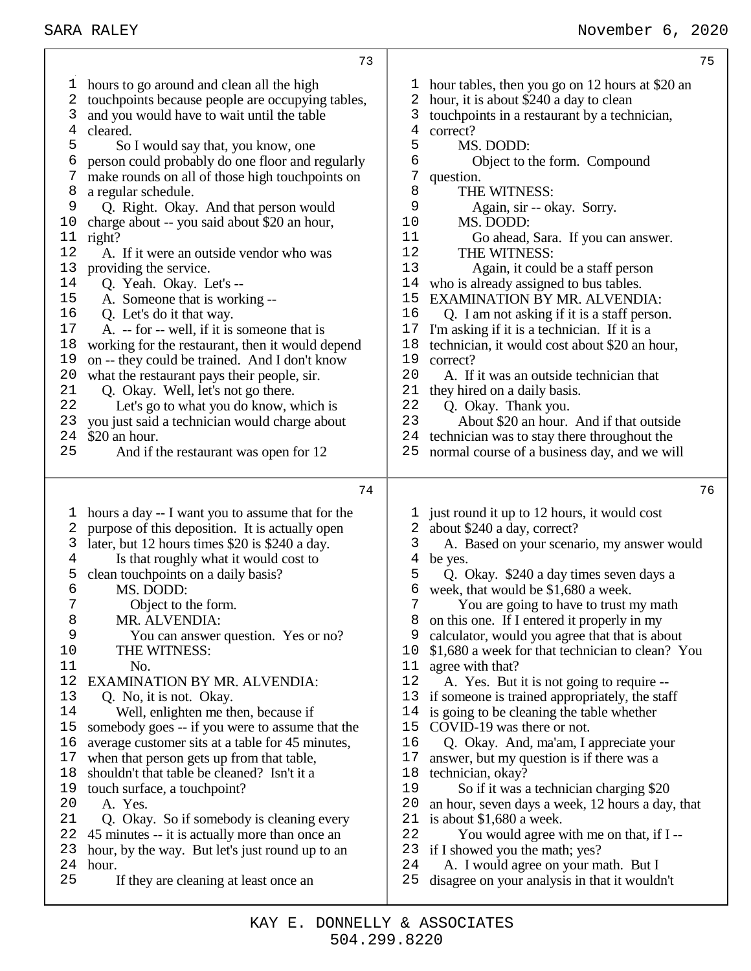hours to go around and clean all the high touchpoints because people are occupying tables, and you would have to wait until the table cleared. So I would say that, you know, one person could probably do one floor and regularly make rounds on all of those high touchpoints on a regular schedule. Q. Right. Okay. And that person would charge about -- you said about \$20 an hour, right? A. If it were an outside vendor who was providing the service. Q. Yeah. Okay. Let's -- A. Someone that is working -- Q. Let's do it that way. A. -- for -- well, if it is someone that is working for the restaurant, then it would depend on -- they could be trained. And I don't know 20 what the restaurant pays their people, sir.<br>21 O. Okay. Well, let's not go there. 21 Q. Okay. Well, let's not go there.<br>22 Let's go to what you do know. Let's go to what you do know, which is you just said a technician would charge about \$20 an hour.<br>25 And if t And if the restaurant was open for 12 hours a day -- I want you to assume that for the purpose of this deposition. It is actually open 3 later, but 12 hours times  $$20$  is  $$240$  a day.<br>4 Is that roughly what it would cost to Is that roughly what it would cost to clean touchpoints on a daily basis? MS. DODD: Object to the form. 8 MR. ALVENDIA:<br>9 You can answer You can answer question. Yes or no? THE WITNESS: No. EXAMINATION BY MR. ALVENDIA: Q. No, it is not. Okay. 14 Well, enlighten me then, because if<br>15 somebody goes -- if you were to assume somebody goes -- if you were to assume that the average customer sits at a table for 45 minutes, when that person gets up from that table, shouldn't that table be cleaned? Isn't it a 19 touch surface, a touchpoint?<br>20 A Yes A. Yes. Q. Okay. So if somebody is cleaning every 45 minutes -- it is actually more than once an hour, by the way. But let's just round up to an hour. If they are cleaning at least once an hour tables, then you go on 12 hours at \$20 an hour, it is about \$240 a day to clean touchpoints in a restaurant by a technician, correct? MS. DODD: Object to the form. Compound question. 8 THE WITNESS:<br>9 Again sir -- of 9 Again, sir -- okay. Sorry.<br>10 MS. DODD: MS. DODD: 11 Go ahead, Sara. If you can answer.<br>12 THE WITNESS THE WITNESS: 13 Again, it could be a staff person<br>14 who is already assigned to bus tables. who is already assigned to bus tables. EXAMINATION BY MR. ALVENDIA: Q. I am not asking if it is a staff person. I'm asking if it is a technician. If it is a technician, it would cost about \$20 an hour, 19 correct?<br>20 A If A. If it was an outside technician that 21 they hired on a daily basis.<br>22  $\degree$  O Okay Thank you. 22 Q. Okay. Thank you.<br>23 About \$20 an hour. About \$20 an hour. And if that outside technician was to stay there throughout the normal course of a business day, and we will just round it up to 12 hours, it would cost about \$240 a day, correct? A. Based on your scenario, my answer would be yes. Q. Okay. \$240 a day times seven days a 6 week, that would be  $$1,680$  a week.<br>  $7$  You are going to have to trust t You are going to have to trust my math on this one. If I entered it properly in my calculator, would you agree that that is about \$1,680 a week for that technician to clean? You 11 agree with that?<br>12 A. Yes. But A. Yes. But it is not going to require -- if someone is trained appropriately, the staff is going to be cleaning the table whether COVID-19 was there or not. Q. Okay. And, ma'am, I appreciate your answer, but my question is if there was a technician, okay? 19 So if it was a technician charging \$20 an hour, seven days a week, 12 hours a day, that is about \$1,680 a week. You would agree with me on that, if I -- if I showed you the math; yes? A. I would agree on your math. But I disagree on your analysis in that it wouldn't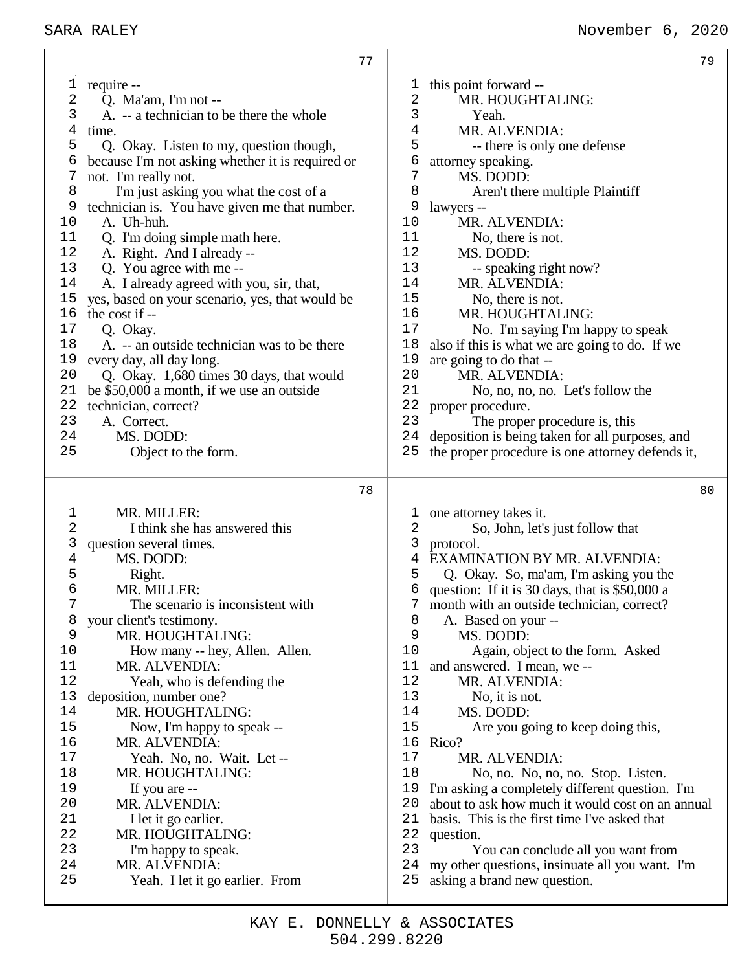|                | 77                                               |                | 79                                                                              |
|----------------|--------------------------------------------------|----------------|---------------------------------------------------------------------------------|
| I,             | require --                                       | T              | this point forward --                                                           |
| 2              | Q. Ma'am, I'm not --                             | 2              | MR. HOUGHTALING:                                                                |
| 3              | A. -- a technician to be there the whole         | 3              | Yeah.                                                                           |
| 4              | time.                                            | 4              | MR. ALVENDIA:                                                                   |
| 5              | Q. Okay. Listen to my, question though,          | 5              | -- there is only one defense                                                    |
| 6              | because I'm not asking whether it is required or | 6              | attorney speaking.                                                              |
| 7              | not. I'm really not.                             | $\overline{7}$ | MS. DODD:                                                                       |
| 8              | I'm just asking you what the cost of a           | 8              | Aren't there multiple Plaintiff                                                 |
| 9              | technician is. You have given me that number.    | 9              | lawyers --                                                                      |
| 10             | A. Uh-huh.                                       | 10             | MR. ALVENDIA:                                                                   |
| 11             | Q. I'm doing simple math here.                   | 11             | No, there is not.                                                               |
| 12             | A. Right. And I already --                       | 12             | MS. DODD:                                                                       |
| 13             | Q. You agree with me --                          | 13             | -- speaking right now?                                                          |
| 14             | A. I already agreed with you, sir, that,         | 14             | MR. ALVENDIA:                                                                   |
| 15             | yes, based on your scenario, yes, that would be  | 15             | No, there is not.                                                               |
| 16             | the cost if --                                   | 16             | MR. HOUGHTALING:                                                                |
| $17$           | Q. Okay.                                         | 17             | No. I'm saying I'm happy to speak                                               |
| 18             | A. -- an outside technician was to be there      | 18             | also if this is what we are going to do. If we                                  |
| 19             | every day, all day long.                         | 19             | are going to do that --                                                         |
| 20             | Q. Okay. 1,680 times 30 days, that would         | 20             | MR. ALVENDIA:                                                                   |
| 21             | be \$50,000 a month, if we use an outside        | 21             | No, no, no, no. Let's follow the                                                |
| 22             | technician, correct?                             | 22             | proper procedure.                                                               |
| 23             | A. Correct.                                      | 23             | The proper procedure is, this                                                   |
| 24             | MS. DODD:                                        | 24             | deposition is being taken for all purposes, and                                 |
| 25             | Object to the form.                              | 25             | the proper procedure is one attorney defends it,                                |
|                |                                                  |                |                                                                                 |
|                | 78                                               |                | 80                                                                              |
| 1              | MR. MILLER:                                      | T              | one attorney takes it.                                                          |
| 2              | I think she has answered this                    | 2              | So, John, let's just follow that                                                |
| 3              | question several times.                          | 3              | protocol.                                                                       |
| $\overline{4}$ | MS. DODD:                                        | 4              | <b>EXAMINATION BY MR. ALVENDIA:</b>                                             |
| 5              | Right.                                           | 5              | Q. Okay. So, ma'am, I'm asking you the                                          |
| 6              | MR. MILLER:                                      | 6              | question: If it is 30 days, that is \$50,000 a                                  |
|                | The scenario is inconsistent with                |                | month with an outside technician, correct?                                      |
| 8              | your client's testimony.                         | 8              | A. Based on your --                                                             |
| 9              | MR. HOUGHTALING:                                 | 9              |                                                                                 |
| 10             |                                                  |                | MS. DODD:                                                                       |
|                | How many -- hey, Allen. Allen.                   | 10             | Again, object to the form. Asked                                                |
| 11             | MR. ALVENDIA:                                    | 11             | and answered. I mean, we --                                                     |
| 12             | Yeah, who is defending the                       | 12             | MR. ALVENDIA:                                                                   |
| 13             | deposition, number one?                          | 13             | No, it is not.                                                                  |
| 14             | MR. HOUGHTALING:                                 | 14             | MS. DODD:                                                                       |
| 15             | Now, I'm happy to speak --                       | 15             | Are you going to keep doing this,                                               |
| 16             | MR. ALVENDIA:                                    | 16             | Rico?                                                                           |
| 17             | Yeah. No, no. Wait. Let --                       | 17             | MR. ALVENDIA:                                                                   |
| 18             | MR. HOUGHTALING:                                 | 18             | No, no. No, no, no. Stop. Listen.                                               |
| 19             | If you are --                                    | 19             | I'm asking a completely different question. I'm                                 |
| 20             | MR. ALVENDIA:                                    | 20             | about to ask how much it would cost on an annual                                |
| 21             | I let it go earlier.                             | 21             | basis. This is the first time I've asked that                                   |
| 22             | MR. HOUGHTALING:                                 | 22             | question.                                                                       |
| 23             | I'm happy to speak.                              | 23             | You can conclude all you want from                                              |
| 24<br>25       | MR. ALVENDIA:<br>Yeah. I let it go earlier. From | 24<br>25       | my other questions, insinuate all you want. I'm<br>asking a brand new question. |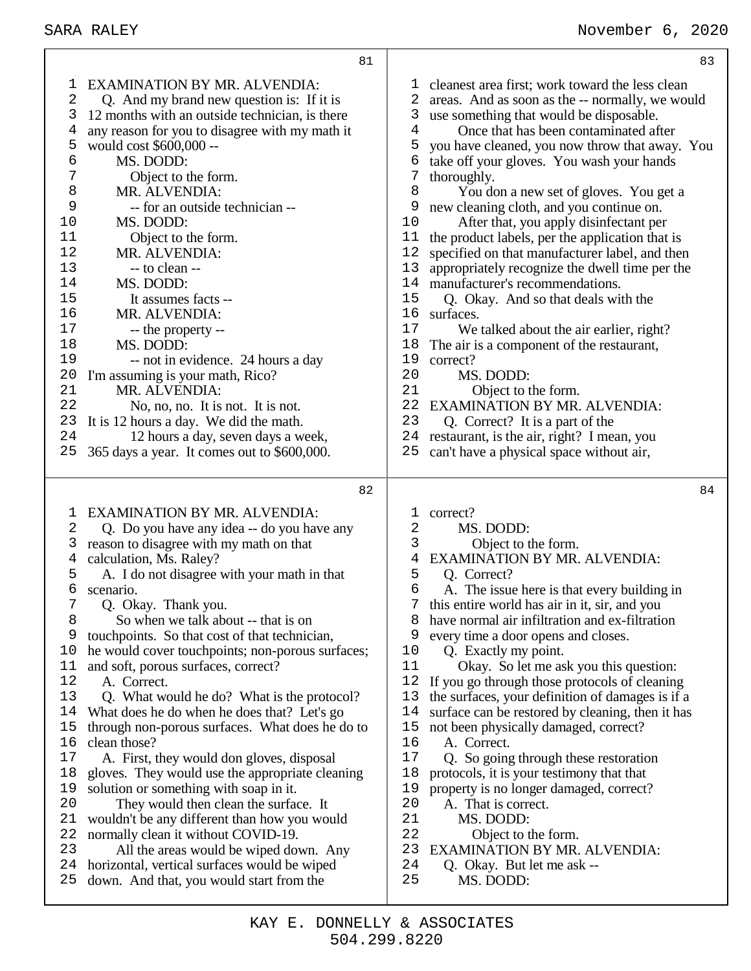<br> $11$ 

14<br>15

 $16 \\ 17$ 

| 83                                                                                                                                                                                                                                                                                                                                                                                                                                                                                                                                                                                                                                                                                                                                                                                                                                                                                                                                                                                                                                                                                                                                                    |
|-------------------------------------------------------------------------------------------------------------------------------------------------------------------------------------------------------------------------------------------------------------------------------------------------------------------------------------------------------------------------------------------------------------------------------------------------------------------------------------------------------------------------------------------------------------------------------------------------------------------------------------------------------------------------------------------------------------------------------------------------------------------------------------------------------------------------------------------------------------------------------------------------------------------------------------------------------------------------------------------------------------------------------------------------------------------------------------------------------------------------------------------------------|
| cleanest area first; work toward the less clean<br>1<br>2<br>areas. And as soon as the -- normally, we would<br>use something that would be disposable.<br>3<br>$\overline{4}$<br>Once that has been contaminated after<br>5<br>you have cleaned, you now throw that away. You<br>6<br>take off your gloves. You wash your hands<br>7<br>thoroughly.<br>8<br>You don a new set of gloves. You get a<br>9<br>new cleaning cloth, and you continue on.<br>After that, you apply disinfectant per<br>10<br>11<br>the product labels, per the application that is<br>12<br>specified on that manufacturer label, and then<br>13<br>appropriately recognize the dwell time per the<br>14 manufacturer's recommendations.<br>15<br>Q. Okay. And so that deals with the<br>16<br>surfaces.<br>17<br>We talked about the air earlier, right?<br>18<br>The air is a component of the restaurant,<br>19<br>correct?<br>20<br>MS. DODD:<br>21<br>Object to the form.<br><b>EXAMINATION BY MR. ALVENDIA:</b><br>22<br>23<br>Q. Correct? It is a part of the<br>restaurant, is the air, right? I mean, you<br>24<br>25<br>can't have a physical space without air, |
| 84                                                                                                                                                                                                                                                                                                                                                                                                                                                                                                                                                                                                                                                                                                                                                                                                                                                                                                                                                                                                                                                                                                                                                    |
| correct?<br>1<br>2<br>MS. DODD:<br>3<br>Object to the form.<br>EXAMINATION BY MR. ALVENDIA:<br>4<br>5<br>Q. Correct?<br>6<br>A. The issue here is that every building in<br>this entire world has air in it, sir, and you<br>7<br>have normal air infiltration and ex-filtration<br>8<br>9<br>every time a door opens and closes.<br>10<br>Q. Exactly my point.<br>11<br>Okay. So let me ask you this question:<br>12<br>If you go through those protocols of cleaning<br>the surfaces, your definition of damages is if a<br>13<br>14<br>surface can be restored by cleaning, then it has<br>15<br>not been physically damaged, correct?<br>16<br>A. Correct.<br>17<br>Q. So going through these restoration<br>18<br>protocols, it is your testimony that that<br>property is no longer damaged, correct?<br>19<br>20<br>A. That is correct.<br>21<br>MS. DODD:<br>22<br>Object to the form.<br>23<br><b>EXAMINATION BY MR. ALVENDIA:</b><br>24<br>Q. Okay. But let me ask --                                                                                                                                                                       |
|                                                                                                                                                                                                                                                                                                                                                                                                                                                                                                                                                                                                                                                                                                                                                                                                                                                                                                                                                                                                                                                                                                                                                       |

- down. And that, you would start from the
	- 504.299.8220 KAY E. DONNELLY & ASSOCIATES

- 
- ing in
- this entire world has air in it, sir, and you
- have normal air infiltration and ex-filtration
- Okay. So let me ask you this question:
- eaning
- s is if a
- n it has
	-
- 
- EXAMINATION BY MR. ALVENDIA:
- 
- MS. DODD: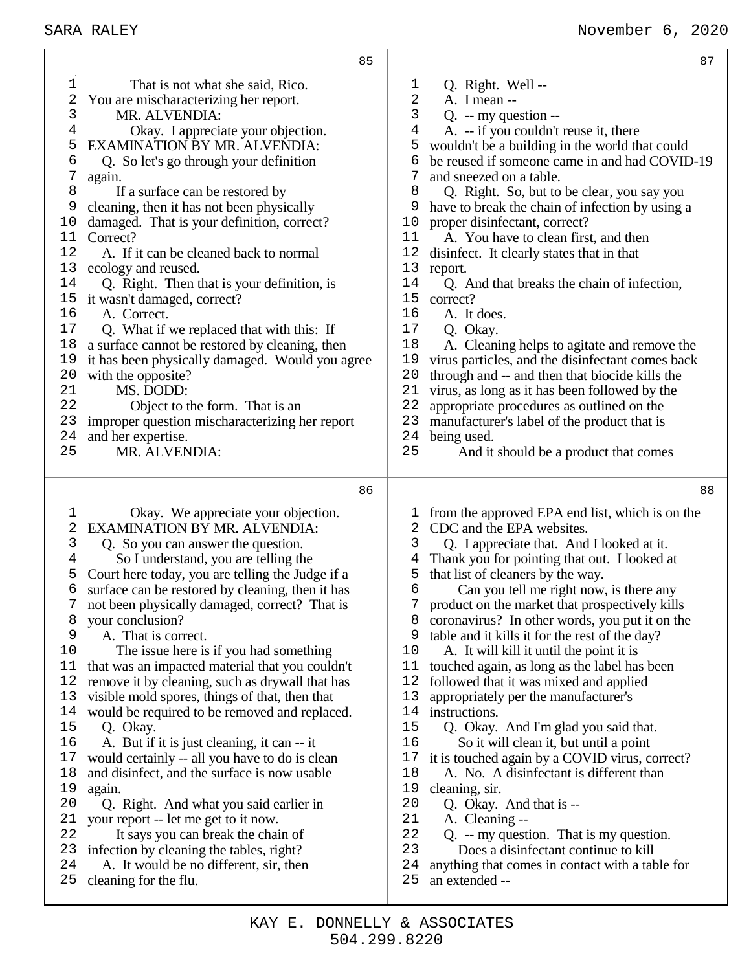# SARA RALEY November 6, 2020

|          | 85                                                                                                   | 87                                                                                                       |
|----------|------------------------------------------------------------------------------------------------------|----------------------------------------------------------------------------------------------------------|
| 1        | That is not what she said, Rico.                                                                     | Q. Right. Well --<br>$\mathbf 1$                                                                         |
| 2        | You are mischaracterizing her report.                                                                | $\overline{\mathbf{c}}$<br>A. I mean --                                                                  |
| 3        | MR. ALVENDIA:                                                                                        | 3<br>$Q. - my question -$                                                                                |
| 4        | Okay. I appreciate your objection.                                                                   | 4<br>A. -- if you couldn't reuse it, there                                                               |
| 5        | <b>EXAMINATION BY MR. ALVENDIA:</b>                                                                  | 5<br>wouldn't be a building in the world that could                                                      |
| 6<br>7   | Q. So let's go through your definition                                                               | 6<br>be reused if someone came in and had COVID-19<br>7                                                  |
| 8        | again.<br>If a surface can be restored by                                                            | and sneezed on a table.<br>8<br>Q. Right. So, but to be clear, you say you                               |
| 9        | cleaning, then it has not been physically                                                            | 9<br>have to break the chain of infection by using a                                                     |
| 10       | damaged. That is your definition, correct?                                                           | proper disinfectant, correct?<br>10                                                                      |
| 11       | Correct?                                                                                             | 11<br>A. You have to clean first, and then                                                               |
| 12       | A. If it can be cleaned back to normal                                                               | 12<br>disinfect. It clearly states that in that                                                          |
| 13       | ecology and reused.                                                                                  | 13<br>report.                                                                                            |
| 14       | Q. Right. Then that is your definition, is                                                           | 14<br>Q. And that breaks the chain of infection,                                                         |
| 15       | it wasn't damaged, correct?                                                                          | 15<br>correct?                                                                                           |
| 16       | A. Correct.                                                                                          | 16<br>A. It does.                                                                                        |
| 17       | Q. What if we replaced that with this: If                                                            | 17<br>Q. Okay.                                                                                           |
| 18<br>19 | a surface cannot be restored by cleaning, then                                                       | 18<br>A. Cleaning helps to agitate and remove the<br>19                                                  |
| 20       | it has been physically damaged. Would you agree<br>with the opposite?                                | virus particles, and the disinfectant comes back<br>20<br>through and -- and then that biocide kills the |
| 21       | MS. DODD:                                                                                            | 21<br>virus, as long as it has been followed by the                                                      |
| 22       | Object to the form. That is an                                                                       | 22<br>appropriate procedures as outlined on the                                                          |
| 23       | improper question mischaracterizing her report                                                       | 23<br>manufacturer's label of the product that is                                                        |
| 24       | and her expertise.                                                                                   | 24<br>being used.                                                                                        |
| 25       | MR. ALVENDIA:                                                                                        | 25<br>And it should be a product that comes                                                              |
|          |                                                                                                      |                                                                                                          |
|          |                                                                                                      |                                                                                                          |
|          | 86                                                                                                   | 88                                                                                                       |
| 1        | Okay. We appreciate your objection.                                                                  | from the approved EPA end list, which is on the<br>T                                                     |
| 2        | <b>EXAMINATION BY MR. ALVENDIA:</b>                                                                  | 2<br>CDC and the EPA websites.                                                                           |
| 3        | Q. So you can answer the question.                                                                   | 3<br>Q. I appreciate that. And I looked at it.                                                           |
| 4        | So I understand, you are telling the                                                                 | Thank you for pointing that out. I looked at<br>4                                                        |
| 5<br>6   | Court here today, you are telling the Judge if a<br>surface can be restored by cleaning, then it has | that list of cleaners by the way.<br>5<br>6<br>Can you tell me right now, is there any                   |
| 7        | not been physically damaged, correct? That is                                                        | product on the market that prospectively kills<br>7                                                      |
| 8        | your conclusion?                                                                                     | coronavirus? In other words, you put it on the<br>8                                                      |
| 9        | A. That is correct.                                                                                  | table and it kills it for the rest of the day?<br>9                                                      |
| 10       | The issue here is if you had something                                                               | 10<br>A. It will kill it until the point it is                                                           |
| 11       | that was an impacted material that you couldn't                                                      | 11<br>touched again, as long as the label has been                                                       |
| 12       | remove it by cleaning, such as drywall that has                                                      | 12<br>followed that it was mixed and applied                                                             |
| 13       | visible mold spores, things of that, then that                                                       | 13<br>appropriately per the manufacturer's                                                               |
| 14<br>15 | would be required to be removed and replaced.                                                        | 14<br>instructions.<br>15                                                                                |
| 16       | Q. Okay.                                                                                             | Q. Okay. And I'm glad you said that.<br>16                                                               |
| 17       | A. But if it is just cleaning, it can -- it<br>would certainly -- all you have to do is clean        | So it will clean it, but until a point<br>it is touched again by a COVID virus, correct?<br>17           |
| 18       | and disinfect, and the surface is now usable                                                         | 18<br>A. No. A disinfectant is different than                                                            |
| 19       | again.                                                                                               | 19<br>cleaning, sir.                                                                                     |
| 20       | Q. Right. And what you said earlier in                                                               | 20<br>Q. Okay. And that is --                                                                            |
| 21       | your report -- let me get to it now.                                                                 | 21<br>A. Cleaning --                                                                                     |
| 22       | It says you can break the chain of                                                                   | 22<br>$Q. - my question.$ That is my question.                                                           |
| 23       | infection by cleaning the tables, right?                                                             | 23<br>Does a disinfectant continue to kill                                                               |
| 24<br>25 | A. It would be no different, sir, then<br>cleaning for the flu.                                      | 24<br>anything that comes in contact with a table for<br>25<br>an extended --                            |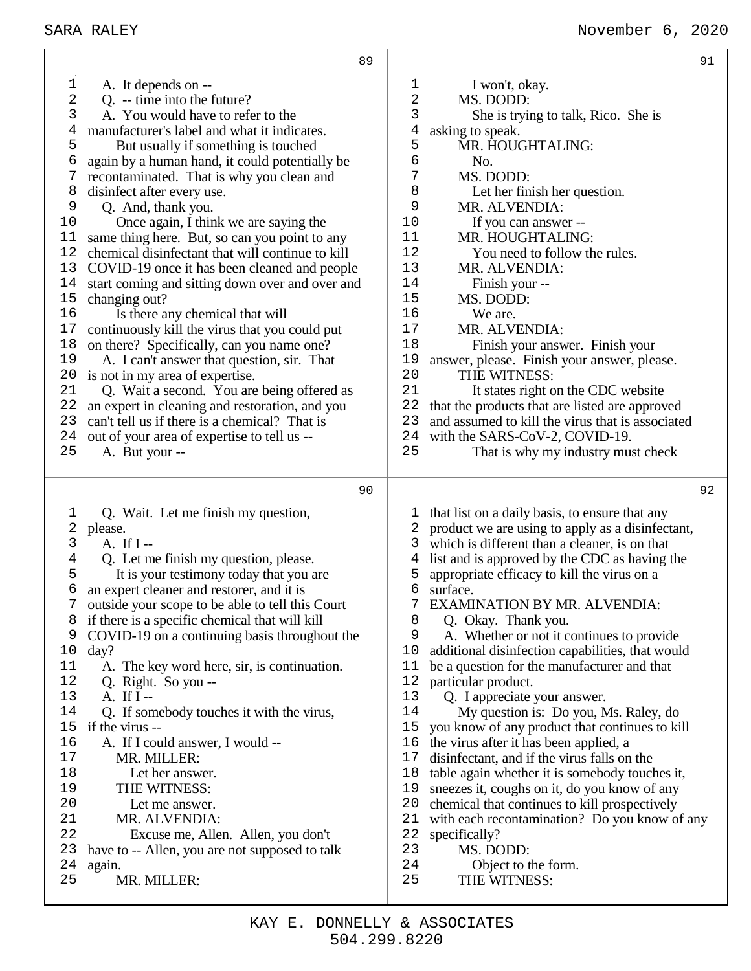|          | 89                                                                                              |             |                                                                                                    | 91 |
|----------|-------------------------------------------------------------------------------------------------|-------------|----------------------------------------------------------------------------------------------------|----|
| 1        | A. It depends on --                                                                             | 1           | I won't, okay.                                                                                     |    |
| 2        | Q. -- time into the future?                                                                     | 2           | MS. DODD:                                                                                          |    |
| 3        | A. You would have to refer to the                                                               | 3           | She is trying to talk, Rico. She is                                                                |    |
| 4        | manufacturer's label and what it indicates.                                                     | 4           | asking to speak.                                                                                   |    |
| 5        | But usually if something is touched                                                             | 5           | MR. HOUGHTALING:                                                                                   |    |
| 6        | again by a human hand, it could potentially be                                                  | 6           | No.                                                                                                |    |
| 7        | recontaminated. That is why you clean and                                                       | $\sqrt{ }$  | MS. DODD:                                                                                          |    |
| 8        | disinfect after every use.                                                                      | 8           | Let her finish her question.                                                                       |    |
| 9        | Q. And, thank you.                                                                              | $\mathsf 9$ | MR. ALVENDIA:                                                                                      |    |
| 10       | Once again, I think we are saying the                                                           | 10          | If you can answer --                                                                               |    |
| 11       | same thing here. But, so can you point to any                                                   | 11          | MR. HOUGHTALING:                                                                                   |    |
| 12       | chemical disinfectant that will continue to kill                                                | 12          | You need to follow the rules.                                                                      |    |
| 13       | COVID-19 once it has been cleaned and people                                                    | 13          | MR. ALVENDIA:                                                                                      |    |
| 14       | start coming and sitting down over and over and                                                 | 14          | Finish your --                                                                                     |    |
| 15       | changing out?                                                                                   | 15          | MS. DODD:                                                                                          |    |
| 16       | Is there any chemical that will                                                                 | 16          | We are.                                                                                            |    |
| 17       | continuously kill the virus that you could put                                                  | 17          | MR. ALVENDIA:                                                                                      |    |
| 18       | on there? Specifically, can you name one?                                                       | 18          | Finish your answer. Finish your                                                                    |    |
| 19       | A. I can't answer that question, sir. That                                                      | 19          | answer, please. Finish your answer, please.                                                        |    |
| 20       | is not in my area of expertise.                                                                 | 20          | THE WITNESS:                                                                                       |    |
| 21<br>22 | Q. Wait a second. You are being offered as                                                      | 21<br>22    | It states right on the CDC website                                                                 |    |
| 23       | an expert in cleaning and restoration, and you<br>can't tell us if there is a chemical? That is | 23          | that the products that are listed are approved<br>and assumed to kill the virus that is associated |    |
| 24       | out of your area of expertise to tell us --                                                     | 24          | with the SARS-CoV-2, COVID-19.                                                                     |    |
| 25       | A. But your --                                                                                  | 25          | That is why my industry must check                                                                 |    |
|          |                                                                                                 |             |                                                                                                    |    |
|          |                                                                                                 |             |                                                                                                    |    |
|          | 90                                                                                              |             |                                                                                                    | 92 |
| 1        |                                                                                                 | 1           |                                                                                                    |    |
| 2        | Q. Wait. Let me finish my question,                                                             | 2           | that list on a daily basis, to ensure that any                                                     |    |
| 3        | please.<br>A. If $I$ --                                                                         | 3           | product we are using to apply as a disinfectant,<br>which is different than a cleaner, is on that  |    |
| 4        | Q. Let me finish my question, please.                                                           | 4           | list and is approved by the CDC as having the                                                      |    |
| 5        | It is your testimony today that you are                                                         | 5           | appropriate efficacy to kill the virus on a                                                        |    |
| 6        | an expert cleaner and restorer, and it is                                                       | 6           | surface.                                                                                           |    |
|          | outside your scope to be able to tell this Court                                                |             | EXAMINATION BY MR. ALVENDIA:                                                                       |    |
| 8        | if there is a specific chemical that will kill                                                  | 8           | Q. Okay. Thank you.                                                                                |    |
| 9        | COVID-19 on a continuing basis throughout the                                                   | 9           | A. Whether or not it continues to provide                                                          |    |
| 10       | day?                                                                                            | 10          | additional disinfection capabilities, that would                                                   |    |
| 11       | A. The key word here, sir, is continuation.                                                     | 11          | be a question for the manufacturer and that                                                        |    |
| 12       | Q. Right. So you --                                                                             | 12          | particular product.                                                                                |    |
| 13       | A. If $I$ --                                                                                    | 13          | Q. I appreciate your answer.                                                                       |    |
| 14       | Q. If somebody touches it with the virus,                                                       | 14          | My question is: Do you, Ms. Raley, do                                                              |    |
| 15       | if the virus --                                                                                 | 15          | you know of any product that continues to kill                                                     |    |
| 16       | A. If I could answer, I would --                                                                | 16          | the virus after it has been applied, a                                                             |    |
| 17       | MR. MILLER:                                                                                     | 17          | disinfectant, and if the virus falls on the                                                        |    |
| 18       | Let her answer.                                                                                 | 18          | table again whether it is somebody touches it,                                                     |    |
| 19       | THE WITNESS:                                                                                    | 19          | sneezes it, coughs on it, do you know of any                                                       |    |
| 20       | Let me answer.                                                                                  | 20          | chemical that continues to kill prospectively                                                      |    |
| 21<br>22 | MR. ALVENDIA:                                                                                   | 21          | with each recontamination? Do you know of any                                                      |    |
| 23       | Excuse me, Allen. Allen, you don't                                                              | 22<br>23    | specifically?<br>MS. DODD:                                                                         |    |
| 24       | have to -- Allen, you are not supposed to talk<br>again.                                        | 24          | Object to the form.                                                                                |    |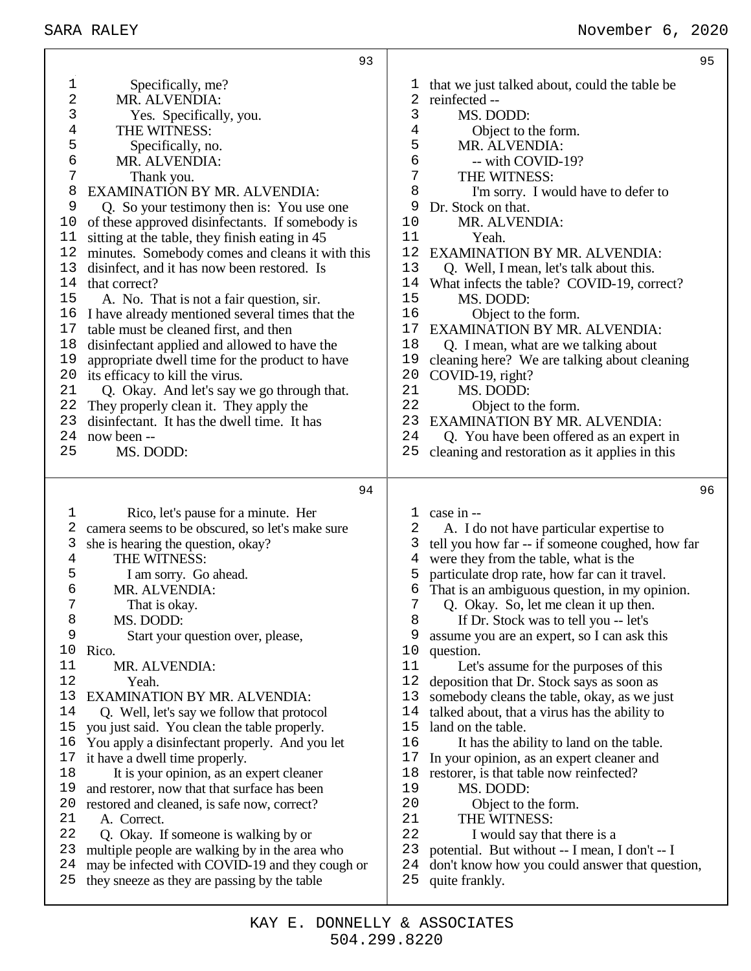| 1<br>2<br>3<br>4<br>5<br>6<br>7<br>8<br>9<br>10<br>11<br>12<br>13<br>14<br>15<br>16<br>17<br>18<br>19<br>20<br>21<br>22<br>23<br>24 | 93<br>Specifically, me?<br>MR. ALVENDIA:<br>Yes. Specifically, you.<br>THE WITNESS:<br>Specifically, no.<br>MR. ALVENDIA:<br>Thank you.<br>EXAMINATION BY MR. ALVENDIA:<br>Q. So your testimony then is: You use one<br>of these approved disinfectants. If somebody is<br>sitting at the table, they finish eating in 45<br>minutes. Somebody comes and cleans it with this<br>disinfect, and it has now been restored. Is<br>that correct?<br>A. No. That is not a fair question, sir.<br>I have already mentioned several times that the<br>table must be cleaned first, and then<br>disinfectant applied and allowed to have the<br>appropriate dwell time for the product to have<br>its efficacy to kill the virus.<br>Q. Okay. And let's say we go through that.<br>They properly clean it. They apply the<br>disinfectant. It has the dwell time. It has<br>now been -- | ı<br>2<br>3<br>4<br>5<br>6<br>7<br>8<br>9<br>10<br>11<br>12<br>13<br>14<br>15<br>16<br>17<br>18<br>19<br>20<br>21<br>22<br>23<br>24 | 95<br>that we just talked about, could the table be<br>reinfected --<br>MS. DODD:<br>Object to the form.<br>MR. ALVENDIA:<br>-- with COVID-19?<br>THE WITNESS:<br>I'm sorry. I would have to defer to<br>Dr. Stock on that.<br>MR. ALVENDIA:<br>Yeah.<br>EXAMINATION BY MR. ALVENDIA:<br>Q. Well, I mean, let's talk about this.<br>What infects the table? COVID-19, correct?<br>MS. DODD:<br>Object to the form.<br><b>EXAMINATION BY MR. ALVENDIA:</b><br>Q. I mean, what are we talking about<br>cleaning here? We are talking about cleaning<br>COVID-19, right?<br>MS. DODD:<br>Object to the form.<br>EXAMINATION BY MR. ALVENDIA:                                                                                                                                                              |
|-------------------------------------------------------------------------------------------------------------------------------------|---------------------------------------------------------------------------------------------------------------------------------------------------------------------------------------------------------------------------------------------------------------------------------------------------------------------------------------------------------------------------------------------------------------------------------------------------------------------------------------------------------------------------------------------------------------------------------------------------------------------------------------------------------------------------------------------------------------------------------------------------------------------------------------------------------------------------------------------------------------------------------|-------------------------------------------------------------------------------------------------------------------------------------|--------------------------------------------------------------------------------------------------------------------------------------------------------------------------------------------------------------------------------------------------------------------------------------------------------------------------------------------------------------------------------------------------------------------------------------------------------------------------------------------------------------------------------------------------------------------------------------------------------------------------------------------------------------------------------------------------------------------------------------------------------------------------------------------------------|
| 25                                                                                                                                  | MS. DODD:                                                                                                                                                                                                                                                                                                                                                                                                                                                                                                                                                                                                                                                                                                                                                                                                                                                                       | 25                                                                                                                                  | Q. You have been offered as an expert in<br>cleaning and restoration as it applies in this                                                                                                                                                                                                                                                                                                                                                                                                                                                                                                                                                                                                                                                                                                             |
|                                                                                                                                     |                                                                                                                                                                                                                                                                                                                                                                                                                                                                                                                                                                                                                                                                                                                                                                                                                                                                                 |                                                                                                                                     |                                                                                                                                                                                                                                                                                                                                                                                                                                                                                                                                                                                                                                                                                                                                                                                                        |
|                                                                                                                                     | 94                                                                                                                                                                                                                                                                                                                                                                                                                                                                                                                                                                                                                                                                                                                                                                                                                                                                              |                                                                                                                                     | 96                                                                                                                                                                                                                                                                                                                                                                                                                                                                                                                                                                                                                                                                                                                                                                                                     |
| 1<br>2<br>3<br>$\overline{4}$<br>5<br>б<br>7<br>8<br>9<br>10<br>11<br>12<br>13<br>14<br>15<br>16<br>17<br>18<br>19<br>20<br>21      | Rico, let's pause for a minute. Her<br>camera seems to be obscured, so let's make sure<br>she is hearing the question, okay?<br>THE WITNESS:<br>I am sorry. Go ahead.<br>MR. ALVENDIA:<br>That is okay.<br>MS. DODD:<br>Start your question over, please,<br>Rico.<br>MR. ALVENDIA:<br>Yeah.<br>EXAMINATION BY MR. ALVENDIA:<br>Q. Well, let's say we follow that protocol<br>you just said. You clean the table properly.<br>You apply a disinfectant properly. And you let<br>it have a dwell time properly.<br>It is your opinion, as an expert cleaner<br>and restorer, now that that surface has been<br>restored and cleaned, is safe now, correct?<br>A. Correct.                                                                                                                                                                                                        | ı<br>2<br>3<br>4<br>5<br>6<br>7<br>8<br>9<br>10<br>11<br>12<br>13<br>14<br>15<br>16<br>17<br>18<br>19<br>20<br>21                   | case in --<br>A. I do not have particular expertise to<br>tell you how far -- if someone coughed, how far<br>were they from the table, what is the<br>particulate drop rate, how far can it travel.<br>That is an ambiguous question, in my opinion.<br>Q. Okay. So, let me clean it up then.<br>If Dr. Stock was to tell you -- let's<br>assume you are an expert, so I can ask this<br>question.<br>Let's assume for the purposes of this<br>deposition that Dr. Stock says as soon as<br>somebody cleans the table, okay, as we just<br>talked about, that a virus has the ability to<br>land on the table.<br>It has the ability to land on the table.<br>In your opinion, as an expert cleaner and<br>restorer, is that table now reinfected?<br>MS. DODD:<br>Object to the form.<br>THE WITNESS: |
| 22<br>23<br>24<br>25                                                                                                                | Q. Okay. If someone is walking by or<br>multiple people are walking by in the area who<br>may be infected with COVID-19 and they cough or<br>they sneeze as they are passing by the table                                                                                                                                                                                                                                                                                                                                                                                                                                                                                                                                                                                                                                                                                       | 22<br>23<br>24<br>25                                                                                                                | I would say that there is a<br>potential. But without -- I mean, I don't -- I<br>don't know how you could answer that question,<br>quite frankly.                                                                                                                                                                                                                                                                                                                                                                                                                                                                                                                                                                                                                                                      |

т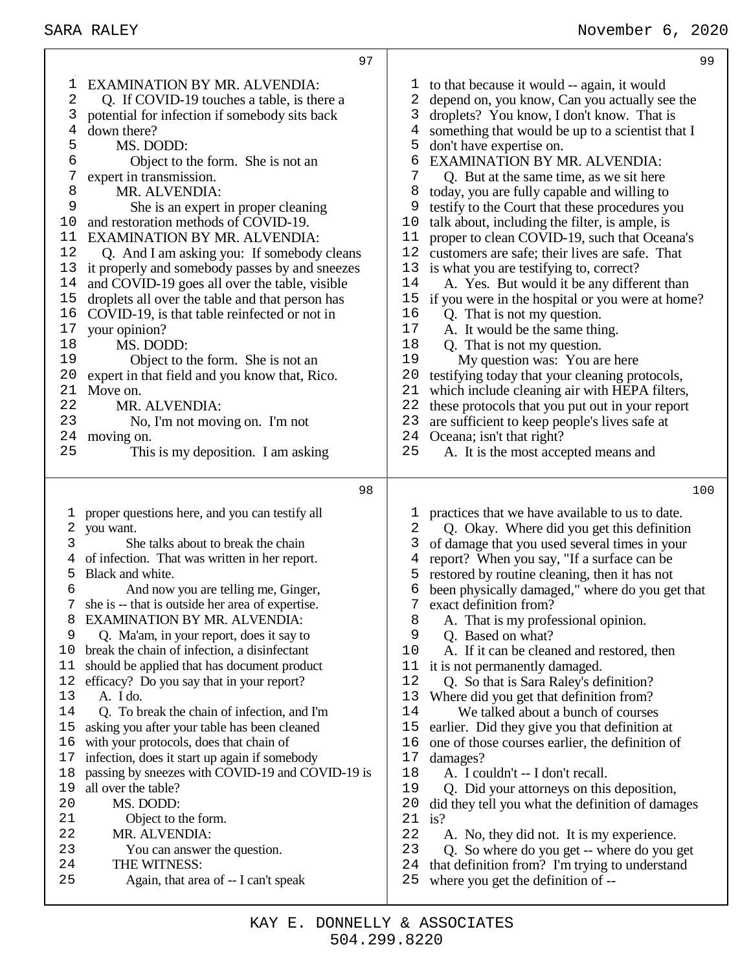## SARA RALEY November 6, 2020

| 97                                                                                                                                                                                                                                                                                                                                                                                                                                                                                                                                                                                                                                                                                                                                                                                                                                                                                                                                                                                                                                                          | 99                                                                                                                                                                                                                                                                                                                                                                                                                                                                                                                                                                                                                                                                                                                                                                                                                                                                                                                                                                                                                                                                                                                                                                                                                                                                      |
|-------------------------------------------------------------------------------------------------------------------------------------------------------------------------------------------------------------------------------------------------------------------------------------------------------------------------------------------------------------------------------------------------------------------------------------------------------------------------------------------------------------------------------------------------------------------------------------------------------------------------------------------------------------------------------------------------------------------------------------------------------------------------------------------------------------------------------------------------------------------------------------------------------------------------------------------------------------------------------------------------------------------------------------------------------------|-------------------------------------------------------------------------------------------------------------------------------------------------------------------------------------------------------------------------------------------------------------------------------------------------------------------------------------------------------------------------------------------------------------------------------------------------------------------------------------------------------------------------------------------------------------------------------------------------------------------------------------------------------------------------------------------------------------------------------------------------------------------------------------------------------------------------------------------------------------------------------------------------------------------------------------------------------------------------------------------------------------------------------------------------------------------------------------------------------------------------------------------------------------------------------------------------------------------------------------------------------------------------|
| EXAMINATION BY MR. ALVENDIA:<br>1<br>2<br>Q. If COVID-19 touches a table, is there a<br>3<br>potential for infection if somebody sits back<br>4<br>down there?<br>5<br>MS. DODD:<br>6<br>Object to the form. She is not an<br>7<br>expert in transmission.<br>8<br>MR. ALVENDIA:<br>9<br>She is an expert in proper cleaning<br>and restoration methods of COVID-19.<br>10<br>EXAMINATION BY MR. ALVENDIA:<br>11<br>12<br>Q. And I am asking you: If somebody cleans<br>13<br>it properly and somebody passes by and sneezes<br>14<br>and COVID-19 goes all over the table, visible<br>15<br>droplets all over the table and that person has<br>16<br>COVID-19, is that table reinfected or not in<br>$17$<br>your opinion?<br>18<br>MS. DODD:<br>19<br>Object to the form. She is not an<br>20<br>expert in that field and you know that, Rico.<br>Move on.<br>21<br>MR. ALVENDIA:<br>22<br>23<br>No, I'm not moving on. I'm not<br>24<br>moving on.<br>25<br>This is my deposition. I am asking                                                           | to that because it would -- again, it would<br>T<br>2<br>depend on, you know, Can you actually see the<br>3<br>droplets? You know, I don't know. That is<br>4<br>something that would be up to a scientist that I<br>5<br>don't have expertise on.<br>6<br><b>EXAMINATION BY MR. ALVENDIA:</b><br>7<br>Q. But at the same time, as we sit here<br>8<br>today, you are fully capable and willing to<br>9<br>testify to the Court that these procedures you<br>10<br>talk about, including the filter, is ample, is<br>proper to clean COVID-19, such that Oceana's<br>11<br>12<br>customers are safe; their lives are safe. That<br>13<br>is what you are testifying to, correct?<br>14<br>A. Yes. But would it be any different than<br>15<br>if you were in the hospital or you were at home?<br>16<br>Q. That is not my question.<br>17<br>A. It would be the same thing.<br>18<br>Q. That is not my question.<br>19<br>My question was: You are here<br>20<br>testifying today that your cleaning protocols,<br>21<br>which include cleaning air with HEPA filters,<br>22<br>these protocols that you put out in your report<br>23<br>are sufficient to keep people's lives safe at<br>24<br>Oceana; isn't that right?<br>25<br>A. It is the most accepted means and |
| 98                                                                                                                                                                                                                                                                                                                                                                                                                                                                                                                                                                                                                                                                                                                                                                                                                                                                                                                                                                                                                                                          | 100                                                                                                                                                                                                                                                                                                                                                                                                                                                                                                                                                                                                                                                                                                                                                                                                                                                                                                                                                                                                                                                                                                                                                                                                                                                                     |
| proper questions here, and you can testify all<br>1<br>2<br>you want.<br>3<br>She talks about to break the chain<br>of infection. That was written in her report.<br>5<br>Black and white.<br>6<br>And now you are telling me, Ginger,<br>she is -- that is outside her area of expertise.<br>EXAMINATION BY MR. ALVENDIA:<br>8<br>Q. Ma'am, in your report, does it say to<br>9<br>break the chain of infection, a disinfectant<br>10<br>should be applied that has document product<br>11<br>efficacy? Do you say that in your report?<br>12<br>A. I do.<br>13<br>14<br>Q. To break the chain of infection, and I'm<br>asking you after your table has been cleaned<br>15<br>with your protocols, does that chain of<br>16<br>infection, does it start up again if somebody<br>17<br>passing by sneezes with COVID-19 and COVID-19 is<br>18<br>19<br>all over the table?<br>MS. DODD:<br>20<br>21<br>Object to the form.<br>MR. ALVENDIA:<br>22<br>23<br>You can answer the question.<br>24<br>THE WITNESS:<br>25<br>Again, that area of -- I can't speak | practices that we have available to us to date.<br>1<br>2<br>Q. Okay. Where did you get this definition<br>3<br>of damage that you used several times in your<br>report? When you say, "If a surface can be<br>4<br>5<br>restored by routine cleaning, then it has not<br>been physically damaged," where do you get that<br>6<br>exact definition from?<br>7<br>8<br>A. That is my professional opinion.<br>9<br>Q. Based on what?<br>10<br>A. If it can be cleaned and restored, then<br>11<br>it is not permanently damaged.<br>12<br>Q. So that is Sara Raley's definition?<br>13<br>Where did you get that definition from?<br>14<br>We talked about a bunch of courses<br>15<br>earlier. Did they give you that definition at<br>16<br>one of those courses earlier, the definition of<br>17<br>damages?<br>18<br>A. I couldn't -- I don't recall.<br>19<br>Q. Did your attorneys on this deposition,<br>20<br>did they tell you what the definition of damages<br>21<br>is?<br>22<br>A. No, they did not. It is my experience.<br>23<br>Q. So where do you get -- where do you get<br>24<br>that definition from? I'm trying to understand<br>25<br>where you get the definition of --                                                                           |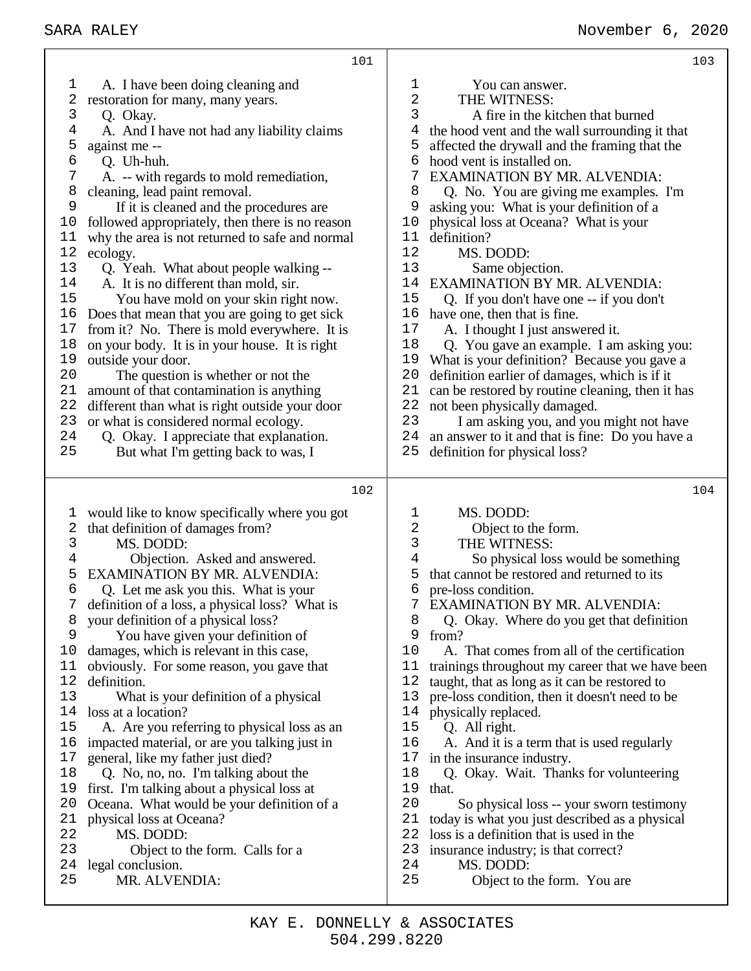|              | 101                                                                                          | 103                                                                                                |
|--------------|----------------------------------------------------------------------------------------------|----------------------------------------------------------------------------------------------------|
| $\mathbf 1$  | A. I have been doing cleaning and                                                            | $\mathbf{1}$<br>You can answer.                                                                    |
| 2            | restoration for many, many years.                                                            | 2<br>THE WITNESS:                                                                                  |
| 3            | Q. Okay.                                                                                     | 3<br>A fire in the kitchen that burned                                                             |
| 4            | A. And I have not had any liability claims                                                   | 4<br>the hood vent and the wall surrounding it that                                                |
| 5            | against me --                                                                                | 5<br>affected the drywall and the framing that the                                                 |
| 6            | Q. Uh-huh.                                                                                   | 6<br>hood vent is installed on.                                                                    |
| 7            | A. -- with regards to mold remediation,                                                      | 7<br><b>EXAMINATION BY MR. ALVENDIA:</b>                                                           |
| 8            | cleaning, lead paint removal.                                                                | 8<br>Q. No. You are giving me examples. I'm                                                        |
| 9            | If it is cleaned and the procedures are                                                      | 9<br>asking you: What is your definition of a                                                      |
| 10           | followed appropriately, then there is no reason                                              | physical loss at Oceana? What is your<br>10                                                        |
| 11           | why the area is not returned to safe and normal                                              | 11<br>definition?                                                                                  |
| 12           | ecology.                                                                                     | 12<br>MS. DODD:                                                                                    |
| 13           | Q. Yeah. What about people walking --                                                        | 13<br>Same objection.                                                                              |
| 14           | A. It is no different than mold, sir.                                                        | EXAMINATION BY MR. ALVENDIA:<br>14                                                                 |
| 15           | You have mold on your skin right now.                                                        | 15<br>Q. If you don't have one -- if you don't                                                     |
| 16<br>17     | Does that mean that you are going to get sick                                                | 16<br>have one, then that is fine.<br>17                                                           |
| 18           | from it? No. There is mold everywhere. It is                                                 | A. I thought I just answered it.<br>18                                                             |
| 19           | on your body. It is in your house. It is right                                               | Q. You gave an example. I am asking you:<br>19                                                     |
| 20           | outside your door.<br>The question is whether or not the                                     | What is your definition? Because you gave a<br>20<br>definition earlier of damages, which is if it |
| 21           | amount of that contamination is anything                                                     | 21<br>can be restored by routine cleaning, then it has                                             |
| 22           | different than what is right outside your door                                               | 22<br>not been physically damaged.                                                                 |
| 23           | or what is considered normal ecology.                                                        | 23<br>I am asking you, and you might not have                                                      |
| 24           | Q. Okay. I appreciate that explanation.                                                      | 24<br>an answer to it and that is fine: Do you have a                                              |
| 25           | But what I'm getting back to was, I                                                          | 25<br>definition for physical loss?                                                                |
|              |                                                                                              |                                                                                                    |
|              |                                                                                              |                                                                                                    |
|              | 102                                                                                          | 104                                                                                                |
| I,           |                                                                                              | MS. DODD:<br>1                                                                                     |
| 2            | would like to know specifically where you got<br>that definition of damages from?            | 2<br>Object to the form.                                                                           |
| $\mathsf{3}$ | MS. DODD:                                                                                    | 3<br>THE WITNESS:                                                                                  |
| 4            | Objection. Asked and answered.                                                               | 4<br>So physical loss would be something                                                           |
| 5            | EXAMINATION BY MR. ALVENDIA:                                                                 | 5<br>that cannot be restored and returned to its                                                   |
| 6            | Q. Let me ask you this. What is your                                                         | 6<br>pre-loss condition.                                                                           |
| 7            | definition of a loss, a physical loss? What is                                               | EXAMINATION BY MR. ALVENDIA:<br>7                                                                  |
| 8            | your definition of a physical loss?                                                          | 8<br>Q. Okay. Where do you get that definition                                                     |
| 9            | You have given your definition of                                                            | 9<br>from?                                                                                         |
| 10           | damages, which is relevant in this case,                                                     | 10<br>A. That comes from all of the certification                                                  |
| 11           | obviously. For some reason, you gave that                                                    | 11<br>trainings throughout my career that we have been                                             |
| 12           | definition.                                                                                  | 12<br>taught, that as long as it can be restored to                                                |
| 13<br>14     | What is your definition of a physical                                                        | 13<br>pre-loss condition, then it doesn't need to be<br>14                                         |
| 15           | loss at a location?                                                                          | physically replaced.<br>15                                                                         |
| 16           | A. Are you referring to physical loss as an<br>impacted material, or are you talking just in | Q. All right.<br>16                                                                                |
| 17           | general, like my father just died?                                                           | A. And it is a term that is used regularly<br>in the insurance industry.<br>17                     |
| 18           | Q. No, no, no. I'm talking about the                                                         | 18<br>Q. Okay. Wait. Thanks for volunteering                                                       |
| 19           | first. I'm talking about a physical loss at                                                  | 19<br>that.                                                                                        |
| 20           | Oceana. What would be your definition of a                                                   | 20<br>So physical loss -- your sworn testimony                                                     |
| 21           | physical loss at Oceana?                                                                     | 21<br>today is what you just described as a physical                                               |
| 22           | MS. DODD:                                                                                    | 22<br>loss is a definition that is used in the                                                     |
| 23           | Object to the form. Calls for a                                                              | 23<br>insurance industry; is that correct?                                                         |
| 24<br>25     | legal conclusion.<br>MR. ALVENDIA:                                                           | 24<br>MS. DODD:<br>25<br>Object to the form. You are                                               |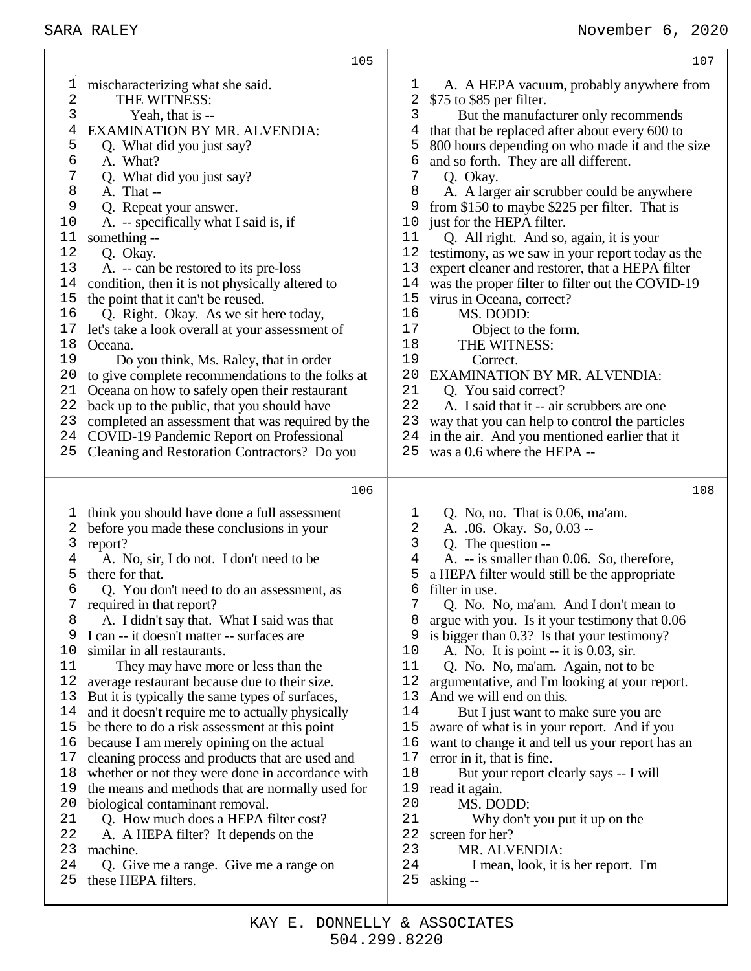|                                                                                                                                               | 105                                                                                                                                                                                                                                                                                                                                                                                                                                                                                                                                                                                                                                                                                                                                                                                                                                                                                                                                                                                                                             | 107                                                                                                                                                                                                                                                                                                                                                                                                                                                                                                                                                                                                                                                                                                                                                                                                                                                                                                                                                                                                                                                      |
|-----------------------------------------------------------------------------------------------------------------------------------------------|---------------------------------------------------------------------------------------------------------------------------------------------------------------------------------------------------------------------------------------------------------------------------------------------------------------------------------------------------------------------------------------------------------------------------------------------------------------------------------------------------------------------------------------------------------------------------------------------------------------------------------------------------------------------------------------------------------------------------------------------------------------------------------------------------------------------------------------------------------------------------------------------------------------------------------------------------------------------------------------------------------------------------------|----------------------------------------------------------------------------------------------------------------------------------------------------------------------------------------------------------------------------------------------------------------------------------------------------------------------------------------------------------------------------------------------------------------------------------------------------------------------------------------------------------------------------------------------------------------------------------------------------------------------------------------------------------------------------------------------------------------------------------------------------------------------------------------------------------------------------------------------------------------------------------------------------------------------------------------------------------------------------------------------------------------------------------------------------------|
| $\mathbf 1$<br>2<br>3<br>4<br>5<br>6<br>7<br>8<br>9<br>10<br>11<br>12<br>13<br>14<br>15<br>16<br>17<br>18<br>19<br>20<br>21<br>22<br>23<br>24 | mischaracterizing what she said.<br>THE WITNESS:<br>Yeah, that is --<br>EXAMINATION BY MR. ALVENDIA:<br>Q. What did you just say?<br>A. What?<br>Q. What did you just say?<br>A. That --<br>Q. Repeat your answer.<br>A. -- specifically what I said is, if<br>something --<br>Q. Okay.<br>A. -- can be restored to its pre-loss<br>condition, then it is not physically altered to<br>the point that it can't be reused.<br>Q. Right. Okay. As we sit here today,<br>let's take a look overall at your assessment of<br>Oceana.<br>Do you think, Ms. Raley, that in order<br>to give complete recommendations to the folks at<br>Oceana on how to safely open their restaurant<br>back up to the public, that you should have<br>completed an assessment that was required by the<br>COVID-19 Pandemic Report on Professional                                                                                                                                                                                                  | A. A HEPA vacuum, probably anywhere from<br>T<br>\$75 to \$85 per filter.<br>2<br>3<br>But the manufacturer only recommends<br>that that be replaced after about every 600 to<br>4<br>800 hours depending on who made it and the size<br>5<br>and so forth. They are all different.<br>6<br>7<br>Q. Okay.<br>8<br>A. A larger air scrubber could be anywhere<br>from \$150 to maybe \$225 per filter. That is<br>9<br>just for the HEPA filter.<br>10<br>Q. All right. And so, again, it is your<br>11<br>12<br>testimony, as we saw in your report today as the<br>13<br>expert cleaner and restorer, that a HEPA filter<br>14<br>was the proper filter to filter out the COVID-19<br>15<br>virus in Oceana, correct?<br>16<br>MS. DODD:<br>17<br>Object to the form.<br>THE WITNESS:<br>18<br>19<br>Correct.<br>20<br>EXAMINATION BY MR. ALVENDIA:<br>21<br>Q. You said correct?<br>22<br>A. I said that it -- air scrubbers are one<br>23<br>way that you can help to control the particles<br>in the air. And you mentioned earlier that it<br>24    |
| 25                                                                                                                                            | Cleaning and Restoration Contractors? Do you                                                                                                                                                                                                                                                                                                                                                                                                                                                                                                                                                                                                                                                                                                                                                                                                                                                                                                                                                                                    | was a 0.6 where the HEPA --<br>25                                                                                                                                                                                                                                                                                                                                                                                                                                                                                                                                                                                                                                                                                                                                                                                                                                                                                                                                                                                                                        |
|                                                                                                                                               | 106                                                                                                                                                                                                                                                                                                                                                                                                                                                                                                                                                                                                                                                                                                                                                                                                                                                                                                                                                                                                                             | 108                                                                                                                                                                                                                                                                                                                                                                                                                                                                                                                                                                                                                                                                                                                                                                                                                                                                                                                                                                                                                                                      |
| 1<br>2<br>3<br>4<br>5<br>6<br>7<br>8<br>9<br>10<br>11<br>12<br>13<br>14<br>15<br>16<br>17<br>18<br>19<br>20<br>21<br>22<br>23<br>24<br>25     | think you should have done a full assessment<br>before you made these conclusions in your<br>report?<br>A. No, sir, I do not. I don't need to be<br>there for that.<br>Q. You don't need to do an assessment, as<br>required in that report?<br>A. I didn't say that. What I said was that<br>I can -- it doesn't matter -- surfaces are<br>similar in all restaurants.<br>They may have more or less than the<br>average restaurant because due to their size.<br>But it is typically the same types of surfaces,<br>and it doesn't require me to actually physically<br>be there to do a risk assessment at this point<br>because I am merely opining on the actual<br>cleaning process and products that are used and<br>whether or not they were done in accordance with<br>the means and methods that are normally used for<br>biological contaminant removal.<br>Q. How much does a HEPA filter cost?<br>A. A HEPA filter? It depends on the<br>machine.<br>Q. Give me a range. Give me a range on<br>these HEPA filters. | Q. No, no. That is 0.06, ma'am.<br>T,<br>$\mathbf{2}$<br>A. .06. Okay. So, 0.03 --<br>3<br>Q. The question --<br>$\overline{4}$<br>A. -- is smaller than 0.06. So, therefore,<br>5<br>a HEPA filter would still be the appropriate<br>filter in use.<br>6<br>Q. No. No, ma'am. And I don't mean to<br>argue with you. Is it your testimony that 0.06<br>8<br>9<br>is bigger than 0.3? Is that your testimony?<br>10<br>A. No. It is point $-$ it is 0.03, sir.<br>11<br>Q. No. No, ma'am. Again, not to be<br>12<br>argumentative, and I'm looking at your report.<br>13<br>And we will end on this.<br>14<br>But I just want to make sure you are<br>15<br>aware of what is in your report. And if you<br>16<br>want to change it and tell us your report has an<br>17<br>error in it, that is fine.<br>18<br>But your report clearly says -- I will<br>19<br>read it again.<br>20<br>MS. DODD:<br>21<br>Why don't you put it up on the<br>22<br>screen for her?<br>23<br>MR. ALVENDIA:<br>24<br>I mean, look, it is her report. I'm<br>25<br>asking -- |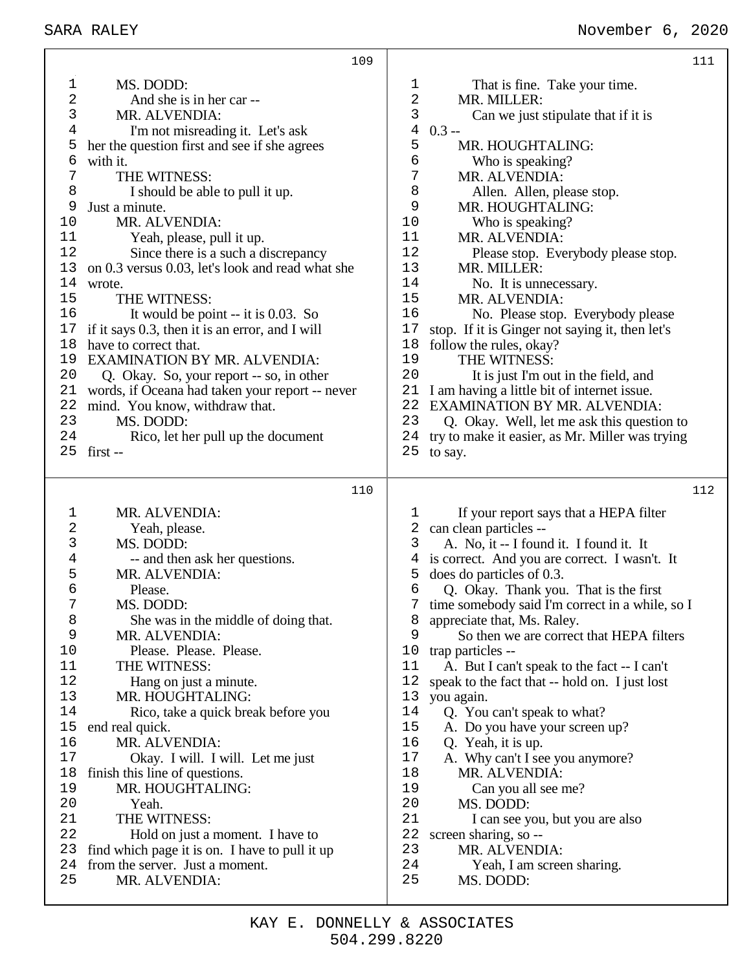|             | 109                                              |              |                                                                            | 111 |
|-------------|--------------------------------------------------|--------------|----------------------------------------------------------------------------|-----|
| $\mathbf 1$ | MS. DODD:                                        | $\mathbf{1}$ | That is fine. Take your time.                                              |     |
| 2           | And she is in her car --                         | 2            | MR. MILLER:                                                                |     |
| 3           | MR. ALVENDIA:                                    | 3            | Can we just stipulate that if it is                                        |     |
| 4           | I'm not misreading it. Let's ask                 | $0.3 -$<br>4 |                                                                            |     |
| 5           | her the question first and see if she agrees     | 5            | MR. HOUGHTALING:                                                           |     |
| 6           | with it.                                         | 6            | Who is speaking?                                                           |     |
| 7           | THE WITNESS:                                     | 7            | MR. ALVENDIA:                                                              |     |
| 8           | I should be able to pull it up.                  | 8            | Allen. Allen, please stop.                                                 |     |
| 9           | Just a minute.                                   | 9            | MR. HOUGHTALING:                                                           |     |
| 10          | MR. ALVENDIA:                                    | 10           | Who is speaking?                                                           |     |
| 11          | Yeah, please, pull it up.                        | 11           | MR. ALVENDIA:                                                              |     |
| 12          | Since there is a such a discrepancy              | 12           | Please stop. Everybody please stop.                                        |     |
| 13          | on 0.3 versus 0.03, let's look and read what she | 13           | MR. MILLER:                                                                |     |
| 14          | wrote.                                           | 14           | No. It is unnecessary.                                                     |     |
| 15          | THE WITNESS:                                     | 15           | MR. ALVENDIA:                                                              |     |
| 16          | It would be point $-$ it is 0.03. So             | 16           | No. Please stop. Everybody please                                          |     |
| 17          | if it says 0.3, then it is an error, and I will  | 17           | stop. If it is Ginger not saying it, then let's                            |     |
| 18          | have to correct that.                            | 18           | follow the rules, okay?                                                    |     |
| 19          | EXAMINATION BY MR. ALVENDIA:                     | 19           | THE WITNESS:                                                               |     |
| 20          | Q. Okay. So, your report -- so, in other         | 20           | It is just I'm out in the field, and                                       |     |
| 21          | words, if Oceana had taken your report -- never  | 21           | I am having a little bit of internet issue.                                |     |
| 22          | mind. You know, withdraw that.                   | 22           | EXAMINATION BY MR. ALVENDIA:                                               |     |
| 23          | MS. DODD:                                        | 23           | Q. Okay. Well, let me ask this question to                                 |     |
| 24          | Rico, let her pull up the document               | 24           | try to make it easier, as Mr. Miller was trying                            |     |
| 25          | first --                                         | 25           | to say.                                                                    |     |
|             |                                                  |              |                                                                            |     |
|             |                                                  |              |                                                                            |     |
|             | 110                                              |              |                                                                            | 112 |
| 1           | MR. ALVENDIA:                                    | ı            |                                                                            |     |
| $\sqrt{2}$  |                                                  | 2            | If your report says that a HEPA filter                                     |     |
| 3           | Yeah, please.<br>MS. DODD:                       | 3            | can clean particles --                                                     |     |
| 4           |                                                  | 4            | A. No, it -- I found it. I found it. It                                    |     |
| 5           | -- and then ask her questions.<br>MR. ALVENDIA:  | 5            | is correct. And you are correct. I wasn't. It<br>does do particles of 0.3. |     |
| 6           | Please.                                          | 6            | Q. Okay. Thank you. That is the first                                      |     |
| 7           | MS. DODD:                                        |              | time somebody said I'm correct in a while, so I                            |     |
| 8           | She was in the middle of doing that.             | 8            | appreciate that, Ms. Raley.                                                |     |
| 9           | MR. ALVENDIA:                                    | 9            | So then we are correct that HEPA filters                                   |     |
| 10          | Please. Please. Please.                          | 10           | trap particles --                                                          |     |
| 11          | THE WITNESS:                                     | 11           | A. But I can't speak to the fact -- I can't                                |     |
| 12          | Hang on just a minute.                           | 12           | speak to the fact that -- hold on. I just lost                             |     |
| 13          | MR. HOUGHTALING:                                 | 13           | you again.                                                                 |     |
| 14          | Rico, take a quick break before you              | 14           | Q. You can't speak to what?                                                |     |
| 15          | end real quick.                                  | 15           | A. Do you have your screen up?                                             |     |
| 16          | MR. ALVENDIA:                                    | 16           | Q. Yeah, it is up.                                                         |     |
| 17          | Okay. I will. I will. Let me just                | 17           | A. Why can't I see you anymore?                                            |     |
| 18          | finish this line of questions.                   | 18           | MR. ALVENDIA:                                                              |     |
| 19          | MR. HOUGHTALING:                                 | 19           | Can you all see me?                                                        |     |
| 20          | Yeah.                                            | 20           | MS. DODD:                                                                  |     |
| 21          | THE WITNESS:                                     | 21           | I can see you, but you are also                                            |     |
| 22          | Hold on just a moment. I have to                 | 22           | screen sharing, so --                                                      |     |
| 23          | find which page it is on. I have to pull it up   | 23           | MR. ALVENDIA:                                                              |     |
| 24          | from the server. Just a moment.                  | 24           | Yeah, I am screen sharing.                                                 |     |
| 25          | MR. ALVENDIA:                                    | 25           | MS. DODD:                                                                  |     |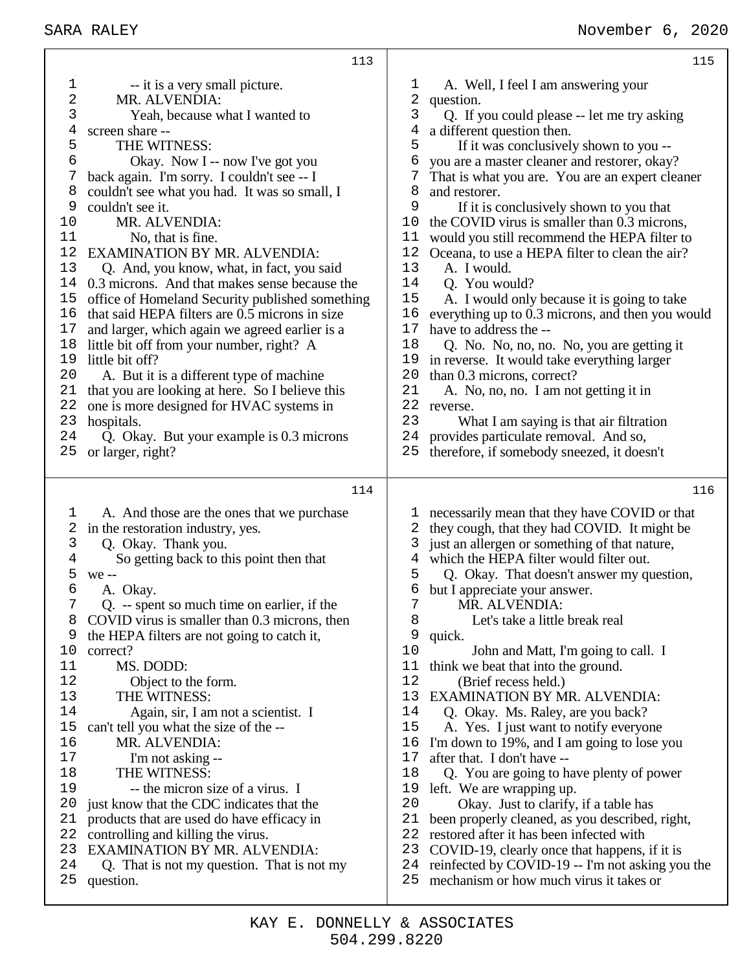|                | 113                                                     |          | 115                                                                                         |
|----------------|---------------------------------------------------------|----------|---------------------------------------------------------------------------------------------|
| 1              | -- it is a very small picture.                          | 1        | A. Well, I feel I am answering your                                                         |
| 2              | MR. ALVENDIA:                                           | 2        | question.                                                                                   |
| 3              | Yeah, because what I wanted to                          | 3        | Q. If you could please -- let me try asking                                                 |
| 4              | screen share --                                         | 4        | a different question then.                                                                  |
| 5              | THE WITNESS:                                            | 5        | If it was conclusively shown to you --                                                      |
| 6              | Okay. Now I -- now I've got you                         | 6        | you are a master cleaner and restorer, okay?                                                |
| 7              | back again. I'm sorry. I couldn't see -- I              | 7        | That is what you are. You are an expert cleaner                                             |
| 8              | couldn't see what you had. It was so small, I           | 8        | and restorer.                                                                               |
| 9              | couldn't see it.                                        | 9        | If it is conclusively shown to you that                                                     |
| 10             | MR. ALVENDIA:                                           | 10       | the COVID virus is smaller than 0.3 microns,                                                |
| 11             | No, that is fine.                                       | 11       | would you still recommend the HEPA filter to                                                |
| 12             | EXAMINATION BY MR. ALVENDIA:                            | 12       |                                                                                             |
| 13             |                                                         | 13       | Oceana, to use a HEPA filter to clean the air?                                              |
|                | Q. And, you know, what, in fact, you said               |          | A. I would.                                                                                 |
| 14             | 0.3 microns. And that makes sense because the           | 14       | Q. You would?                                                                               |
| 15             | office of Homeland Security published something         | 15       | A. I would only because it is going to take                                                 |
| 16             | that said HEPA filters are 0.5 microns in size          | 16       | everything up to 0.3 microns, and then you would                                            |
| 17             | and larger, which again we agreed earlier is a          | 17       | have to address the --                                                                      |
| 18             | little bit off from your number, right? A               | 18       | Q. No. No, no, no. No, you are getting it                                                   |
| 19             | little bit off?                                         | 19       | in reverse. It would take everything larger                                                 |
| 20             | A. But it is a different type of machine                | 20       | than 0.3 microns, correct?                                                                  |
| 21             | that you are looking at here. So I believe this         | 21       | A. No, no, no. I am not getting it in                                                       |
| 22             | one is more designed for HVAC systems in                | 22       | reverse.                                                                                    |
| 23             | hospitals.                                              | 23       | What I am saying is that air filtration                                                     |
| 24             | Q. Okay. But your example is 0.3 microns                | 24       | provides particulate removal. And so,                                                       |
| 25             | or larger, right?                                       | 25       | therefore, if somebody sneezed, it doesn't                                                  |
|                |                                                         |          |                                                                                             |
|                |                                                         |          |                                                                                             |
|                | 114                                                     |          | 116                                                                                         |
|                |                                                         |          |                                                                                             |
| 1              | A. And those are the ones that we purchase              |          | necessarily mean that they have COVID or that                                               |
| 2              | in the restoration industry, yes.                       | 2        | they cough, that they had COVID. It might be                                                |
| 3              | Q. Okay. Thank you.                                     | 3        | just an allergen or something of that nature,                                               |
| $\overline{4}$ | So getting back to this point then that                 | 4        | which the HEPA filter would filter out.                                                     |
| 5              | we --                                                   | 5        | Q. Okay. That doesn't answer my question,                                                   |
| 6              | A. Okay.                                                | 6        | but I appreciate your answer.                                                               |
|                | Q. -- spent so much time on earlier, if the             | 7        | MR. ALVENDIA:                                                                               |
| 8              | COVID virus is smaller than 0.3 microns, then           | 8        | Let's take a little break real                                                              |
| 9              | the HEPA filters are not going to catch it,             | 9        | quick.                                                                                      |
| 10             | correct?                                                | 10       | John and Matt, I'm going to call. I                                                         |
| 11             | MS. DODD:                                               | 11       | think we beat that into the ground.                                                         |
| 12             | Object to the form.                                     | 12       | (Brief recess held.)                                                                        |
| 13             | THE WITNESS:                                            | 13       | <b>EXAMINATION BY MR. ALVENDIA:</b>                                                         |
| 14             | Again, sir, I am not a scientist. I                     | 14       | Q. Okay. Ms. Raley, are you back?                                                           |
| 15             | can't tell you what the size of the --                  | 15       | A. Yes. I just want to notify everyone                                                      |
| 16             | MR. ALVENDIA:                                           | 16       | I'm down to 19%, and I am going to lose you                                                 |
| 17             | I'm not asking --                                       | 17       | after that. I don't have --                                                                 |
| 18             | THE WITNESS:                                            | 18       | Q. You are going to have plenty of power                                                    |
| 19             | -- the micron size of a virus. I                        | 19       | left. We are wrapping up.                                                                   |
| 20             | just know that the CDC indicates that the               | 20       | Okay. Just to clarify, if a table has                                                       |
| 21             | products that are used do have efficacy in              | 21       | been properly cleaned, as you described, right,                                             |
| 22             | controlling and killing the virus.                      | 22       | restored after it has been infected with                                                    |
| 23             | <b>EXAMINATION BY MR. ALVENDIA:</b>                     | 23       | COVID-19, clearly once that happens, if it is                                               |
| 24<br>25       | Q. That is not my question. That is not my<br>question. | 24<br>25 | reinfected by COVID-19 -- I'm not asking you the<br>mechanism or how much virus it takes or |

т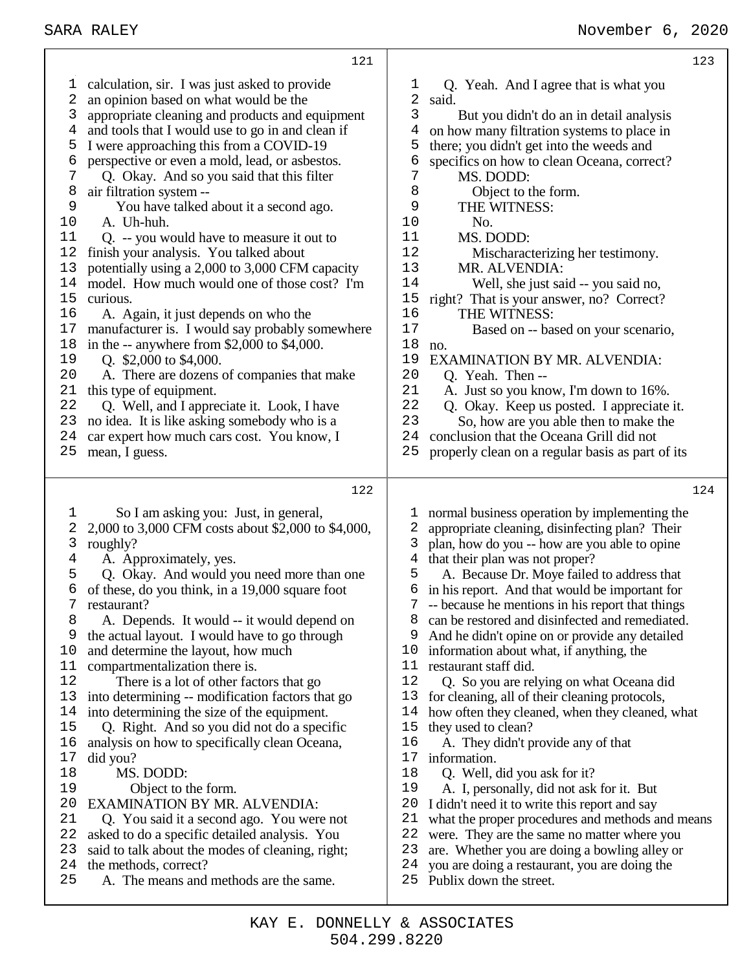calculation, sir. I was just asked to provide an opinion based on what would be the appropriate cleaning and products and equipment and tools that I would use to go in and clean if I were approaching this from a COVID-19 perspective or even a mold, lead, or asbestos. Q. Okay. And so you said that this filter 8 air filtration system --<br>9 You have talked You have talked about it a second ago. A. Uh-huh. Q. -- you would have to measure it out to finish your analysis. You talked about potentially using a 2,000 to 3,000 CFM capacity model. How much would one of those cost? I'm curious. A. Again, it just depends on who the manufacturer is. I would say probably somewhere in the -- anywhere from \$2,000 to \$4,000. 19 O.  $$2,000$  to \$4,000. A. There are dozens of companies that make this type of equipment. Q. Well, and I appreciate it. Look, I have no idea. It is like asking somebody who is a car expert how much cars cost. You know, I mean, I guess. So I am asking you: Just, in general, 2,000 to 3,000 CFM costs about \$2,000 to \$4,000, roughly? A. Approximately, yes. Q. Okay. And would you need more than one of these, do you think, in a 19,000 square foot restaurant? A. Depends. It would -- it would depend on the actual layout. I would have to go through and determine the layout, how much 11 compartmentalization there is.<br>12 There is a lot of other fac There is a lot of other factors that go into determining -- modification factors that go 14 into determining the size of the equipment.<br>15 O. Right. And so you did not do a speci- Q. Right. And so you did not do a specific analysis on how to specifically clean Oceana, did you? MS. DODD: 19 Object to the form.<br>20 EXAMINATION BY MR EXAMINATION BY MR. ALVENDIA: Q. You said it a second ago. You were not asked to do a specific detailed analysis. You said to talk about the modes of cleaning, right; 1 Q. Yeah. And I agree that is what you 2 said.  $rac{2}{3}$  said. But you didn't do an in detail analysis on how many filtration systems to place in there; you didn't get into the weeds and 6 specifics on how to clean Oceana, correct?<br>7 MS. DODD: MS. DODD: 8 Object to the form.<br>9 THE WITNESS 9 THE WITNESS:<br>10 No. No. MS. DODD: Mischaracterizing her testimony. 13 MR. ALVENDIA:<br>14 Well, she just sa Well, she just said -- you said no, right? That is your answer, no? Correct? THE WITNESS: Based on -- based on your scenario, no. 19 EXAMINATION BY MR. ALVENDIA:<br>20 O Yeah Then --20 Q. Yeah. Then --<br>21 A. Just so you kne 21 A. Just so you know, I'm down to 16%.<br>22 O Okay Keep us posted I appreciate 22 Q. Okay. Keep us posted. I appreciate it.<br>23 So how are you able then to make the So, how are you able then to make the conclusion that the Oceana Grill did not properly clean on a regular basis as part of its normal business operation by implementing the appropriate cleaning, disinfecting plan? Their plan, how do you -- how are you able to opine that their plan was not proper? A. Because Dr. Moye failed to address that in his report. And that would be important for -- because he mentions in his report that things can be restored and disinfected and remediated. And he didn't opine on or provide any detailed information about what, if anything, the 11 restaurant staff did.<br>12 O. So vou are re Q. So you are relying on what Oceana did for cleaning, all of their cleaning protocols, how often they cleaned, when they cleaned, what they used to clean? A. They didn't provide any of that information. 18 Q. Well, did you ask for it?<br>19 A. I. personally, did not ask A. I, personally, did not ask for it. But I didn't need it to write this report and say what the proper procedures and methods and means 22 were. They are the same no matter where you<br>23 are. Whether you are doing a bowling alley or are. Whether you are doing a bowling alley or

- the methods, correct?
- A. The means and methods are the same.
- you are doing a restaurant, you are doing the
- Publix down the street.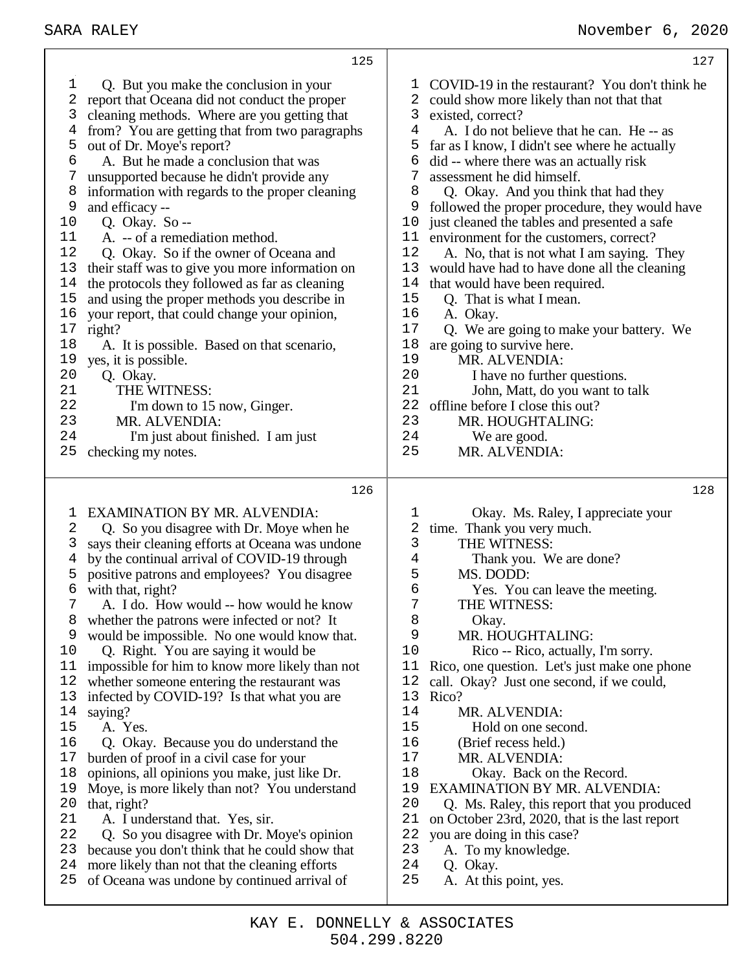| 127                                                                                                                                                                                                                                                                                                                                                                                                                                                                                                                                                                                                                                                                                                                                                                                                                                                                                                                                                                                                                                                    |
|--------------------------------------------------------------------------------------------------------------------------------------------------------------------------------------------------------------------------------------------------------------------------------------------------------------------------------------------------------------------------------------------------------------------------------------------------------------------------------------------------------------------------------------------------------------------------------------------------------------------------------------------------------------------------------------------------------------------------------------------------------------------------------------------------------------------------------------------------------------------------------------------------------------------------------------------------------------------------------------------------------------------------------------------------------|
| COVID-19 in the restaurant? You don't think he<br>T<br>2<br>could show more likely than not that that<br>3<br>existed, correct?<br>4<br>A. I do not believe that he can. He -- as<br>5<br>far as I know, I didn't see where he actually<br>6<br>did -- where there was an actually risk<br>7<br>assessment he did himself.<br>Q. Okay. And you think that had they<br>8<br>9<br>followed the proper procedure, they would have<br>just cleaned the tables and presented a safe<br>10<br>11<br>environment for the customers, correct?<br>12<br>A. No, that is not what I am saying. They<br>13<br>would have had to have done all the cleaning<br>14<br>that would have been required.<br>15<br>Q. That is what I mean.<br>16<br>A. Okay.<br>17<br>Q. We are going to make your battery. We<br>18<br>are going to survive here.<br>19<br>MR. ALVENDIA:<br>20<br>I have no further questions.<br>21<br>John, Matt, do you want to talk<br>22<br>offline before I close this out?<br>23<br>MR. HOUGHTALING:<br>24<br>We are good.<br>25<br>MR. ALVENDIA: |
| 128<br>1<br>Okay. Ms. Raley, I appreciate your<br>2<br>time. Thank you very much.<br>3<br>THE WITNESS:<br>Thank you. We are done?<br>4<br>MS. DODD:<br>5<br>6<br>Yes. You can leave the meeting.<br>7<br>THE WITNESS:<br>8<br>Okay.<br>9<br>MR. HOUGHTALING:<br>10<br>Rico -- Rico, actually, I'm sorry.<br>Rico, one question. Let's just make one phone<br>11<br>12<br>call. Okay? Just one second, if we could,<br>13<br>Rico?<br>14<br>MR. ALVENDIA:<br>15<br>Hold on one second.<br>16<br>(Brief recess held.)<br>$17$<br>MR. ALVENDIA:<br>18<br>Okay. Back on the Record.<br>19<br><b>EXAMINATION BY MR. ALVENDIA:</b><br>20<br>Q. Ms. Raley, this report that you produced<br>21<br>on October 23rd, 2020, that is the last report<br>22<br>you are doing in this case?<br>23<br>A. To my knowledge.<br>24<br>Q. Okay.<br>25<br>A. At this point, yes.                                                                                                                                                                                          |
|                                                                                                                                                                                                                                                                                                                                                                                                                                                                                                                                                                                                                                                                                                                                                                                                                                                                                                                                                                                                                                                        |

Т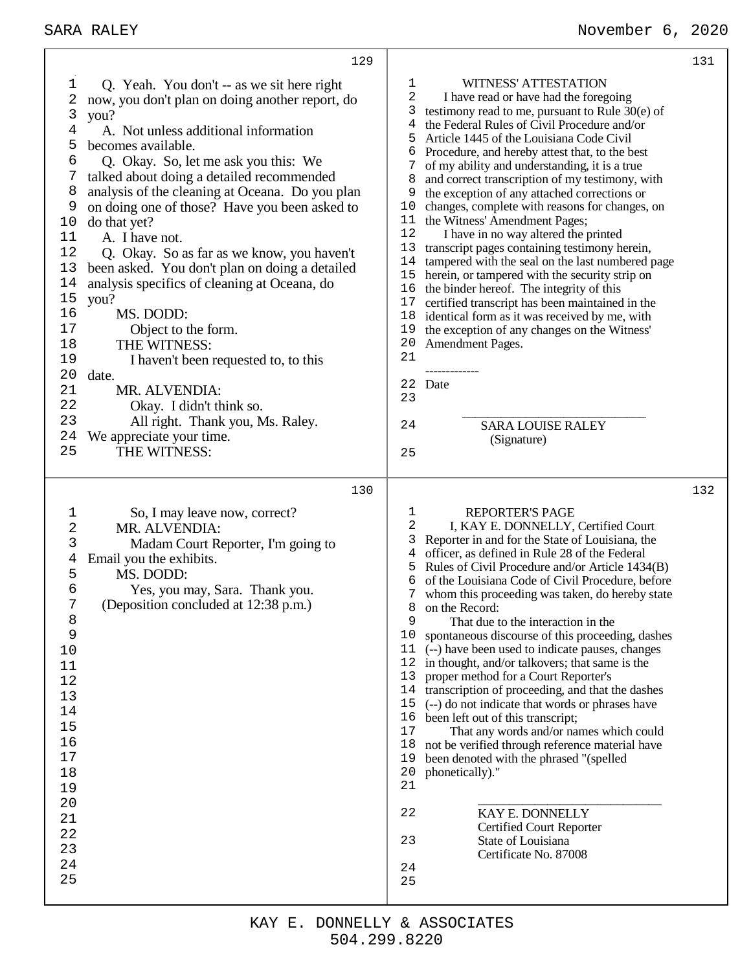|                                                                                                                                                     | 129                                                                                                                                                                                                                                                                                                                                                                                                                                                                                                                                                                                                                                                                                                                                                                                      |                                                                                                                                           |                                                                                                                                                                                                                                                                                                                                                                                                                                                                                                                                                                                                                                                                                                                                                                                                                                                                                                                                                                                                   | 131 |
|-----------------------------------------------------------------------------------------------------------------------------------------------------|------------------------------------------------------------------------------------------------------------------------------------------------------------------------------------------------------------------------------------------------------------------------------------------------------------------------------------------------------------------------------------------------------------------------------------------------------------------------------------------------------------------------------------------------------------------------------------------------------------------------------------------------------------------------------------------------------------------------------------------------------------------------------------------|-------------------------------------------------------------------------------------------------------------------------------------------|---------------------------------------------------------------------------------------------------------------------------------------------------------------------------------------------------------------------------------------------------------------------------------------------------------------------------------------------------------------------------------------------------------------------------------------------------------------------------------------------------------------------------------------------------------------------------------------------------------------------------------------------------------------------------------------------------------------------------------------------------------------------------------------------------------------------------------------------------------------------------------------------------------------------------------------------------------------------------------------------------|-----|
| 1<br>2<br>3<br>4<br>5<br>6<br>7<br>8<br>9<br>10<br>11<br>12<br>13<br>$1\,4$<br>15<br>16<br>17<br>18<br>19<br>20<br>21<br>22<br>23<br>24<br>25       | Q. Yeah. You don't -- as we sit here right<br>now, you don't plan on doing another report, do<br>you?<br>A. Not unless additional information<br>becomes available.<br>Q. Okay. So, let me ask you this: We<br>talked about doing a detailed recommended<br>analysis of the cleaning at Oceana. Do you plan<br>on doing one of those? Have you been asked to<br>do that yet?<br>A. I have not.<br>Q. Okay. So as far as we know, you haven't<br>been asked. You don't plan on doing a detailed<br>analysis specifics of cleaning at Oceana, do<br>you?<br>MS. DODD:<br>Object to the form.<br>THE WITNESS:<br>I haven't been requested to, to this<br>date.<br>MR. ALVENDIA:<br>Okay. I didn't think so.<br>All right. Thank you, Ms. Raley.<br>We appreciate your time.<br>THE WITNESS: | 1<br>2<br>3<br>4<br>5<br>6<br>7<br>8<br>9<br>10<br>11<br>12<br>13<br>14<br>15<br>16<br>17<br>18<br>19<br>20<br>21<br>22<br>23<br>24<br>25 | WITNESS' ATTESTATION<br>I have read or have had the foregoing<br>testimony read to me, pursuant to Rule $30(e)$ of<br>the Federal Rules of Civil Procedure and/or<br>Article 1445 of the Louisiana Code Civil<br>Procedure, and hereby attest that, to the best<br>of my ability and understanding, it is a true<br>and correct transcription of my testimony, with<br>the exception of any attached corrections or<br>changes, complete with reasons for changes, on<br>the Witness' Amendment Pages;<br>I have in no way altered the printed<br>transcript pages containing testimony herein,<br>tampered with the seal on the last numbered page<br>herein, or tampered with the security strip on<br>the binder hereof. The integrity of this<br>certified transcript has been maintained in the<br>identical form as it was received by me, with<br>the exception of any changes on the Witness'<br>Amendment Pages.<br>Date<br><b>SARA LOUISE RALEY</b><br>(Signature)                      |     |
|                                                                                                                                                     |                                                                                                                                                                                                                                                                                                                                                                                                                                                                                                                                                                                                                                                                                                                                                                                          |                                                                                                                                           |                                                                                                                                                                                                                                                                                                                                                                                                                                                                                                                                                                                                                                                                                                                                                                                                                                                                                                                                                                                                   |     |
| $\mathbf 1$<br>2<br>3<br>4<br>5<br>6<br>7<br>8<br>9<br>10<br>11<br>12<br>13<br>14<br>15<br>16<br>17<br>18<br>19<br>20<br>21<br>22<br>23<br>24<br>25 | 130<br>So, I may leave now, correct?<br>MR. ALVENDIA:<br>Madam Court Reporter, I'm going to<br>Email you the exhibits.<br>MS. DODD:<br>Yes, you may, Sara. Thank you.<br>(Deposition concluded at 12:38 p.m.)                                                                                                                                                                                                                                                                                                                                                                                                                                                                                                                                                                            | 1<br>2<br>3<br>4<br>5<br>6<br>7<br>8<br>9<br>10<br>11<br>12<br>13<br>14<br>15<br>16<br>17<br>18<br>19<br>20<br>21<br>22<br>23<br>24<br>25 | <b>REPORTER'S PAGE</b><br>I, KAY E. DONNELLY, Certified Court<br>Reporter in and for the State of Louisiana, the<br>officer, as defined in Rule 28 of the Federal<br>Rules of Civil Procedure and/or Article 1434(B)<br>of the Louisiana Code of Civil Procedure, before<br>whom this proceeding was taken, do hereby state<br>on the Record:<br>That due to the interaction in the<br>spontaneous discourse of this proceeding, dashes<br>(--) have been used to indicate pauses, changes<br>in thought, and/or talkovers; that same is the<br>proper method for a Court Reporter's<br>transcription of proceeding, and that the dashes<br>(--) do not indicate that words or phrases have<br>been left out of this transcript;<br>That any words and/or names which could<br>not be verified through reference material have<br>been denoted with the phrased "(spelled<br>phonetically)."<br>KAY E. DONNELLY<br><b>Certified Court Reporter</b><br>State of Louisiana<br>Certificate No. 87008 | 132 |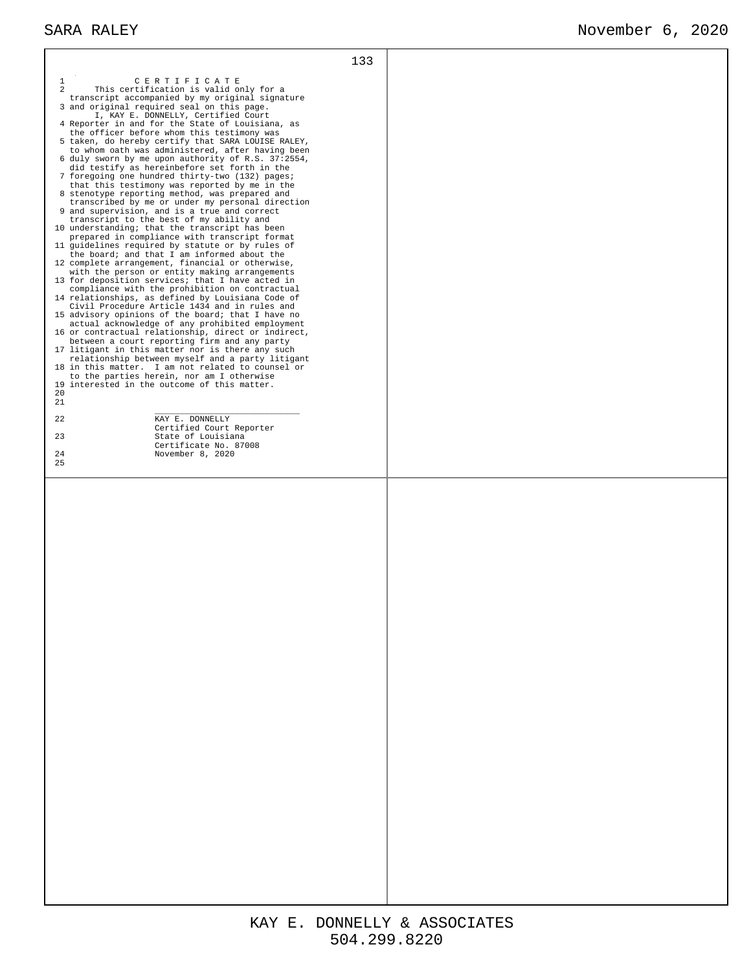| $\mathbf{1}$<br>CERTIFICATE<br>2<br>This certification is valid only for a<br>transcript accompanied by my original signature<br>3 and original required seal on this page.<br>I, KAY E. DONNELLY, Certified Court<br>4 Reporter in and for the State of Louisiana, as<br>the officer before whom this testimony was<br>5 taken, do hereby certify that SARA LOUISE RALEY,<br>to whom oath was administered, after having been<br>6 duly sworn by me upon authority of R.S. 37:2554,<br>did testify as hereinbefore set forth in the<br>7 foregoing one hundred thirty-two (132) pages;<br>that this testimony was reported by me in the<br>8 stenotype reporting method, was prepared and<br>transcribed by me or under my personal direction<br>9 and supervision, and is a true and correct<br>transcript to the best of my ability and<br>10 understanding; that the transcript has been<br>prepared in compliance with transcript format<br>11 guidelines required by statute or by rules of<br>the board; and that I am informed about the<br>12 complete arrangement, financial or otherwise,<br>with the person or entity making arrangements<br>13 for deposition services; that I have acted in<br>compliance with the prohibition on contractual<br>14 relationships, as defined by Louisiana Code of<br>Civil Procedure Article 1434 and in rules and<br>15 advisory opinions of the board; that I have no<br>actual acknowledge of any prohibited employment<br>16 or contractual relationship, direct or indirect,<br>between a court reporting firm and any party<br>17 litigant in this matter nor is there any such<br>relationship between myself and a party litigant<br>18 in this matter. I am not related to counsel or<br>to the parties herein, nor am I otherwise<br>19 interested in the outcome of this matter.<br>20<br>21<br>22<br>KAY E. DONNELLY<br>Certified Court Reporter<br>23<br>State of Louisiana<br>Certificate No. 87008<br>24<br>November 8, 2020<br>25 | 133 |  |
|--------------------------------------------------------------------------------------------------------------------------------------------------------------------------------------------------------------------------------------------------------------------------------------------------------------------------------------------------------------------------------------------------------------------------------------------------------------------------------------------------------------------------------------------------------------------------------------------------------------------------------------------------------------------------------------------------------------------------------------------------------------------------------------------------------------------------------------------------------------------------------------------------------------------------------------------------------------------------------------------------------------------------------------------------------------------------------------------------------------------------------------------------------------------------------------------------------------------------------------------------------------------------------------------------------------------------------------------------------------------------------------------------------------------------------------------------------------------------------------------------------------------------------------------------------------------------------------------------------------------------------------------------------------------------------------------------------------------------------------------------------------------------------------------------------------------------------------------------------------------------------------------------------------------------------------------------------------------------------------------------|-----|--|
|                                                                                                                                                                                                                                                                                                                                                                                                                                                                                                                                                                                                                                                                                                                                                                                                                                                                                                                                                                                                                                                                                                                                                                                                                                                                                                                                                                                                                                                                                                                                                                                                                                                                                                                                                                                                                                                                                                                                                                                                  |     |  |
|                                                                                                                                                                                                                                                                                                                                                                                                                                                                                                                                                                                                                                                                                                                                                                                                                                                                                                                                                                                                                                                                                                                                                                                                                                                                                                                                                                                                                                                                                                                                                                                                                                                                                                                                                                                                                                                                                                                                                                                                  |     |  |
|                                                                                                                                                                                                                                                                                                                                                                                                                                                                                                                                                                                                                                                                                                                                                                                                                                                                                                                                                                                                                                                                                                                                                                                                                                                                                                                                                                                                                                                                                                                                                                                                                                                                                                                                                                                                                                                                                                                                                                                                  |     |  |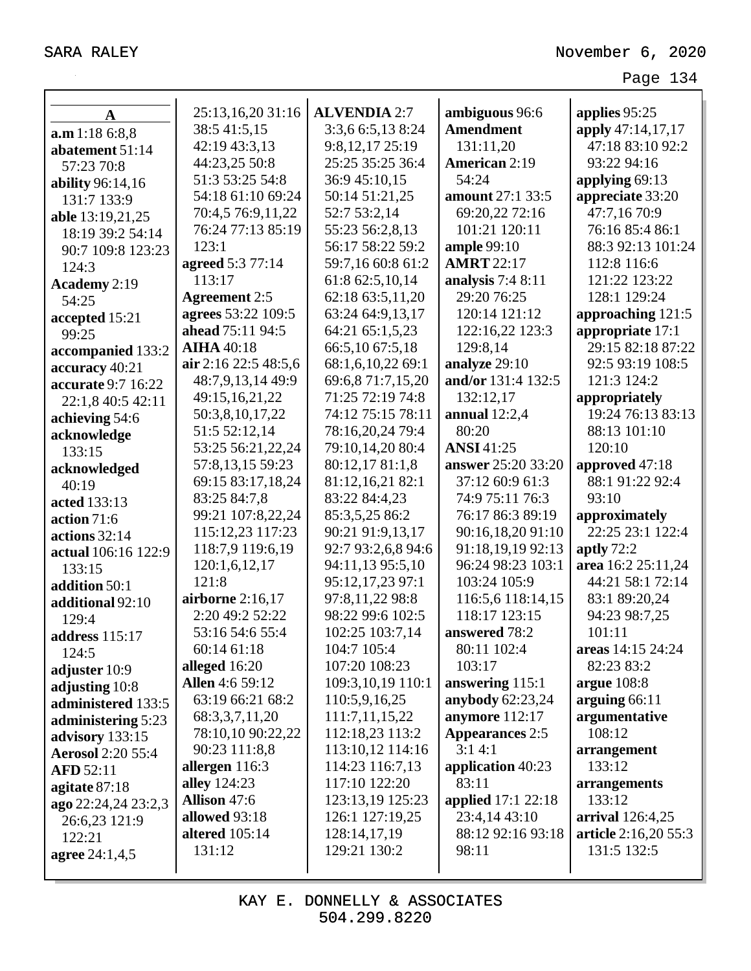| $\mathbf A$              | 25:13,16,20 31:16      | <b>ALVENDIA 2:7</b> | ambiguous 96:6          | applies 95:25        |
|--------------------------|------------------------|---------------------|-------------------------|----------------------|
| a.m 1:18 6:8,8           | 38:5 41:5,15           | 3:3,6 6:5,13 8:24   | <b>Amendment</b>        | apply 47:14,17,17    |
| abatement 51:14          | 42:19 43:3,13          | 9:8,12,17 25:19     | 131:11,20               | 47:18 83:10 92:2     |
| 57:23 70:8               | 44:23,25 50:8          | 25:25 35:25 36:4    | <b>American 2:19</b>    | 93:22 94:16          |
| ability 96:14,16         | 51:3 53:25 54:8        | 36:9 45:10,15       | 54:24                   | applying 69:13       |
| 131:7 133:9              | 54:18 61:10 69:24      | 50:14 51:21,25      | <b>amount</b> 27:1 33:5 | appreciate 33:20     |
| able 13:19,21,25         | 70:4,5 76:9,11,22      | 52:7 53:2,14        | 69:20,22 72:16          | 47:7,16 70:9         |
| 18:19 39:2 54:14         | 76:24 77:13 85:19      | 55:23 56:2,8,13     | 101:21 120:11           | 76:16 85:4 86:1      |
| 90:7 109:8 123:23        | 123:1                  | 56:17 58:22 59:2    | ample 99:10             | 88:3 92:13 101:24    |
| 124:3                    | agreed 5:3 77:14       | 59:7,16 60:8 61:2   | <b>AMRT</b> 22:17       | 112:8 116:6          |
| Academy 2:19             | 113:17                 | 61:8 62:5,10,14     | analysis $7:48:11$      | 121:22 123:22        |
| 54:25                    | <b>Agreement</b> 2:5   | 62:18 63:5,11,20    | 29:20 76:25             | 128:1 129:24         |
| accepted 15:21           | agrees 53:22 109:5     | 63:24 64:9,13,17    | 120:14 121:12           | approaching 121:5    |
| 99:25                    | ahead 75:11 94:5       | 64:21 65:1,5,23     | 122:16,22 123:3         | appropriate 17:1     |
| accompanied 133:2        | <b>AIHA</b> 40:18      | 66:5,10 67:5,18     | 129:8,14                | 29:15 82:18 87:22    |
| accuracy 40:21           | air 2:16 22:5 48:5,6   | 68:1,6,10,22 69:1   | analyze 29:10           | 92:5 93:19 108:5     |
| accurate 9:7 16:22       | 48:7,9,13,14 49:9      | 69:6,871:7,15,20    | and/or 131:4 132:5      | 121:3 124:2          |
| 22:1,8 40:5 42:11        | 49:15,16,21,22         | 71:25 72:19 74:8    | 132:12,17               | appropriately        |
| achieving 54:6           | 50:3,8,10,17,22        | 74:12 75:15 78:11   | annual $12:2,4$         | 19:24 76:13 83:13    |
| acknowledge              | 51:5 52:12,14          | 78:16,20,24 79:4    | 80:20                   | 88:13 101:10         |
| 133:15                   | 53:25 56:21,22,24      | 79:10,14,20 80:4    | <b>ANSI</b> 41:25       | 120:10               |
| acknowledged             | 57:8,13,15 59:23       | 80:12,17 81:1,8     | answer 25:20 33:20      | approved 47:18       |
| 40:19                    | 69:15 83:17,18,24      | 81:12,16,21 82:1    | 37:12 60:9 61:3         | 88:1 91:22 92:4      |
| acted 133:13             | 83:25 84:7,8           | 83:22 84:4,23       | 74:9 75:11 76:3         | 93:10                |
| action 71:6              | 99:21 107:8,22,24      | 85:3,5,25 86:2      | 76:17 86:3 89:19        | approximately        |
| actions 32:14            | 115:12,23 117:23       | 90:21 91:9,13,17    | 90:16,18,20 91:10       | 22:25 23:1 122:4     |
| actual 106:16 122:9      | 118:7,9 119:6,19       | 92:7 93:2,6,8 94:6  | 91:18,19,19 92:13       | aptly $72:2$         |
| 133:15                   | 120:1,6,12,17          | 94:11,13 95:5,10    | 96:24 98:23 103:1       | area 16:2 25:11,24   |
| addition 50:1            | 121:8                  | 95:12,17,23 97:1    | 103:24 105:9            | 44:21 58:1 72:14     |
| additional 92:10         | airborne 2:16,17       | 97:8,11,22 98:8     | 116:5,6 118:14,15       | 83:1 89:20,24        |
| 129:4                    | 2:20 49:2 52:22        | 98:22 99:6 102:5    | 118:17 123:15           | 94:23 98:7,25        |
| address 115:17           | 53:16 54:6 55:4        | 102:25 103:7,14     | answered 78:2           | 101:11               |
| 124:5                    | 60:14 61:18            | 104:7 105:4         | 80:11 102:4             | areas 14:15 24:24    |
| adjuster 10:9            | alleged 16:20          | 107:20 108:23       | 103:17                  | 82:23 83:2           |
| adjusting 10:8           | <b>Allen</b> 4:6 59:12 | 109:3,10,19 110:1   | answering 115:1         | argue $108:8$        |
| administered 133:5       | 63:19 66:21 68:2       | 110:5,9,16,25       | anybody $62:23,24$      | arguing 66:11        |
| administering 5:23       | 68:3,3,7,11,20         | 111:7,11,15,22      | anymore 112:17          | argumentative        |
| advisory 133:15          | 78:10,10 90:22,22      | 112:18,23 113:2     | <b>Appearances 2:5</b>  | 108:12               |
| <b>Aerosol</b> 2:20 55:4 | 90:23 111:8,8          | 113:10,12 114:16    | 3:14:1                  | arrangement          |
| <b>AFD</b> 52:11         | allergen 116:3         | 114:23 116:7,13     | application 40:23       | 133:12               |
| agitate $87:18$          | alley 124:23           | 117:10 122:20       | 83:11                   | arrangements         |
| ago 22:24,24 23:2,3      | Allison 47:6           | 123:13,19 125:23    | applied 17:1 22:18      | 133:12               |
| 26:6,23 121:9            | allowed 93:18          | 126:1 127:19,25     | 23:4,14 43:10           | arrival 126:4,25     |
| 122:21                   | altered $105:14$       | 128:14,17,19        | 88:12 92:16 93:18       | article 2:16,20 55:3 |
| agree 24:1,4,5           | 131:12                 | 129:21 130:2        | 98:11                   | 131:5 132:5          |
|                          |                        |                     |                         |                      |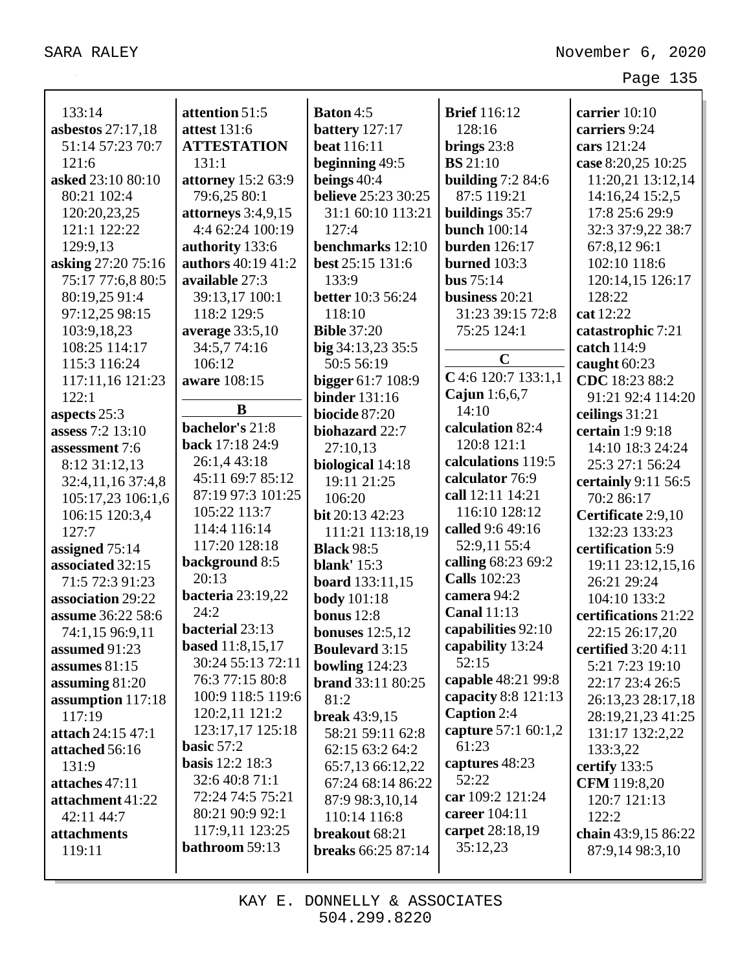|                     |                                              |                            |                                       | Page 135             |
|---------------------|----------------------------------------------|----------------------------|---------------------------------------|----------------------|
| 133:14              | attention 51:5                               | <b>Baton 4:5</b>           | <b>Brief</b> 116:12                   | carrier 10:10        |
| asbestos $27:17,18$ | <b>attest</b> 131:6                          | battery 127:17             | 128:16                                | carriers 9:24        |
| 51:14 57:23 70:7    | <b>ATTESTATION</b>                           | <b>beat</b> 116:11         | brings $23:8$                         | cars 121:24          |
| 121:6               | 131:1                                        | beginning 49:5             | <b>BS</b> 21:10                       | case 8:20,25 10:25   |
| asked 23:10 80:10   | attorney 15:2 63:9                           | beings $40:4$              | building $7:284:6$                    | 11:20,21 13:12,14    |
|                     |                                              | <b>believe</b> 25:23 30:25 | 87:5 119:21                           |                      |
| 80:21 102:4         | 79:6,25 80:1                                 |                            |                                       | 14:16,24 15:2,5      |
| 120:20,23,25        | attorneys $3:4,9,15$                         | 31:1 60:10 113:21          | buildings 35:7<br><b>bunch</b> 100:14 | 17:8 25:6 29:9       |
| 121:1 122:22        | 4:4 62:24 100:19                             | 127:4                      |                                       | 32:3 37:9,22 38:7    |
| 129:9,13            | authority 133:6                              | benchmarks 12:10           | <b>burden</b> 126:17                  | 67:8,1296:1          |
| asking 27:20 75:16  | authors 40:19 41:2                           | best 25:15 131:6           | burned $103:3$                        | 102:10 118:6         |
| 75:17 77:6,8 80:5   | available 27:3                               | 133:9                      | bus $75:14$                           | 120:14,15 126:17     |
| 80:19,25 91:4       | 39:13,17 100:1                               | <b>better</b> 10:3 56:24   | business 20:21                        | 128:22               |
| 97:12,25 98:15      | 118:2 129:5                                  | 118:10                     | 31:23 39:15 72:8                      | cat 12:22            |
| 103:9,18,23         | average 33:5,10                              | <b>Bible 37:20</b>         | 75:25 124:1                           | catastrophic 7:21    |
| 108:25 114:17       | 34:5,774:16                                  | big 34:13,23 35:5          | $\mathbf C$                           | catch 114:9          |
| 115:3 116:24        | 106:12                                       | 50:5 56:19                 | $C$ 4:6 120:7 133:1,1                 | caught $60:23$       |
| 117:11,16 121:23    | aware 108:15                                 | <b>bigger</b> 61:7 108:9   | Cajun $1:6,6,7$                       | CDC 18:23 88:2       |
| 122:1               | B                                            | <b>binder</b> 131:16       | 14:10                                 | 91:21 92:4 114:20    |
| aspects 25:3        | bachelor's 21:8                              | biocide 87:20              | calculation 82:4                      | ceilings $31:21$     |
| assess 7:2 13:10    | back 17:18 24:9                              | biohazard 22:7             | 120:8 121:1                           | certain 1:9 9:18     |
| assessment 7:6      | 26:1,4 43:18                                 | 27:10,13                   | calculations 119:5                    | 14:10 18:3 24:24     |
| 8:12 31:12,13       | 45:11 69:7 85:12                             | biological 14:18           | calculator 76:9                       | 25:3 27:1 56:24      |
| 32:4,11,16 37:4,8   | 87:19 97:3 101:25                            | 19:11 21:25                | call 12:11 14:21                      | certainly 9:11 56:5  |
| 105:17,23 106:1,6   |                                              | 106:20                     |                                       | 70:2 86:17           |
| 106:15 120:3,4      | 105:22 113:7                                 | bit 20:13 42:23            | 116:10 128:12                         | Certificate 2:9,10   |
| 127:7               | 114:4 116:14                                 | 111:21 113:18,19           | called 9:6 49:16                      | 132:23 133:23        |
| assigned 75:14      | 117:20 128:18                                | <b>Black 98:5</b>          | 52:9,11 55:4                          | certification 5:9    |
| associated 32:15    | background 8:5                               | <b>blank'</b> 15:3         | calling 68:23 69:2                    | 19:11 23:12,15,16    |
| 71:5 72:3 91:23     | 20:13                                        | <b>board</b> 133:11,15     | <b>Calls</b> 102:23                   | 26:21 29:24          |
| association 29:22   | <b>bacteria</b> 23:19,22                     | <b>body</b> 101:18         | camera 94:2                           | 104:10 133:2         |
| assume 36:22 58:6   | 24:2                                         | bonus $12:8$               | <b>Canal 11:13</b>                    | certifications 21:22 |
| 74:1,15 96:9,11     | bacterial 23:13                              | bonuses $12:5,12$          | capabilities 92:10                    | 22:15 26:17,20       |
| assumed 91:23       | <b>based</b> 11:8,15,17<br>30:24 55:13 72:11 | <b>Boulevard</b> 3:15      | capability 13:24<br>52:15             | certified 3:20 4:11  |
| assumes $81:15$     |                                              | bowling $124:23$           |                                       | 5:21 7:23 19:10      |
| assuming 81:20      | 76:3 77:15 80:8                              | <b>brand</b> 33:11 80:25   | capable 48:21 99:8                    | 22:17 23:4 26:5      |
| assumption 117:18   | 100:9 118:5 119:6                            | 81:2                       | capacity $8:8$ 121:13                 | 26:13,23 28:17,18    |
| 117:19              | 120:2,11 121:2                               | <b>break</b> 43:9,15       | Caption 2:4                           | 28:19,21,23 41:25    |
| attach 24:15 47:1   | 123:17,17 125:18                             | 58:21 59:11 62:8           | capture 57:1 60:1,2                   | 131:17 132:2,22      |
| attached 56:16      | basic $57:2$                                 | 62:15 63:2 64:2            | 61:23                                 | 133:3,22             |
| 131:9               | <b>basis</b> 12:2 18:3                       | 65:7,13 66:12,22           | captures 48:23                        | certify 133:5        |
| attaches 47:11      | 32:6 40:8 71:1                               | 67:24 68:14 86:22          | 52:22                                 | <b>CFM</b> 119:8,20  |
| attachment 41:22    | 72:24 74:5 75:21<br>80:21 90:9 92:1          | 87:9 98:3,10,14            | car 109:2 121:24<br>career 104:11     | 120:7 121:13         |
| 42:11 44:7          | 117:9,11 123:25                              | 110:14 116:8               | carpet 28:18,19                       | 122:2                |
| attachments         | bathroom 59:13                               | breakout 68:21             | 35:12,23                              | chain 43:9,15 86:22  |
| 119:11              |                                              | <b>breaks</b> 66:25 87:14  |                                       | 87:9,14 98:3,10      |
|                     |                                              |                            |                                       |                      |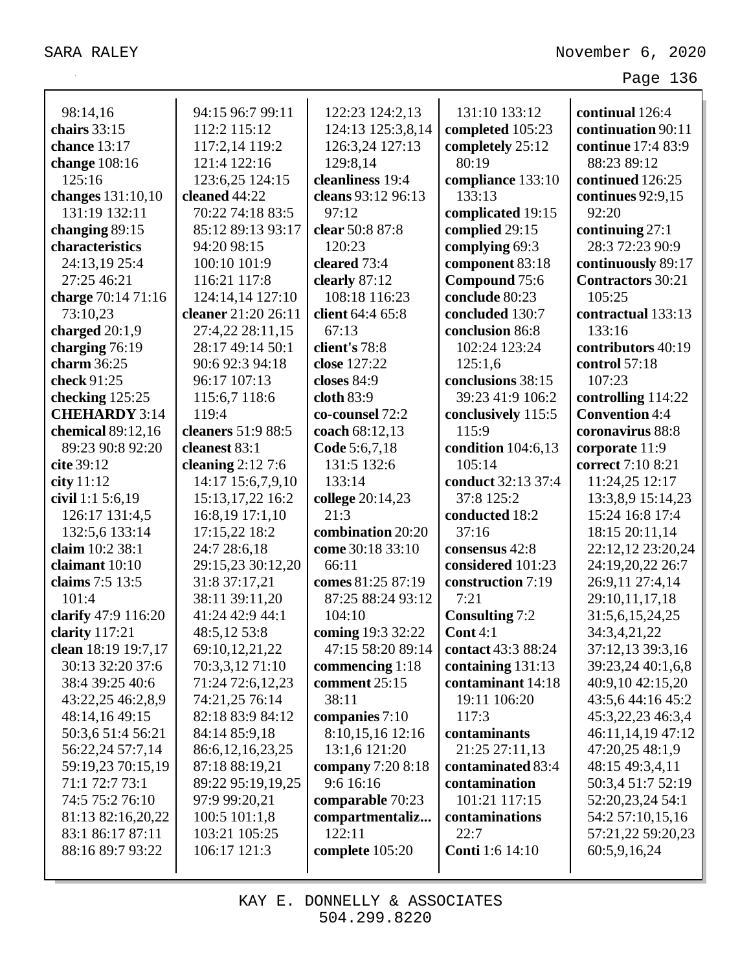| 98:14,16                             | 94:15 96:7 99:11                    | 122:23 124:2,13        | 131:10 133:12                            | continual 126:4                       |
|--------------------------------------|-------------------------------------|------------------------|------------------------------------------|---------------------------------------|
| chairs 33:15                         | 112:2 115:12                        | 124:13 125:3,8,14      | completed 105:23                         | continuation 90:11                    |
| chance 13:17                         | 117:2,14 119:2                      | 126:3,24 127:13        | completely 25:12                         | continue 17:4 83:9                    |
| change 108:16                        | 121:4 122:16                        | 129:8,14               | 80:19                                    | 88:23 89:12                           |
| 125:16                               | 123:6,25 124:15                     | cleanliness 19:4       | compliance 133:10                        | continued 126:25                      |
| changes 131:10,10                    | cleaned 44:22                       | cleans 93:12 96:13     | 133:13                                   | continues 92:9,15                     |
| 131:19 132:11                        | 70:22 74:18 83:5                    | 97:12                  | complicated 19:15                        | 92:20                                 |
| changing 89:15                       | 85:12 89:13 93:17                   | clear 50:8 87:8        | complied 29:15                           | continuing $27:1$                     |
| characteristics                      | 94:20 98:15                         | 120:23                 | complying 69:3                           | 28:3 72:23 90:9                       |
| 24:13,19 25:4                        | 100:10 101:9                        | cleared 73:4           | component 83:18                          | continuously 89:17                    |
| 27:25 46:21                          | 116:21 117:8                        | clearly $87:12$        | Compound 75:6                            | <b>Contractors</b> 30:21              |
| charge 70:14 71:16                   | 124:14,14 127:10                    | 108:18 116:23          | conclude 80:23                           | 105:25                                |
| 73:10,23                             | cleaner 21:20 26:11                 | client 64:4 65:8       | concluded 130:7                          | contractual 133:13                    |
| charged $20:1,9$                     | 27:4,22 28:11,15                    | 67:13                  | conclusion 86:8                          | 133:16                                |
| charging 76:19                       | 28:17 49:14 50:1                    | client's 78:8          | 102:24 123:24                            | contributors 40:19                    |
| charm 36:25                          | 90:6 92:3 94:18                     | close 127:22           | 125:1,6                                  | control 57:18                         |
| check 91:25                          | 96:17 107:13                        | closes 84:9            | conclusions 38:15                        | 107:23                                |
| checking 125:25                      | 115:6,7 118:6                       | cloth 83:9             | 39:23 41:9 106:2                         | controlling 114:22                    |
| <b>CHEHARDY 3:14</b>                 | 119:4                               | co-counsel 72:2        | conclusively 115:5                       | <b>Convention 4:4</b>                 |
| chemical 89:12,16                    | cleaners 51:9 88:5                  | coach 68:12,13         | 115:9                                    | coronavirus 88:8                      |
| 89:23 90:8 92:20                     | cleanest 83:1                       | Code 5:6,7,18          | condition $104:6,13$                     | corporate 11:9                        |
| cite 39:12                           | cleaning $2:127:6$                  | 131:5 132:6            | 105:14                                   | correct 7:10 8:21                     |
| city $11:12$                         | 14:17 15:6,7,9,10                   | 133:14                 | conduct 32:13 37:4                       | 11:24,25 12:17                        |
| civil 1:1 5:6,19                     | 15:13, 17, 22 16:2                  | college 20:14,23       | 37:8 125:2                               | 13:3,8,9 15:14,23                     |
| 126:17 131:4,5                       | 16:8,19 17:1,10                     | 21:3                   | conducted 18:2                           | 15:24 16:8 17:4                       |
| 132:5,6 133:14                       | 17:15,22 18:2                       | combination 20:20      | 37:16                                    | 18:15 20:11,14                        |
| claim 10:2 38:1                      | 24:7 28:6,18                        | come 30:18 33:10       | consensus 42:8                           | 22:12,12 23:20,24                     |
| claimant 10:10                       | 29:15,23 30:12,20                   | 66:11                  | considered 101:23                        | 24:19,20,22 26:7                      |
| claims 7:5 13:5                      | 31:8 37:17,21                       | comes 81:25 87:19      | construction 7:19                        | 26:9,11 27:4,14                       |
| 101:4                                | 38:11 39:11,20                      | 87:25 88:24 93:12      | 7:21                                     | 29:10,11,17,18                        |
| clarify 47:9 116:20                  | 41:24 42:9 44:1                     | 104:10                 | <b>Consulting 7:2</b>                    | 31:5,6,15,24,25                       |
| clarity 117:21                       | 48:5,12 53:8                        | coming 19:3 32:22      | Cont $4:1$                               | 34:3,4,21,22                          |
| clean 18:19 19:7,17                  | 69:10,12,21,22                      | 47:15 58:20 89:14      | contact 43:3 88:24                       | 37:12,13 39:3,16                      |
| 30:13 32:20 37:6                     | 70:3,3,12 71:10<br>71:24 72:6,12,23 | commencing 1:18        | containing $131:13$<br>contaminant 14:18 | 39:23,24 40:1,6,8                     |
| 38:4 39:25 40:6<br>43:22,25 46:2,8,9 | 74:21,25 76:14                      | comment 25:15<br>38:11 | 19:11 106:20                             | 40:9,10 42:15,20<br>43:5,6 44:16 45:2 |
| 48:14,16 49:15                       | 82:18 83:9 84:12                    | companies 7:10         | 117:3                                    | 45:3,22,23 46:3,4                     |
| 50:3,6 51:4 56:21                    | 84:14 85:9,18                       | 8:10,15,16 12:16       | contaminants                             | 46:11,14,19 47:12                     |
| 56:22,24 57:7,14                     | 86:6, 12, 16, 23, 25                | 13:1,6 121:20          | 21:25 27:11,13                           | 47:20,25 48:1,9                       |
| 59:19,23 70:15,19                    | 87:18 88:19,21                      | company 7:20 8:18      | contaminated 83:4                        | 48:15 49:3,4,11                       |
| 71:1 72:7 73:1                       | 89:22 95:19,19,25                   | 9:6 16:16              | contamination                            | 50:3,4 51:7 52:19                     |
| 74:5 75:2 76:10                      | 97:9 99:20,21                       | comparable 70:23       | 101:21 117:15                            | 52:20,23,24 54:1                      |
| 81:13 82:16,20,22                    | 100:5 101:1,8                       | compartmentaliz        | contaminations                           | 54:2 57:10,15,16                      |
| 83:1 86:17 87:11                     | 103:21 105:25                       | 122:11                 | 22:7                                     | 57:21,22 59:20,23                     |
| 88:16 89:7 93:22                     | 106:17 121:3                        | complete 105:20        | <b>Conti</b> 1:6 14:10                   | 60:5,9,16,24                          |
|                                      |                                     |                        |                                          |                                       |
|                                      |                                     |                        |                                          |                                       |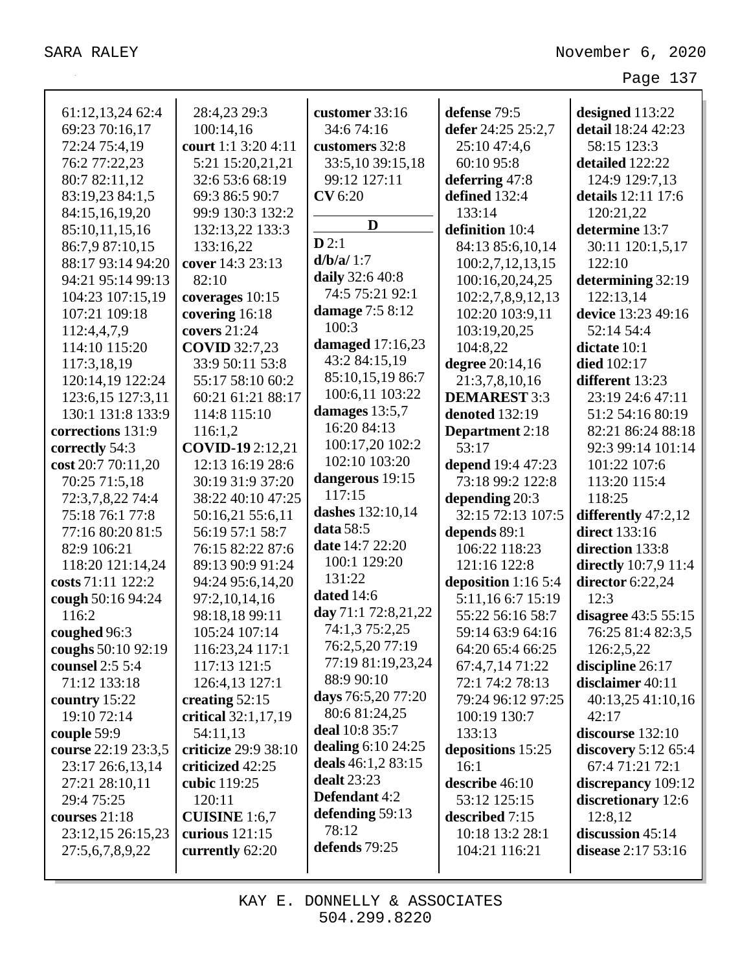| 61:12,13,24 62:4    | 28:4,23 29:3            | customer 33:16      | defense 79:5                         | designed 113:22            |
|---------------------|-------------------------|---------------------|--------------------------------------|----------------------------|
| 69:23 70:16,17      | 100:14,16               | 34:6 74:16          | defer 24:25 25:2,7                   | detail 18:24 42:23         |
| 72:24 75:4,19       | court 1:1 3:20 4:11     | customers 32:8      | 25:10 47:4,6                         | 58:15 123:3                |
| 76:2 77:22,23       | 5:21 15:20,21,21        | 33:5,10 39:15,18    | 60:10 95:8                           | detailed 122:22            |
| 80:7 82:11,12       | 32:6 53:6 68:19         | 99:12 127:11        | deferring 47:8                       | 124:9 129:7,13             |
| 83:19,23 84:1,5     | 69:3 86:5 90:7          | <b>CV</b> 6:20      | defined 132:4                        | details 12:11 17:6         |
| 84:15,16,19,20      | 99:9 130:3 132:2        |                     | 133:14                               | 120:21,22                  |
| 85:10,11,15,16      | 132:13,22 133:3         | D                   | definition 10:4                      | determine 13:7             |
| 86:7,9 87:10,15     | 133:16,22               | D2:1                | 84:13 85:6,10,14                     | 30:11 120:1,5,17           |
| 88:17 93:14 94:20   | cover 14:3 23:13        | d/b/a/1:7           | 100:2,7,12,13,15                     | 122:10                     |
| 94:21 95:14 99:13   | 82:10                   | daily 32:6 40:8     | 100:16,20,24,25                      | determining 32:19          |
| 104:23 107:15,19    | coverages 10:15         | 74:5 75:21 92:1     |                                      | 122:13,14                  |
| 107:21 109:18       | covering 16:18          | damage 7:5 8:12     | 102:2,7,8,9,12,13<br>102:20 103:9,11 | device 13:23 49:16         |
|                     | covers 21:24            | 100:3               |                                      |                            |
| 112:4,4,7,9         |                         | damaged $17:16,23$  | 103:19,20,25                         | 52:14 54:4<br>dictate 10:1 |
| 114:10 115:20       | <b>COVID</b> 32:7,23    | 43:2 84:15,19       | 104:8,22                             |                            |
| 117:3,18,19         | 33:9 50:11 53:8         | 85:10,15,19 86:7    | degree 20:14,16                      | <b>died</b> 102:17         |
| 120:14,19 122:24    | 55:17 58:10 60:2        | 100:6,11 103:22     | 21:3,7,8,10,16                       | different 13:23            |
| 123:6,15 127:3,11   | 60:21 61:21 88:17       | damages 13:5,7      | <b>DEMAREST 3:3</b>                  | 23:19 24:6 47:11           |
| 130:1 131:8 133:9   | 114:8 115:10            | 16:20 84:13         | denoted 132:19                       | 51:2 54:16 80:19           |
| corrections 131:9   | 116:1,2                 | 100:17,20 102:2     | <b>Department</b> 2:18               | 82:21 86:24 88:18          |
| correctly 54:3      | <b>COVID-19</b> 2:12,21 | 102:10 103:20       | 53:17                                | 92:3 99:14 101:14          |
| cost 20:7 70:11,20  | 12:13 16:19 28:6        | dangerous 19:15     | depend 19:4 47:23                    | 101:22 107:6               |
| 70:25 71:5,18       | 30:19 31:9 37:20        | 117:15              | 73:18 99:2 122:8                     | 113:20 115:4               |
| 72:3,7,8,22 74:4    | 38:22 40:10 47:25       | dashes 132:10,14    | depending 20:3                       | 118:25                     |
| 75:18 76:1 77:8     | 50:16,21 55:6,11        | data 58:5           | 32:15 72:13 107:5                    | differently 47:2,12        |
| 77:16 80:20 81:5    | 56:19 57:1 58:7         | date 14:7 22:20     | depends 89:1                         | <b>direct</b> 133:16       |
| 82:9 106:21         | 76:15 82:22 87:6        | 100:1 129:20        | 106:22 118:23                        | direction 133:8            |
| 118:20 121:14,24    | 89:13 90:9 91:24        | 131:22              | 121:16 122:8                         | directly $10:7,9$ 11:4     |
| costs 71:11 122:2   | 94:24 95:6,14,20        | dated 14:6          | deposition $1:165:4$                 | director $6:22,24$         |
| cough 50:16 94:24   | 97:2,10,14,16           | day 71:1 72:8,21,22 | 5:11,16 6:7 15:19                    | 12:3                       |
| 116:2               | 98:18,18 99:11          | 74:1,3 75:2,25      | 55:22 56:16 58:7                     | disagree 43:5 55:15        |
| coughed 96:3        | 105:24 107:14           | 76:2,5,20 77:19     | 59:14 63:9 64:16                     | 76:25 81:4 82:3,5          |
| coughs 50:10 92:19  | 116:23,24 117:1         | 77:19 81:19,23,24   | 64:20 65:4 66:25                     | 126:2,5,22                 |
| counsel 2:5 5:4     | 117:13 121:5            | 88:9 90:10          | 67:4,7,14 71:22                      | discipline 26:17           |
| 71:12 133:18        | 126:4,13 127:1          | days 76:5,20 77:20  | 72:1 74:2 78:13                      | disclaimer 40:11           |
| country $15:22$     | creating 52:15          | 80:6 81:24,25       | 79:24 96:12 97:25                    | 40:13,25 41:10,16          |
| 19:10 72:14         | critical 32:1,17,19     | deal 10:8 35:7      | 100:19 130:7                         | 42:17                      |
| couple 59:9         | 54:11,13                | dealing 6:10 24:25  | 133:13                               | discourse $132:10$         |
| course 22:19 23:3,5 | criticize 29:9 38:10    | deals 46:1,2 83:15  | depositions 15:25                    | discovery $5:12\,65:4$     |
| 23:17 26:6,13,14    | criticized 42:25        | <b>dealt</b> 23:23  | 16:1                                 | 67:4 71:21 72:1            |
| 27:21 28:10,11      | cubic 119:25            | Defendant 4:2       | describe 46:10                       | discrepancy 109:12         |
| 29:4 75:25          | 120:11                  | defending 59:13     | 53:12 125:15                         | discretionary 12:6         |
| courses $21:18$     | <b>CUISINE</b> 1:6,7    | 78:12               | described 7:15                       | 12:8,12                    |
| 23:12,15 26:15,23   | curious $121:15$        | defends 79:25       | 10:18 13:2 28:1                      | discussion $45:14$         |
| 27:5,6,7,8,9,22     | currently 62:20         |                     | 104:21 116:21                        | disease $2:1753:16$        |
|                     |                         |                     |                                      |                            |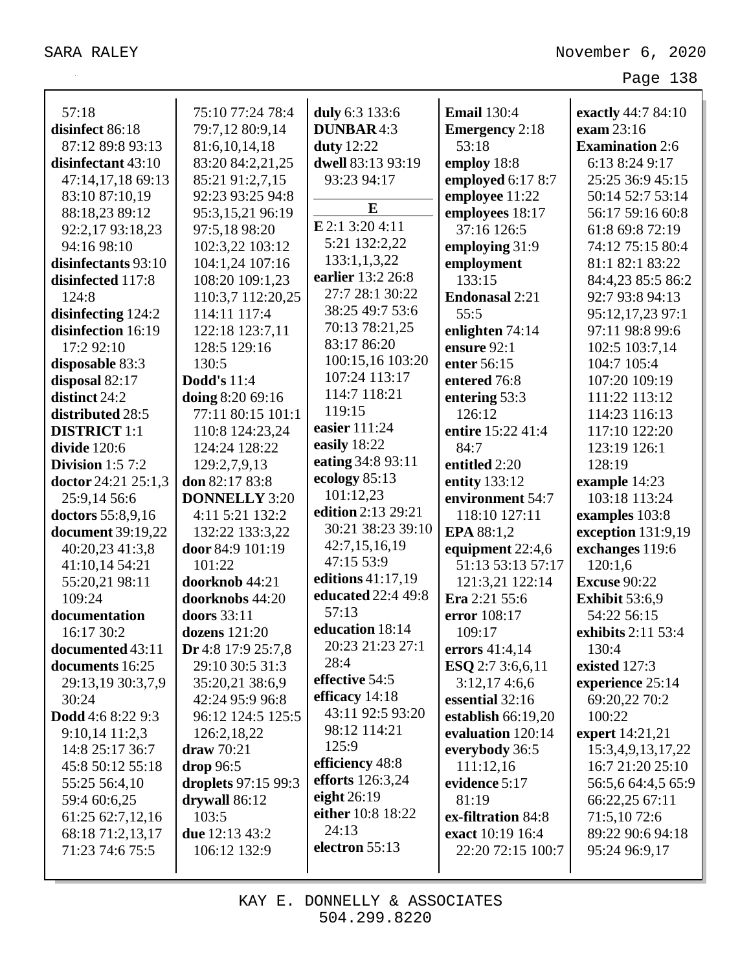| 57:18                    | 75:10 77:24 78:4     | duly 6:3 133:6            | <b>Email</b> 130:4    | exactly 44:7 84:10     |
|--------------------------|----------------------|---------------------------|-----------------------|------------------------|
| disinfect 86:18          | 79:7,12 80:9,14      | <b>DUNBAR4:3</b>          | <b>Emergency</b> 2:18 | exam 23:16             |
| 87:12 89:8 93:13         | 81:6,10,14,18        | <b>duty</b> 12:22         | 53:18                 | <b>Examination 2:6</b> |
| disinfectant 43:10       | 83:20 84:2,21,25     | dwell 83:13 93:19         | employ 18:8           | 6:13 8:24 9:17         |
| 47:14,17,18 69:13        | 85:21 91:2,7,15      | 93:23 94:17               | employed 6:17 8:7     | 25:25 36:9 45:15       |
| 83:10 87:10,19           | 92:23 93:25 94:8     |                           | employee 11:22        | 50:14 52:7 53:14       |
| 88:18,23 89:12           | 95:3,15,21 96:19     | E                         | employees 18:17       | 56:17 59:16 60:8       |
| 92:2,17 93:18,23         | 97:5,18 98:20        | E 2:1 3:20 4:11           | 37:16 126:5           | 61:8 69:8 72:19        |
| 94:16 98:10              | 102:3,22 103:12      | 5:21 132:2,22             | employing 31:9        | 74:12 75:15 80:4       |
| disinfectants 93:10      | 104:1,24 107:16      | 133:1,1,3,22              | employment            | 81:1 82:1 83:22        |
| disinfected 117:8        | 108:20 109:1,23      | earlier 13:2 26:8         | 133:15                | 84:4,23 85:5 86:2      |
| 124:8                    | 110:3,7 112:20,25    | 27:7 28:1 30:22           | <b>Endonasal 2:21</b> | 92:7 93:8 94:13        |
| disinfecting 124:2       | 114:11 117:4         | 38:25 49:7 53:6           | 55:5                  | 95:12,17,23 97:1       |
| disinfection 16:19       | 122:18 123:7,11      | 70:13 78:21,25            | enlighten 74:14       | 97:11 98:8 99:6        |
| 17:2 92:10               | 128:5 129:16         | 83:17 86:20               | ensure 92:1           | 102:5 103:7,14         |
| disposable 83:3          | 130:5                | 100:15,16 103:20          | enter 56:15           | 104:7 105:4            |
| disposal 82:17           | <b>Dodd's</b> 11:4   | 107:24 113:17             | entered 76:8          | 107:20 109:19          |
| distinct 24:2            | doing 8:20 69:16     | 114:7 118:21              | entering 53:3         | 111:22 113:12          |
| distributed 28:5         | 77:11 80:15 101:1    | 119:15                    | 126:12                | 114:23 116:13          |
| <b>DISTRICT</b> 1:1      | 110:8 124:23,24      | easier 111:24             | entire 15:22 41:4     | 117:10 122:20          |
| divide 120:6             | 124:24 128:22        | easily 18:22              | 84:7                  | 123:19 126:1           |
| Division $1:57:2$        | 129:2,7,9,13         | eating 34:8 93:11         | entitled 2:20         | 128:19                 |
| doctor 24:21 25:1,3      | don 82:17 83:8       | ecology 85:13             | entity 133:12         | example 14:23          |
| 25:9,14 56:6             | <b>DONNELLY 3:20</b> | 101:12,23                 | environment 54:7      | 103:18 113:24          |
| doctors 55:8,9,16        | 4:11 5:21 132:2      | edition 2:13 29:21        | 118:10 127:11         | examples 103:8         |
| <b>document</b> 39:19,22 | 132:22 133:3,22      | 30:21 38:23 39:10         | EPA 88:1,2            | exception 131:9,19     |
| 40:20,23 41:3,8          | door 84:9 101:19     | 42:7,15,16,19             | equipment 22:4,6      | exchanges 119:6        |
| 41:10,14 54:21           | 101:22               | 47:15 53:9                | 51:13 53:13 57:17     | 120:1,6                |
| 55:20,21 98:11           | doorknob 44:21       | editions 41:17,19         | 121:3,21 122:14       | <b>Excuse 90:22</b>    |
| 109:24                   | doorknobs 44:20      | <b>educated</b> 22:4 49:8 | Era 2:21 55:6         | <b>Exhibit 53:6,9</b>  |
| documentation            | doors 33:11          | 57:13                     | error 108:17          | 54:22 56:15            |
| 16:17 30:2               | dozens $121:20$      | education 18:14           | 109:17                | exhibits 2:11 53:4     |
| documented 43:11         | Dr 4:8 17:9 25:7,8   | 20:23 21:23 27:1          | errors 41:4,14        | 130:4                  |
| documents 16:25          | 29:10 30:5 31:3      | 28:4                      | ESO 2:7 3:6,6,11      | existed 127:3          |
| 29:13,19 30:3,7,9        | 35:20,21 38:6,9      | effective 54:5            | 3:12,174:6,6          | experience 25:14       |
| 30:24                    | 42:24 95:9 96:8      | efficacy $14:18$          | essential 32:16       | 69:20,22 70:2          |
| Dodd 4:6 8:22 9:3        | 96:12 124:5 125:5    | 43:11 92:5 93:20          | establish 66:19,20    | 100:22                 |
| $9:10,14$ 11:2,3         | 126:2,18,22          | 98:12 114:21              | evaluation 120:14     | expert 14:21,21        |
| 14:8 25:17 36:7          | draw 70:21           | 125:9                     | everybody 36:5        | 15:3,4,9,13,17,22      |
| 45:8 50:12 55:18         | drop 96:5            | efficiency 48:8           | 111:12,16             | 16:7 21:20 25:10       |
| 55:25 56:4,10            | droplets 97:15 99:3  | efforts $126:3,24$        | evidence 5:17         | 56:5,6 64:4,5 65:9     |
| 59:4 60:6,25             | drywall 86:12        | eight $26:19$             | 81:19                 | 66:22,25 67:11         |
| 61:25 62:7,12,16         | 103:5                | either 10:8 18:22         | ex-filtration 84:8    | 71:5,1072:6            |
| 68:18 71:2,13,17         | due 12:13 43:2       | 24:13                     | exact 10:19 16:4      | 89:22 90:6 94:18       |
| 71:23 74:6 75:5          | 106:12 132:9         | electron 55:13            | 22:20 72:15 100:7     | 95:24 96:9,17          |
|                          |                      |                           |                       |                        |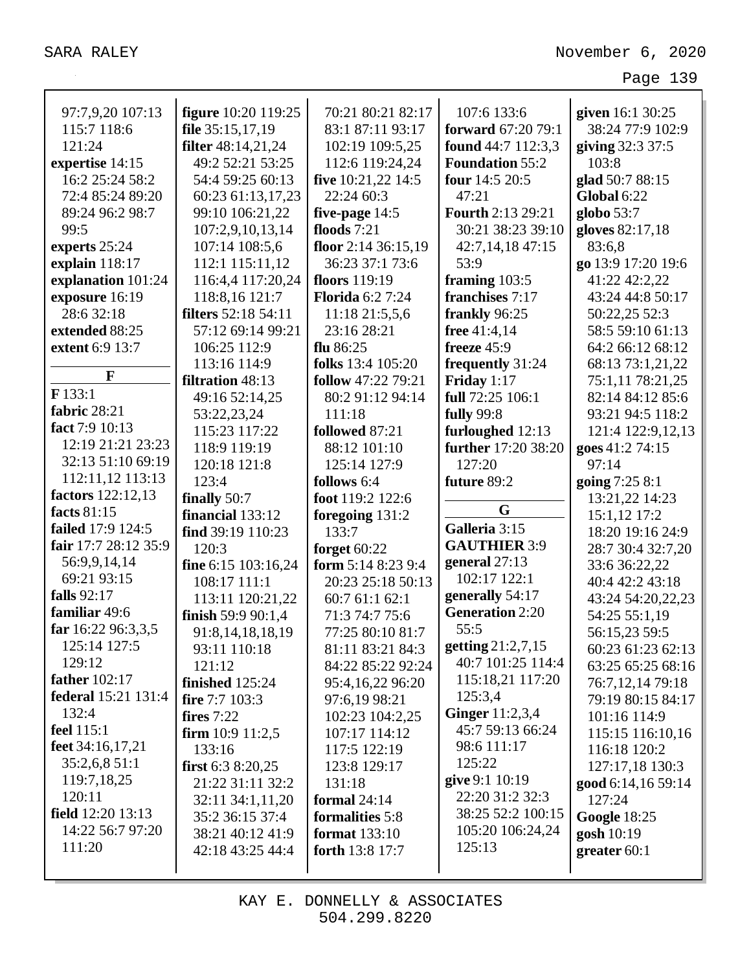| 97:7,9,20 107:13     | <b>figure</b> 10:20 119:25 | 70:21 80:21 82:17    | 107:6 133:6              | given 16:1 30:25    |
|----------------------|----------------------------|----------------------|--------------------------|---------------------|
| 115:7 118:6          | file 35:15,17,19           | 83:1 87:11 93:17     | forward 67:20 79:1       | 38:24 77:9 102:9    |
| 121:24               | <b>filter</b> 48:14,21,24  | 102:19 109:5,25      | found 44:7 112:3,3       | giving 32:3 37:5    |
| expertise 14:15      | 49:2 52:21 53:25           | 112:6 119:24,24      | <b>Foundation 55:2</b>   | 103:8               |
| 16:2 25:24 58:2      | 54:4 59:25 60:13           | five 10:21,22 14:5   | four 14:5 20:5           | glad 50:7 88:15     |
| 72:4 85:24 89:20     | 60:23 61:13,17,23          | 22:24 60:3           | 47:21                    | <b>Global 6:22</b>  |
| 89:24 96:2 98:7      | 99:10 106:21,22            | five-page 14:5       | <b>Fourth 2:13 29:21</b> | globo 53:7          |
| 99:5                 | 107:2,9,10,13,14           | floods $7:21$        | 30:21 38:23 39:10        | gloves 82:17,18     |
| experts 25:24        | 107:14 108:5,6             | floor 2:14 36:15,19  | 42:7,14,18 47:15         | 83:6,8              |
| explain 118:17       | 112:1 115:11,12            | 36:23 37:1 73:6      | 53:9                     | go 13:9 17:20 19:6  |
| explanation 101:24   | 116:4,4 117:20,24          | floors 119:19        | framing 103:5            | 41:22 42:2,22       |
| exposure 16:19       | 118:8,16 121:7             | Florida 6:2 7:24     | franchises 7:17          | 43:24 44:8 50:17    |
| 28:6 32:18           | <b>filters</b> 52:18 54:11 | 11:18 21:5,5,6       | frankly 96:25            | 50:22,25 52:3       |
| extended 88:25       | 57:12 69:14 99:21          | 23:16 28:21          | free 41:4,14             | 58:5 59:10 61:13    |
| extent 6:9 13:7      | 106:25 112:9               | flu $86:25$          | freeze 45:9              | 64:2 66:12 68:12    |
|                      | 113:16 114:9               | folks 13:4 105:20    | frequently 31:24         | 68:13 73:1,21,22    |
| F                    | filtration 48:13           | follow 47:22 79:21   | Friday 1:17              | 75:1,11 78:21,25    |
| F133:1               | 49:16 52:14,25             | 80:2 91:12 94:14     | full 72:25 106:1         | 82:14 84:12 85:6    |
| fabric 28:21         | 53:22,23,24                | 111:18               | <b>fully</b> 99:8        | 93:21 94:5 118:2    |
| fact 7:9 10:13       | 115:23 117:22              | followed 87:21       | furloughed 12:13         | 121:4 122:9,12,13   |
| 12:19 21:21 23:23    | 118:9 119:19               | 88:12 101:10         | further 17:20 38:20      | goes 41:2 74:15     |
| 32:13 51:10 69:19    | 120:18 121:8               | 125:14 127:9         | 127:20                   | 97:14               |
| 112:11,12 113:13     | 123:4                      | follows 6:4          | future 89:2              | going 7:25 8:1      |
| factors 122:12,13    | finally 50:7               | foot 119:2 122:6     |                          | 13:21,22 14:23      |
| facts 81:15          | financial 133:12           | foregoing 131:2      | G                        | 15:1,12 17:2        |
| failed 17:9 124:5    | find 39:19 110:23          | 133:7                | Galleria 3:15            | 18:20 19:16 24:9    |
| fair 17:7 28:12 35:9 | 120:3                      | forget $60:22$       | <b>GAUTHIER 3:9</b>      | 28:7 30:4 32:7,20   |
| 56:9,9,14,14         | fine 6:15 103:16,24        | form 5:14 8:23 9:4   | general 27:13            | 33:6 36:22,22       |
| 69:21 93:15          | 108:17 111:1               | 20:23 25:18 50:13    | 102:17 122:1             | 40:4 42:2 43:18     |
| falls 92:17          | 113:11 120:21,22           | 60:7 61:1 62:1       | generally 54:17          | 43:24 54:20,22,23   |
| familiar 49:6        | finish 59:9 90:1,4         | 71:3 74:7 75:6       | <b>Generation 2:20</b>   | 54:25 55:1,19       |
| far 16:22 96:3,3,5   | 91:8, 14, 18, 18, 19       | 77:25 80:10 81:7     | 55:5                     | 56:15,23 59:5       |
| 125:14 127:5         | 93:11 110:18               | 81:11 83:21 84:3     | getting 21:2,7,15        | 60:23 61:23 62:13   |
| 129:12               | 121:12                     | 84:22 85:22 92:24    | 40:7 101:25 114:4        | 63:25 65:25 68:16   |
| <b>father</b> 102:17 | finished 125:24            | 95:4,16,22 96:20     | 115:18,21 117:20         | 76:7, 12, 14 79:18  |
| federal 15:21 131:4  | fire 7:7 103:3             | 97:6,19 98:21        | 125:3,4                  | 79:19 80:15 84:17   |
| 132:4                | fires $7:22$               | 102:23 104:2,25      | <b>Ginger</b> 11:2,3,4   | 101:16 114:9        |
| <b>feel</b> 115:1    | firm $10:9$ $11:2,5$       | 107:17 114:12        | 45:7 59:13 66:24         | 115:15 116:10,16    |
| feet 34:16,17,21     | 133:16                     | 117:5 122:19         | 98:6 111:17              | 116:18 120:2        |
| 35:2,6,8 51:1        | first $6:38:20,25$         | 123:8 129:17         | 125:22                   | 127:17,18 130:3     |
| 119:7,18,25          | 21:22 31:11 32:2           | 131:18               | give 9:1 10:19           | good 6:14,16 59:14  |
| 120:11               | 32:11 34:1,11,20           | formal $24:14$       | 22:20 31:2 32:3          | 127:24              |
| field 12:20 13:13    | 35:2 36:15 37:4            | formalities 5:8      | 38:25 52:2 100:15        | <b>Google 18:25</b> |
| 14:22 56:7 97:20     | 38:21 40:12 41:9           | <b>format</b> 133:10 | 105:20 106:24,24         | gosh 10:19          |
| 111:20               | 42:18 43:25 44:4           | forth 13:8 17:7      | 125:13                   | greater $60:1$      |
|                      |                            |                      |                          |                     |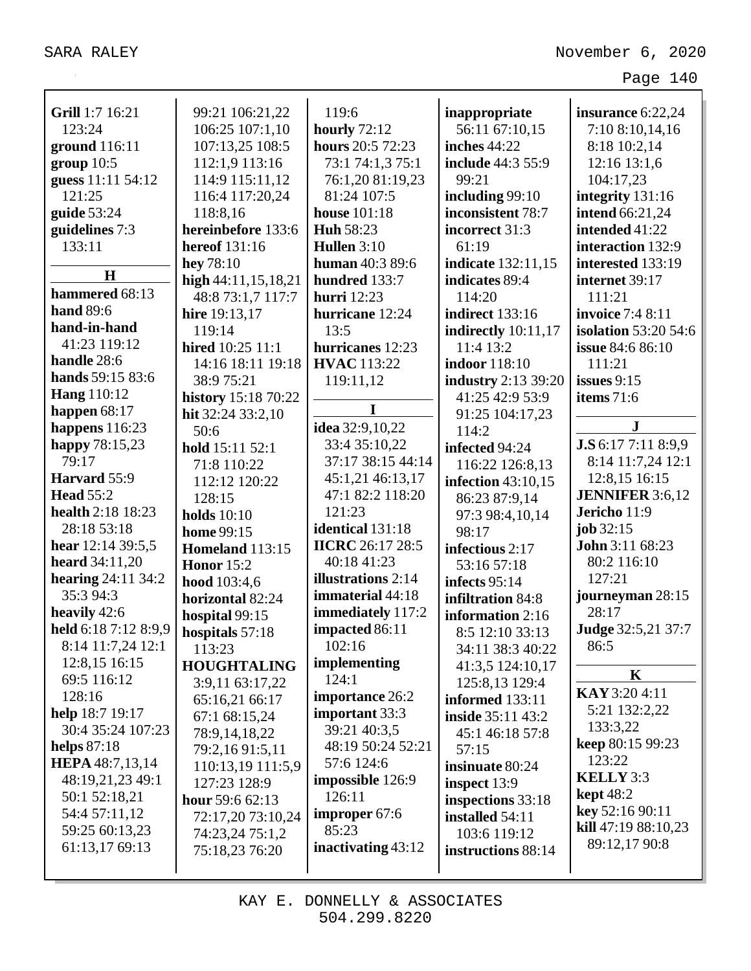| Grill 1:7 16:21<br>123:24<br>ground $116:11$<br>group 10:5<br>guess 11:11 54:12<br>121:25<br>guide $53:24$ | 99:21 106:21,22<br>106:25 107:1,10<br>107:13,25 108:5<br>112:1,9 113:16<br>114:9 115:11,12<br>116:4 117:20,24<br>118:8,16 | 119:6<br>hourly $72:12$<br>hours 20:5 72:23<br>73:1 74:1,3 75:1<br>76:1,20 81:19,23<br>81:24 107:5<br><b>house</b> 101:18 | inappropriate<br>56:11 67:10,15<br><b>inches</b> 44:22<br>include 44:3 55:9<br>99:21<br>including 99:10<br>inconsistent 78:7 | insurance 6:22,24<br>7:10 8:10,14,16<br>8:18 10:2,14<br>12:16 13:1,6<br>104:17,23<br>integrity 131:16<br><b>intend</b> 66:21,24 |
|------------------------------------------------------------------------------------------------------------|---------------------------------------------------------------------------------------------------------------------------|---------------------------------------------------------------------------------------------------------------------------|------------------------------------------------------------------------------------------------------------------------------|---------------------------------------------------------------------------------------------------------------------------------|
| guidelines 7:3                                                                                             | hereinbefore 133:6                                                                                                        | <b>Huh 58:23</b>                                                                                                          | incorrect 31:3                                                                                                               | intended 41:22                                                                                                                  |
| 133:11                                                                                                     | hereof 131:16                                                                                                             | Hullen 3:10                                                                                                               | 61:19                                                                                                                        | interaction 132:9                                                                                                               |
| H                                                                                                          | hey 78:10                                                                                                                 | <b>human</b> 40:3 89:6                                                                                                    | indicate 132:11,15                                                                                                           | interested 133:19                                                                                                               |
| hammered 68:13                                                                                             | high $44:11,15,18,21$                                                                                                     | hundred 133:7                                                                                                             | indicates 89:4                                                                                                               | internet 39:17                                                                                                                  |
| <b>hand</b> 89:6                                                                                           | 48:8 73:1,7 117:7<br>hire 19:13,17                                                                                        | <b>hurri</b> 12:23<br>hurricane 12:24                                                                                     | 114:20<br><b>indirect</b> 133:16                                                                                             | 111:21<br><b>invoice</b> 7:4 8:11                                                                                               |
| hand-in-hand                                                                                               | 119:14                                                                                                                    | 13:5                                                                                                                      |                                                                                                                              | <b>isolation</b> 53:20 54:6                                                                                                     |
| 41:23 119:12                                                                                               | hired 10:25 11:1                                                                                                          | hurricanes 12:23                                                                                                          | indirectly $10:11,17$<br>11:4 13:2                                                                                           | issue 84:6 86:10                                                                                                                |
| handle 28:6                                                                                                | 14:16 18:11 19:18                                                                                                         | <b>HVAC</b> 113:22                                                                                                        | <b>indoor</b> 118:10                                                                                                         | 111:21                                                                                                                          |
| hands 59:15 83:6                                                                                           | 38:9 75:21                                                                                                                | 119:11,12                                                                                                                 | <b>industry</b> 2:13 39:20                                                                                                   | issues $9:15$                                                                                                                   |
| <b>Hang</b> 110:12                                                                                         |                                                                                                                           |                                                                                                                           | 41:25 42:9 53:9                                                                                                              | items 71:6                                                                                                                      |
| happen $68:17$                                                                                             | history 15:18 70:22<br>hit 32:24 33:2,10                                                                                  | I                                                                                                                         | 91:25 104:17,23                                                                                                              |                                                                                                                                 |
| happens $116:23$                                                                                           | 50:6                                                                                                                      | idea 32:9,10,22                                                                                                           | 114:2                                                                                                                        | ${\bf J}$                                                                                                                       |
| happy 78:15,23                                                                                             | hold 15:11 52:1                                                                                                           | 33:4 35:10,22                                                                                                             | infected 94:24                                                                                                               | J.S 6:17 7:11 8:9,9                                                                                                             |
| 79:17                                                                                                      | 71:8 110:22                                                                                                               | 37:17 38:15 44:14                                                                                                         | 116:22 126:8,13                                                                                                              | 8:14 11:7,24 12:1                                                                                                               |
| Harvard 55:9                                                                                               | 112:12 120:22                                                                                                             | 45:1,21 46:13,17                                                                                                          | infection $43:10,15$                                                                                                         | 12:8,15 16:15                                                                                                                   |
| <b>Head 55:2</b>                                                                                           | 128:15                                                                                                                    | 47:1 82:2 118:20                                                                                                          | 86:23 87:9,14                                                                                                                | <b>JENNIFER</b> 3:6,12                                                                                                          |
| health 2:18 18:23                                                                                          | holds $10:10$                                                                                                             | 121:23                                                                                                                    | 97:3 98:4,10,14                                                                                                              | Jericho 11:9                                                                                                                    |
| 28:18 53:18                                                                                                | home 99:15                                                                                                                | identical 131:18                                                                                                          | 98:17                                                                                                                        | job $32:15$                                                                                                                     |
| hear $12:1439:5,5$                                                                                         | <b>Homeland</b> 113:15                                                                                                    | <b>IICRC</b> 26:17 28:5                                                                                                   | infectious 2:17                                                                                                              | John 3:11 68:23                                                                                                                 |
| <b>heard</b> $34:11,20$                                                                                    | <b>Honor</b> 15:2                                                                                                         | 40:18 41:23                                                                                                               | 53:16 57:18                                                                                                                  | 80:2 116:10                                                                                                                     |
| hearing $24:11\,34:2$                                                                                      | hood 103:4,6                                                                                                              | illustrations 2:14                                                                                                        | infects 95:14                                                                                                                | 127:21                                                                                                                          |
| 35:3 94:3                                                                                                  | horizontal 82:24                                                                                                          | immaterial 44:18                                                                                                          | infiltration 84:8                                                                                                            | journeyman 28:15                                                                                                                |
| heavily 42:6                                                                                               | hospital 99:15                                                                                                            | immediately 117:2                                                                                                         | information 2:16                                                                                                             | 28:17                                                                                                                           |
| held 6:18 7:12 8:9,9                                                                                       | hospitals 57:18                                                                                                           | impacted 86:11                                                                                                            | 8:5 12:10 33:13                                                                                                              | Judge 32:5,21 37:7                                                                                                              |
| 8:14 11:7,24 12:1                                                                                          | 113:23                                                                                                                    | 102:16                                                                                                                    | 34:11 38:3 40:22                                                                                                             | 86:5                                                                                                                            |
| 12:8,15 16:15                                                                                              | <b>HOUGHTALING</b>                                                                                                        | implementing                                                                                                              | 41:3,5 124:10,17                                                                                                             |                                                                                                                                 |
| 69:5 116:12                                                                                                | 3:9,11 63:17,22                                                                                                           | 124:1                                                                                                                     | 125:8,13 129:4                                                                                                               | $\mathbf K$                                                                                                                     |
| 128:16                                                                                                     | 65:16,21 66:17                                                                                                            | importance 26:2                                                                                                           | informed 133:11                                                                                                              | KAY 3:20 4:11                                                                                                                   |
| help 18:7 19:17                                                                                            | 67:1 68:15,24                                                                                                             | important 33:3                                                                                                            | inside 35:11 43:2                                                                                                            | 5:21 132:2,22                                                                                                                   |
| 30:4 35:24 107:23                                                                                          | 78:9,14,18,22                                                                                                             | 39:21 40:3,5                                                                                                              | 45:1 46:18 57:8                                                                                                              | 133:3,22                                                                                                                        |
| helps $87:18$                                                                                              | 79:2,16 91:5,11                                                                                                           | 48:19 50:24 52:21                                                                                                         | 57:15                                                                                                                        | keep 80:15 99:23                                                                                                                |
| <b>HEPA</b> 48:7,13,14                                                                                     | 110:13,19 111:5,9                                                                                                         | 57:6 124:6                                                                                                                | insinuate 80:24                                                                                                              | 123:22                                                                                                                          |
| 48:19,21,23 49:1                                                                                           | 127:23 128:9                                                                                                              | impossible 126:9                                                                                                          | inspect 13:9                                                                                                                 | KELLY 3:3                                                                                                                       |
| 50:1 52:18,21                                                                                              | hour $59:662:13$                                                                                                          | 126:11                                                                                                                    | inspections 33:18                                                                                                            | <b>kept</b> 48:2                                                                                                                |
| 54:4 57:11,12                                                                                              | 72:17,20 73:10,24                                                                                                         | improper 67:6                                                                                                             | installed 54:11                                                                                                              | key 52:16 90:11                                                                                                                 |
| 59:25 60:13,23                                                                                             | 74:23,24 75:1,2                                                                                                           | 85:23                                                                                                                     | 103:6 119:12                                                                                                                 | kill 47:19 88:10,23                                                                                                             |
| 61:13,17 69:13                                                                                             | 75:18,23 76:20                                                                                                            | inactivating 43:12                                                                                                        | instructions 88:14                                                                                                           | 89:12,17 90:8                                                                                                                   |
|                                                                                                            |                                                                                                                           |                                                                                                                           |                                                                                                                              |                                                                                                                                 |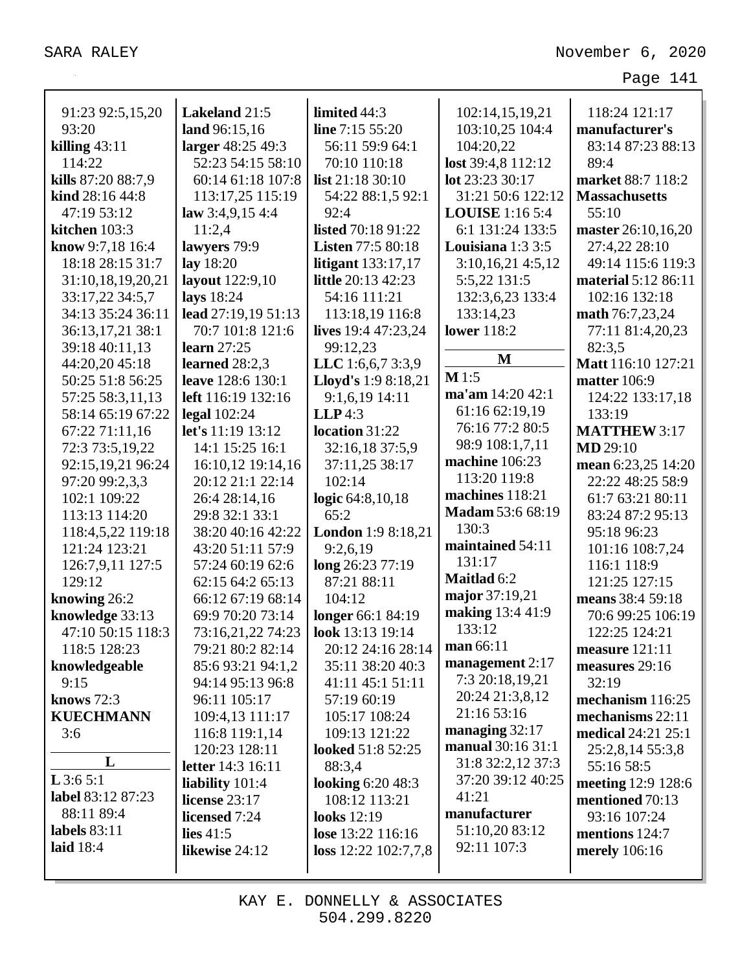| 91:23 92:5,15,20   | Lakeland 21:5            | limited 44:3              | 102:14,15,19,21         | 118:24 121:17                 |
|--------------------|--------------------------|---------------------------|-------------------------|-------------------------------|
| 93:20              | land 96:15,16            | line $7:15\,55:20$        | 103:10,25 104:4         | manufacturer's                |
| killing $43:11$    | larger 48:25 49:3        | 56:11 59:9 64:1           | 104:20,22               | 83:14 87:23 88:13             |
| 114:22             | 52:23 54:15 58:10        | 70:10 110:18              | lost 39:4,8 112:12      | 89:4                          |
| kills 87:20 88:7,9 | 60:14 61:18 107:8        | list 21:18 30:10          | lot 23:23 30:17         | market 88:7 118:2             |
|                    |                          |                           |                         |                               |
| kind 28:16 44:8    | 113:17,25 115:19         | 54:22 88:1,5 92:1         | 31:21 50:6 122:12       | <b>Massachusetts</b><br>55:10 |
| 47:19 53:12        | law $3:4,9,154:3$        | 92:4                      | <b>LOUISE</b> 1:16 5:4  |                               |
| kitchen 103:3      | 11:2,4                   | listed 70:18 91:22        | 6:1 131:24 133:5        | master 26:10,16,20            |
| know 9:7,18 16:4   | lawyers 79:9             | <b>Listen 77:5 80:18</b>  | Louisiana $1:33:5$      | 27:4,22 28:10                 |
| 18:18 28:15 31:7   | lay 18:20                | <b>litigant</b> 133:17,17 | 3:10,16,214:5,12        | 49:14 115:6 119:3             |
| 31:10,18,19,20,21  | layout 122:9,10          | little 20:13 42:23        | 5:5,22 131:5            | material 5:12 86:11           |
| 33:17,22 34:5,7    | lays 18:24               | 54:16 111:21              | 132:3,6,23 133:4        | 102:16 132:18                 |
| 34:13 35:24 36:11  | lead 27:19,19 51:13      | 113:18,19 116:8           | 133:14,23               | math 76:7,23,24               |
| 36:13,17,21 38:1   | 70:7 101:8 121:6         | lives 19:4 47:23,24       | <b>lower</b> 118:2      | 77:11 81:4,20,23              |
| 39:18 40:11,13     | learn $27:25$            | 99:12,23                  | M                       | 82:3.5                        |
| 44:20,20 45:18     | learned $28:2.3$         | LLC 1:6,6,7 3:3,9         |                         | Matt 116:10 127:21            |
| 50:25 51:8 56:25   | leave 128:6 130:1        | Lloyd's 1:9 8:18,21       | M1:5                    | <b>matter</b> 106:9           |
| 57:25 58:3,11,13   | left 116:19 132:16       | 9:1,6,19 14:11            | ma'am 14:20 42:1        | 124:22 133:17,18              |
| 58:14 65:19 67:22  | legal $102:24$           | $LLP$ 4:3                 | 61:16 62:19,19          | 133:19                        |
| 67:22 71:11,16     | let's 11:19 13:12        | location 31:22            | 76:16 77:2 80:5         | <b>MATTHEW 3:17</b>           |
| 72:3 73:5,19,22    | 14:1 15:25 16:1          | 32:16,18 37:5,9           | 98:9 108:1,7,11         | <b>MD</b> 29:10               |
| 92:15,19,21 96:24  | 16:10,12 19:14,16        | 37:11,25 38:17            | machine 106:23          | mean 6:23,25 14:20            |
| 97:20 99:2,3,3     | 20:12 21:1 22:14         | 102:14                    | 113:20 119:8            | 22:22 48:25 58:9              |
| 102:1 109:22       | 26:4 28:14,16            | logic 64:8,10,18          | machines 118:21         | 61:7 63:21 80:11              |
| 113:13 114:20      | 29:8 32:1 33:1           | 65:2                      | <b>Madam 53:6 68:19</b> | 83:24 87:2 95:13              |
| 118:4,5,22 119:18  | 38:20 40:16 42:22        | <b>London</b> 1:9 8:18,21 | 130:3                   | 95:18 96:23                   |
| 121:24 123:21      | 43:20 51:11 57:9         | 9:2,6,19                  | maintained 54:11        | 101:16 108:7,24               |
| 126:7,9,11 127:5   | 57:24 60:19 62:6         | long 26:23 77:19          | 131:17                  | 116:1 118:9                   |
| 129:12             | 62:15 64:2 65:13         | 87:21 88:11               | Maitlad 6:2             | 121:25 127:15                 |
| knowing 26:2       | 66:12 67:19 68:14        | 104:12                    | major 37:19,21          | means 38:4 59:18              |
| knowledge 33:13    | 69:9 70:20 73:14         | longer 66:1 84:19         | making 13:4 41:9        | 70:6 99:25 106:19             |
| 47:10 50:15 118:3  | 73:16,21,22 74:23        | look 13:13 19:14          | 133:12                  | 122:25 124:21                 |
| 118:5 128:23       | 79:21 80:2 82:14         | 20:12 24:16 28:14         | man 66:11               | measure 121:11                |
| knowledgeable      | 85:6 93:21 94:1,2        | 35:11 38:20 40:3          | management $2:17$       | measures 29:16                |
| 9:15               | 94:14 95:13 96:8         | 41:11 45:1 51:11          | 7:3 20:18,19,21         | 32:19                         |
| knows $72:3$       | 96:11 105:17             | 57:19 60:19               | 20:24 21:3,8,12         | mechanism 116:25              |
| <b>KUECHMANN</b>   | 109:4,13 111:17          | 105:17 108:24             | 21:16 53:16             | mechanisms 22:11              |
| 3:6                | 116:8 119:1,14           | 109:13 121:22             | managing $32:17$        | <b>medical</b> 24:21 25:1     |
|                    | 120:23 128:11            | looked 51:8 52:25         | manual 30:16 31:1       | 25:2,8,14 55:3,8              |
| L                  | <b>letter</b> 14:3 16:11 | 88:3,4                    | 31:8 32:2,12 37:3       | 55:16 58:5                    |
| L3:65:1            | liability $101:4$        | <b>looking 6:20 48:3</b>  | 37:20 39:12 40:25       | meeting 12:9 128:6            |
| label 83:12 87:23  | license 23:17            | 108:12 113:21             | 41:21                   | mentioned 70:13               |
| 88:11 89:4         | licensed 7:24            | <b>looks</b> 12:19        | manufacturer            | 93:16 107:24                  |
| labels $83:11$     | lies $41:5$              | lose 13:22 116:16         | 51:10,20 83:12          | mentions 124:7                |
| laid $18:4$        | likewise 24:12           | loss $12:22$ $102:7,7,8$  | 92:11 107:3             | <b>merely</b> 106:16          |
|                    |                          |                           |                         |                               |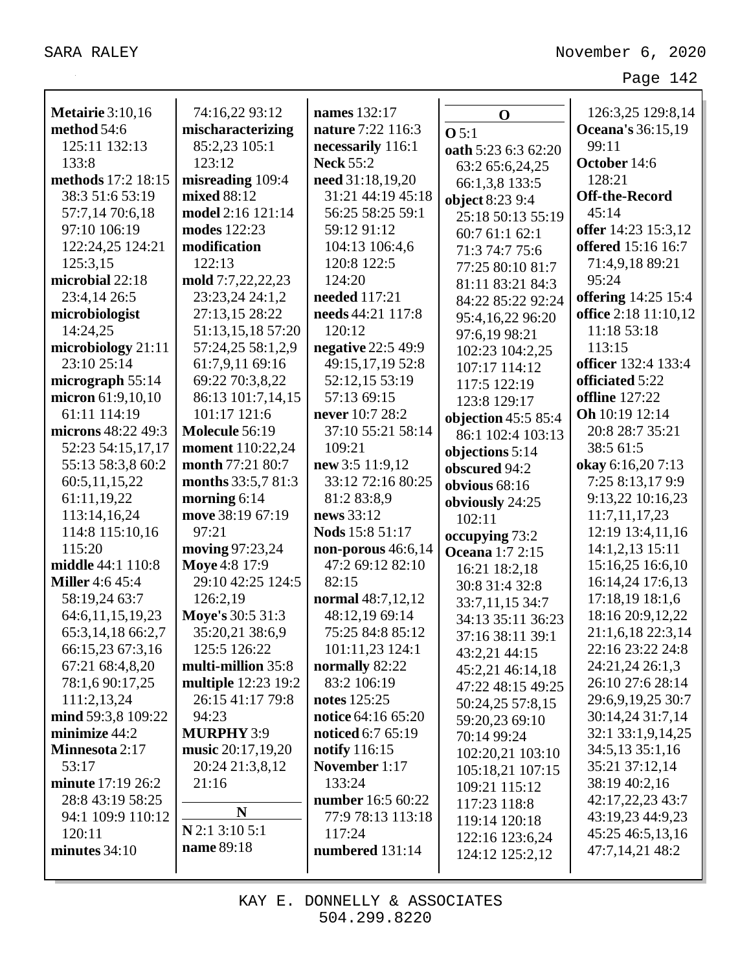|                                        | 74:16,22 93:12                     | names 132:17                          |                        |                            |
|----------------------------------------|------------------------------------|---------------------------------------|------------------------|----------------------------|
| <b>Metairie</b> 3:10,16<br>method 54:6 |                                    | nature 7:22 116:3                     | $\mathbf 0$            | 126:3,25 129:8,14          |
| 125:11 132:13                          | mischaracterizing<br>85:2,23 105:1 |                                       | O <sub>5:1</sub>       | Oceana's 36:15,19<br>99:11 |
| 133:8                                  | 123:12                             | necessarily 116:1<br><b>Neck 55:2</b> | oath 5:23 6:3 62:20    | October 14:6               |
| methods 17:2 18:15                     |                                    |                                       | 63:2 65:6,24,25        |                            |
|                                        | misreading 109:4                   | need 31:18,19,20                      | 66:1,3,8 133:5         | 128:21                     |
| 38:3 51:6 53:19                        | mixed 88:12                        | 31:21 44:19 45:18                     | object 8:23 9:4        | <b>Off-the-Record</b>      |
| 57:7,14 70:6,18                        | model 2:16 121:14                  | 56:25 58:25 59:1                      | 25:18 50:13 55:19      | 45:14                      |
| 97:10 106:19                           | modes 122:23                       | 59:12 91:12                           | 60:761:162:1           | offer 14:23 15:3,12        |
| 122:24,25 124:21                       | modification                       | 104:13 106:4,6                        | 71:3 74:7 75:6         | offered 15:16 16:7         |
| 125:3,15                               | 122:13                             | 120:8 122:5                           | 77:25 80:10 81:7       | 71:4,9,18 89:21            |
| microbial 22:18                        | mold 7:7,22,22,23                  | 124:20                                | 81:11 83:21 84:3       | 95:24                      |
| 23:4,14 26:5                           | 23:23,24 24:1,2                    | needed 117:21                         | 84:22 85:22 92:24      | <b>offering</b> 14:25 15:4 |
| microbiologist                         | 27:13,15 28:22                     | needs 44:21 117:8                     | 95:4,16,22 96:20       | office 2:18 11:10,12       |
| 14:24,25                               | 51:13,15,18 57:20                  | 120:12                                | 97:6,19 98:21          | 11:18 53:18                |
| microbiology 21:11                     | 57:24,25 58:1,2,9                  | negative 22:5 49:9                    | 102:23 104:2,25        | 113:15                     |
| 23:10 25:14                            | 61:7,9,11 69:16                    | 49:15,17,19 52:8                      | 107:17 114:12          | <b>officer</b> 132:4 133:4 |
| micrograph $55:14$                     | 69:22 70:3,8,22                    | 52:12,15 53:19                        | 117:5 122:19           | officiated 5:22            |
| micron 61:9,10,10                      | 86:13 101:7,14,15                  | 57:13 69:15                           | 123:8 129:17           | <b>offline</b> 127:22      |
| 61:11 114:19                           | 101:17 121:6                       | never 10:7 28:2                       | objection 45:5 85:4    | Oh 10:19 12:14             |
| microns 48:22 49:3                     | Molecule 56:19                     | 37:10 55:21 58:14                     | 86:1 102:4 103:13      | 20:8 28:7 35:21            |
| 52:23 54:15,17,17                      | moment 110:22,24                   | 109:21                                | objections 5:14        | 38:5 61:5                  |
| 55:13 58:3,8 60:2                      | month 77:21 80:7                   | new 3:5 11:9,12                       | obscured 94:2          | okay 6:16,207:13           |
| 60:5,11,15,22                          | months 33:5,7 81:3                 | 33:12 72:16 80:25                     | obvious $68:16$        | 7:25 8:13,17 9:9           |
| 61:11,19,22                            | morning $6:14$                     | 81:2 83:8,9                           | obviously 24:25        | 9:13,22 10:16,23           |
| 113:14,16,24                           | move 38:19 67:19                   | news 33:12                            | 102:11                 | 11:7,11,17,23              |
| 114:8 115:10,16                        | 97:21                              | Nods 15:8 51:17                       | occupying 73:2         | 12:19 13:4,11,16           |
| 115:20                                 | moving 97:23,24                    | non-porous 46:6,14                    | <b>Oceana</b> 1:7 2:15 | 14:1,2,13 15:11            |
| middle 44:1 110:8                      | Moye 4:8 17:9                      | 47:2 69:12 82:10                      | 16:21 18:2,18          | 15:16,25 16:6,10           |
| <b>Miller</b> 4:6 45:4                 | 29:10 42:25 124:5                  | 82:15                                 | 30:8 31:4 32:8         | 16:14,24 17:6,13           |
| 58:19,24 63:7                          | 126:2,19                           | normal 48:7,12,12                     | 33:7,11,15 34:7        | 17:18,19 18:1,6            |
| 64:6,11,15,19,23                       | Move's 30:5 31:3                   | 48:12,19 69:14                        | 34:13 35:11 36:23      | 18:16 20:9,12,22           |
| 65:3,14,18 66:2,7                      | 35:20,21 38:6,9                    | 75:25 84:8 85:12                      | 37:16 38:11 39:1       | 21:1,6,18 22:3,14          |
| 66:15,23 67:3,16                       | 125:5 126:22                       | 101:11,23 124:1                       | 43:2,21 44:15          | 22:16 23:22 24:8           |
| 67:21 68:4,8,20                        | multi-million 35:8                 | normally 82:22                        | 45:2,21 46:14,18       | 24:21,24 26:1,3            |
| 78:1,6 90:17,25                        | <b>multiple</b> 12:23 19:2         | 83:2 106:19                           | 47:22 48:15 49:25      | 26:10 27:6 28:14           |
| 111:2,13,24                            | 26:15 41:17 79:8                   | notes 125:25                          | 50:24,25 57:8,15       | 29:6,9,19,25 30:7          |
| mind 59:3,8 109:22                     | 94:23                              | notice 64:16 65:20                    | 59:20,23 69:10         | 30:14,24 31:7,14           |
| minimize 44:2                          | <b>MURPHY 3:9</b>                  | noticed 6:7 65:19                     | 70:14 99:24            | 32:1 33:1,9,14,25          |
| Minnesota 2:17                         | music 20:17,19,20                  | notify 116:15                         | 102:20,21 103:10       | 34:5,13 35:1,16            |
| 53:17                                  | 20:24 21:3,8,12                    | November 1:17                         | 105:18,21 107:15       | 35:21 37:12,14             |
| minute 17:19 26:2                      | 21:16                              | 133:24                                | 109:21 115:12          | 38:19 40:2,16              |
| 28:8 43:19 58:25                       |                                    | number 16:5 60:22                     | 117:23 118:8           | 42:17,22,23 43:7           |
| 94:1 109:9 110:12                      | $\mathbf N$                        | 77:9 78:13 113:18                     | 119:14 120:18          | 43:19,23 44:9,23           |
| 120:11                                 | N 2:1 3:10 5:1                     | 117:24                                | 122:16 123:6,24        | 45:25 46:5,13,16           |
| minutes 34:10                          | name 89:18                         | numbered 131:14                       | 124:12 125:2,12        | 47:7,14,21 48:2            |
|                                        |                                    |                                       |                        |                            |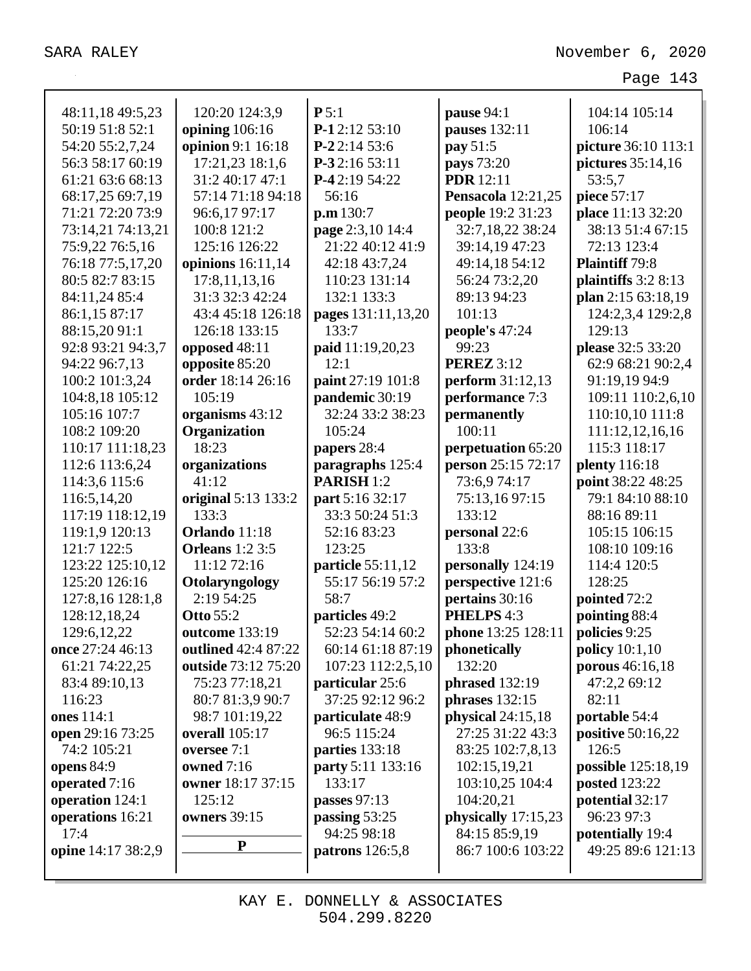| 48:11,18 49:5,23   | 120:20 124:3,9         | P5:1                     | pause 94:1                | 104:14 105:14         |
|--------------------|------------------------|--------------------------|---------------------------|-----------------------|
| 50:19 51:8 52:1    | opining 106:16         | P-12:12 53:10            | pauses 132:11             | 106:14                |
| 54:20 55:2,7,24    | opinion 9:1 16:18      | $P-22:1453:6$            | pay 51:5                  | picture 36:10 113:1   |
| 56:3 58:17 60:19   | 17:21,23 18:1,6        | P-32:16 53:11            | pays 73:20                | pictures 35:14,16     |
| 61:21 63:6 68:13   | 31:2 40:17 47:1        | P-42:19 54:22            | <b>PDR</b> 12:11          | 53:5,7                |
| 68:17,25 69:7,19   | 57:14 71:18 94:18      | 56:16                    | <b>Pensacola</b> 12:21,25 | piece 57:17           |
| 71:21 72:20 73:9   | 96:6,17 97:17          | p.m 130:7                | people 19:2 31:23         | place 11:13 32:20     |
| 73:14,21 74:13,21  | 100:8 121:2            | page 2:3,10 14:4         | 32:7,18,22 38:24          | 38:13 51:4 67:15      |
| 75:9,22 76:5,16    | 125:16 126:22          | 21:22 40:12 41:9         | 39:14,19 47:23            | 72:13 123:4           |
| 76:18 77:5,17,20   | opinions $16:11,14$    | 42:18 43:7,24            | 49:14,18 54:12            | <b>Plaintiff</b> 79:8 |
| 80:5 82:7 83:15    | 17:8,11,13,16          | 110:23 131:14            | 56:24 73:2,20             | plaintiffs 3:2 8:13   |
| 84:11,24 85:4      | 31:3 32:3 42:24        | 132:1 133:3              | 89:13 94:23               | plan 2:15 63:18,19    |
| 86:1,15 87:17      | 43:4 45:18 126:18      | pages 131:11,13,20       | 101:13                    | 124:2,3,4 129:2,8     |
| 88:15,20 91:1      | 126:18 133:15          | 133:7                    | people's 47:24            | 129:13                |
| 92:8 93:21 94:3,7  | opposed 48:11          | paid 11:19,20,23         | 99:23                     | please 32:5 33:20     |
| 94:22 96:7,13      | opposite 85:20         | 12:1                     | <b>PEREZ</b> 3:12         | 62:9 68:21 90:2,4     |
| 100:2 101:3,24     | order 18:14 26:16      | paint 27:19 101:8        | perform 31:12,13          | 91:19,19 94:9         |
| 104:8,18 105:12    | 105:19                 | pandemic 30:19           | performance 7:3           | 109:11 110:2,6,10     |
| 105:16 107:7       | organisms 43:12        | 32:24 33:2 38:23         | permanently               | 110:10,10 111:8       |
| 108:2 109:20       | Organization           | 105:24                   | 100:11                    | 111:12,12,16,16       |
| 110:17 111:18,23   | 18:23                  | papers 28:4              | perpetuation 65:20        | 115:3 118:17          |
| 112:6 113:6,24     | organizations          | paragraphs 125:4         | person 25:15 72:17        | <b>plenty</b> 116:18  |
| 114:3,6 115:6      | 41:12                  | PARISH <sub>1:2</sub>    | 73:6,974:17               | point 38:22 48:25     |
| 116:5,14,20        | original 5:13 133:2    | part 5:16 32:17          | 75:13,1697:15             | 79:1 84:10 88:10      |
| 117:19 118:12,19   | 133:3                  | 33:3 50:24 51:3          | 133:12                    | 88:16 89:11           |
| 119:1,9 120:13     | Orlando 11:18          | 52:16 83:23              | personal 22:6             | 105:15 106:15         |
| 121:7 122:5        | <b>Orleans</b> 1:2 3:5 | 123:25                   | 133:8                     | 108:10 109:16         |
| 123:22 125:10,12   | 11:12 72:16            | particle 55:11,12        | personally 124:19         | 114:4 120:5           |
| 125:20 126:16      | Otolaryngology         | 55:17 56:19 57:2         | perspective 121:6         | 128:25                |
| 127:8,16 128:1,8   | 2:19 54:25             | 58:7                     | pertains 30:16            | pointed 72:2          |
| 128:12,18,24       | <b>Otto 55:2</b>       | particles 49:2           | PHELPS 4:3                | pointing 88:4         |
| 129:6, 12, 22      | outcome 133:19         | 52:23 54:14 60:2         | phone 13:25 128:11        | policies 9:25         |
| once 27:24 46:13   | outlined 42:4 87:22    | 60:14 61:18 87:19        | phonetically              | policy $10:1,10$      |
| 61:21 74:22,25     | outside 73:12 75:20    | 107:23 112:2,5,10        | 132:20                    | porous 46:16,18       |
| 83:4 89:10,13      | 75:23 77:18,21         | particular 25:6          | phrased 132:19            | 47:2,2 69:12          |
| 116:23             | 80:7 81:3,9 90:7       | 37:25 92:12 96:2         | phrases $132:15$          | 82:11                 |
| ones 114:1         | 98:7 101:19,22         | particulate 48:9         | physical $24:15,18$       | portable 54:4         |
| open 29:16 73:25   | overall 105:17         | 96:5 115:24              | 27:25 31:22 43:3          | positive 50:16,22     |
| 74:2 105:21        | oversee 7:1            | parties 133:18           | 83:25 102:7,8,13          | 126:5                 |
| opens 84:9         | owned 7:16             | <b>party</b> 5:11 133:16 | 102:15,19,21              | possible 125:18,19    |
| operated 7:16      | owner 18:17 37:15      | 133:17                   | 103:10,25 104:4           | <b>posted</b> 123:22  |
| operation 124:1    | 125:12                 | passes $97:13$           | 104:20,21                 | potential 32:17       |
| operations 16:21   | owners 39:15           | passing 53:25            | physically 17:15,23       | 96:23 97:3            |
| 17:4               | ${\bf P}$              | 94:25 98:18              | 84:15 85:9,19             | potentially 19:4      |
| opine 14:17 38:2,9 |                        | <b>patrons</b> 126:5,8   | 86:7 100:6 103:22         | 49:25 89:6 121:13     |
|                    |                        |                          |                           |                       |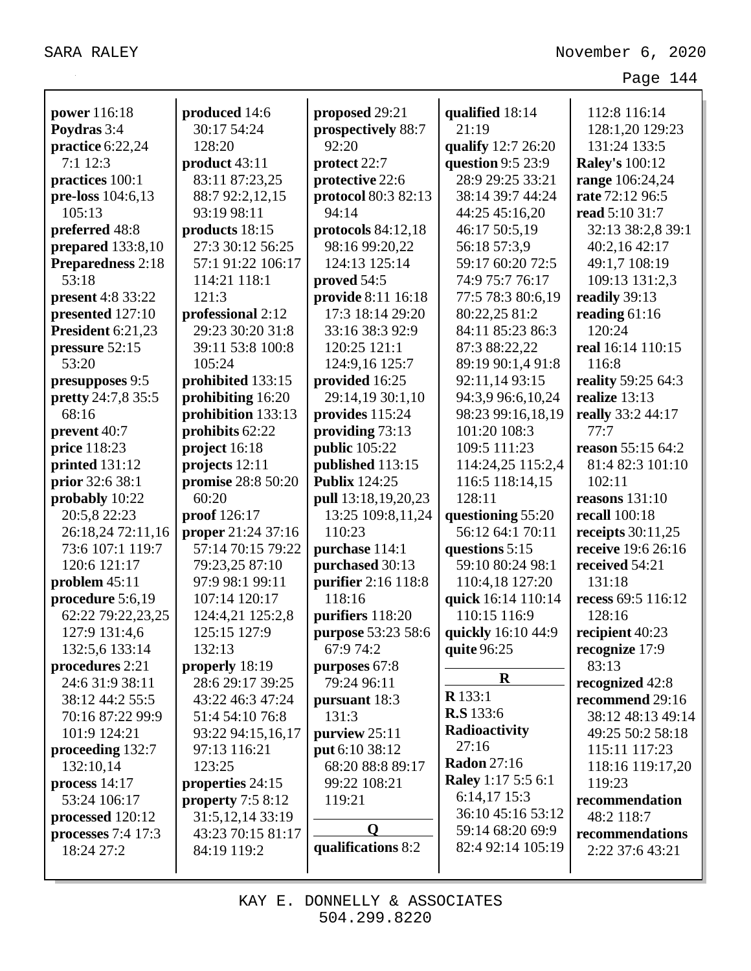| <b>power</b> 116:18      | produced 14:6                           | proposed 29:21       | qualified 18:14           | 112:8 116:14          |
|--------------------------|-----------------------------------------|----------------------|---------------------------|-----------------------|
| Poydras 3:4              | 30:17 54:24                             | prospectively 88:7   | 21:19                     | 128:1,20 129:23       |
| practice 6:22,24         | 128:20                                  | 92:20                | qualify 12:7 26:20        | 131:24 133:5          |
| $7:1$ 12:3               | product 43:11                           | protect 22:7         | question 9:5 23:9         | <b>Raley's 100:12</b> |
| practices 100:1          | 83:11 87:23,25                          | protective 22:6      | 28:9 29:25 33:21          | range 106:24,24       |
| pre-loss 104:6,13        | 88:7 92:2,12,15                         | protocol 80:3 82:13  | 38:14 39:7 44:24          | rate 72:12 96:5       |
| 105:13                   | 93:19 98:11                             | 94:14                | 44:25 45:16,20            | read 5:10 31:7        |
| preferred 48:8           | products 18:15                          | protocols $84:12,18$ | 46:17 50:5,19             | 32:13 38:2,8 39:1     |
| prepared $133:8,10$      | 27:3 30:12 56:25                        | 98:16 99:20,22       | 56:18 57:3,9              | 40:2,16 42:17         |
| Preparedness 2:18        | 57:1 91:22 106:17                       | 124:13 125:14        | 59:17 60:20 72:5          | 49:1,7 108:19         |
| 53:18                    | 114:21 118:1                            | proved 54:5          | 74:9 75:7 76:17           | 109:13 131:2,3        |
| <b>present</b> 4:8 33:22 | 121:3                                   | provide 8:11 16:18   | 77:5 78:3 80:6,19         | readily 39:13         |
| presented 127:10         | professional 2:12                       | 17:3 18:14 29:20     | 80:22,25 81:2             | reading $61:16$       |
| President 6:21,23        | 29:23 30:20 31:8                        | 33:16 38:3 92:9      | 84:11 85:23 86:3          | 120:24                |
| pressure 52:15           | 39:11 53:8 100:8                        | 120:25 121:1         | 87:3 88:22,22             | real 16:14 110:15     |
| 53:20                    | 105:24                                  | 124:9,16 125:7       | 89:19 90:1,4 91:8         | 116:8                 |
| presupposes 9:5          | prohibited 133:15                       | provided 16:25       | 92:11,14 93:15            | reality 59:25 64:3    |
| pretty 24:7,8 35:5       | prohibiting 16:20                       | 29:14,19 30:1,10     | 94:3,9 96:6,10,24         | realize $13:13$       |
| 68:16                    | prohibition 133:13                      | provides 115:24      | 98:23 99:16,18,19         | really 33:2 44:17     |
| prevent 40:7             | prohibits 62:22                         | providing 73:13      | 101:20 108:3              | 77:7                  |
| price 118:23             | project 16:18                           | public 105:22        | 109:5 111:23              | reason 55:15 64:2     |
| printed 131:12           | projects 12:11                          | published 113:15     | 114:24,25 115:2,4         | 81:4 82:3 101:10      |
| prior 32:6 38:1          | promise 28:8 50:20                      | <b>Publix 124:25</b> | 116:5 118:14,15           | 102:11                |
| probably 10:22           | 60:20                                   | pull 13:18,19,20,23  | 128:11                    | reasons $131:10$      |
| 20:5,8 22:23             | proof 126:17                            | 13:25 109:8,11,24    | questioning 55:20         | <b>recall</b> 100:18  |
| 26:18,24 72:11,16        | proper 21:24 37:16                      | 110:23               | 56:12 64:1 70:11          | receipts $30:11,25$   |
| 73:6 107:1 119:7         | 57:14 70:15 79:22                       | purchase 114:1       | questions 5:15            | receive 19:6 26:16    |
| 120:6 121:17             | 79:23,25 87:10                          | purchased 30:13      | 59:10 80:24 98:1          | received 54:21        |
| problem $45:11$          | 97:9 98:1 99:11                         | purifier 2:16 118:8  | 110:4,18 127:20           | 131:18                |
| procedure 5:6,19         | 107:14 120:17                           | 118:16               | quick 16:14 110:14        | recess 69:5 116:12    |
| 62:22 79:22,23,25        | 124:4,21 125:2,8                        | purifiers 118:20     | 110:15 116:9              | 128:16                |
| 127:9 131:4,6            | 125:15 127:9                            | purpose 53:23 58:6   | quickly 16:10 44:9        | recipient 40:23       |
| 132:5,6 133:14           | 132:13                                  | 67:9 74:2            | quite 96:25               | recognize 17:9        |
| procedures 2:21          | properly 18:19                          | purposes 67:8        |                           | 83:13                 |
| 24:6 31:9 38:11          | 28:6 29:17 39:25                        | 79:24 96:11          | $\mathbf R$               | recognized 42:8       |
| 38:12 44:2 55:5          | 43:22 46:3 47:24                        | pursuant 18:3        | $R$ 133:1                 | recommend 29:16       |
| 70:16 87:22 99:9         | 51:4 54:10 76:8                         | 131:3                | <b>R.S</b> 133:6          | 38:12 48:13 49:14     |
| 101:9 124:21             | 93:22 94:15,16,17                       | purview 25:11        | Radioactivity             | 49:25 50:2 58:18      |
| proceeding 132:7         | 97:13 116:21                            | put 6:10 38:12       | 27:16                     | 115:11 117:23         |
| 132:10,14                | 123:25                                  | 68:20 88:8 89:17     | <b>Radon</b> 27:16        | 118:16 119:17,20      |
| process $14:17$          | properties 24:15                        | 99:22 108:21         | <b>Raley</b> 1:17 5:5 6:1 | 119:23                |
| 53:24 106:17             | property $7:58:12$                      | 119:21               | 6:14,17 15:3              | recommendation        |
| processed 120:12         |                                         |                      | 36:10 45:16 53:12         | 48:2 118:7            |
| processes $7:4$ 17:3     | 31:5, 12, 14 33:19<br>43:23 70:15 81:17 | $\bf{0}$             | 59:14 68:20 69:9          | recommendations       |
| 18:24 27:2               |                                         | qualifications 8:2   | 82:4 92:14 105:19         | 2:22 37:6 43:21       |
|                          | 84:19 119:2                             |                      |                           |                       |
|                          |                                         |                      |                           |                       |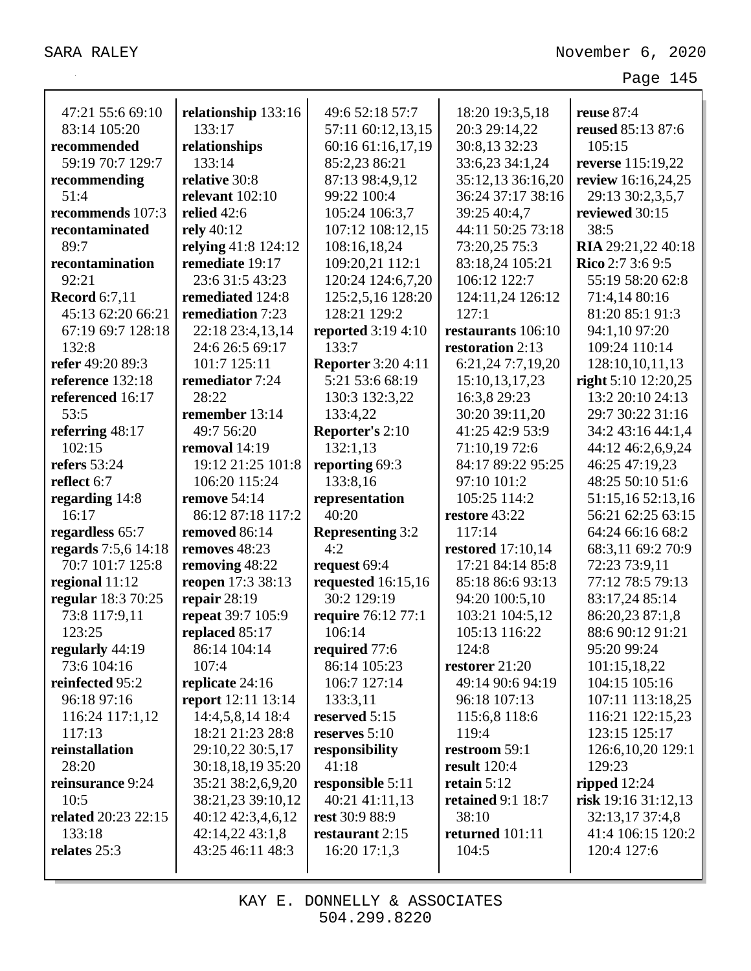| 47:21 55:6 69:10     | relationship 133:16       | 49:6 52:18 57:7           | 18:20 19:3,5,18          | <b>reuse</b> 87:4    |
|----------------------|---------------------------|---------------------------|--------------------------|----------------------|
| 83:14 105:20         | 133:17                    | 57:11 60:12,13,15         | 20:3 29:14,22            | reused 85:13 87:6    |
| recommended          | relationships             | 60:16 61:16,17,19         | 30:8,13 32:23            | 105:15               |
| 59:19 70:7 129:7     | 133:14                    | 85:2,23 86:21             | 33:6,23 34:1,24          | reverse 115:19,22    |
| recommending         | relative 30:8             | 87:13 98:4,9,12           | 35:12,13 36:16,20        | review 16:16,24,25   |
| 51:4                 | relevant $102:10$         | 99:22 100:4               | 36:24 37:17 38:16        | 29:13 30:2,3,5,7     |
| recommends 107:3     | relied $42:6$             | 105:24 106:3,7            | 39:25 40:4,7             | reviewed 30:15       |
| recontaminated       | rely 40:12                | 107:12 108:12,15          | 44:11 50:25 73:18        | 38:5                 |
| 89:7                 | relying 41:8 124:12       | 108:16,18,24              | 73:20,25 75:3            | RIA 29:21,22 40:18   |
| recontamination      | remediate 19:17           | 109:20,21 112:1           | 83:18,24 105:21          | Rico 2:7 3:6 9:5     |
| 92:21                | 23:6 31:5 43:23           | 120:24 124:6,7,20         | 106:12 122:7             | 55:19 58:20 62:8     |
| <b>Record</b> 6:7,11 | remediated 124:8          | 125:2,5,16 128:20         | 124:11,24 126:12         | 71:4,14 80:16        |
| 45:13 62:20 66:21    | remediation 7:23          | 128:21 129:2              | 127:1                    | 81:20 85:1 91:3      |
| 67:19 69:7 128:18    | 22:18 23:4,13,14          | <b>reported</b> 3:19 4:10 | restaurants 106:10       | 94:1,10 97:20        |
| 132:8                | 24:6 26:5 69:17           | 133:7                     | restoration 2:13         | 109:24 110:14        |
| refer 49:20 89:3     | 101:7 125:11              | <b>Reporter</b> 3:20 4:11 | 6:21,24 7:7,19,20        | 128:10,10,11,13      |
| reference 132:18     | remediator 7:24           | 5:21 53:6 68:19           | 15:10,13,17,23           | right 5:10 12:20,25  |
| referenced 16:17     | 28:22                     | 130:3 132:3,22            | 16:3,8 29:23             | 13:2 20:10 24:13     |
| 53:5                 | remember 13:14            | 133:4,22                  | 30:20 39:11,20           | 29:7 30:22 31:16     |
| referring 48:17      | 49:7 56:20                | <b>Reporter's 2:10</b>    | 41:25 42:9 53:9          | 34:2 43:16 44:1,4    |
| 102:15               | removal $14:19$           | 132:1,13                  | 71:10,19 72:6            | 44:12 46:2,6,9,24    |
| refers $53:24$       | 19:12 21:25 101:8         | reporting 69:3            | 84:17 89:22 95:25        | 46:25 47:19,23       |
| reflect 6:7          | 106:20 115:24             | 133:8,16                  | 97:10 101:2              | 48:25 50:10 51:6     |
| regarding 14:8       | <b>remove</b> 54:14       | representation            | 105:25 114:2             | 51:15,16 52:13,16    |
| 16:17                | 86:12 87:18 117:2         | 40:20                     | restore 43:22            | 56:21 62:25 63:15    |
| regardless 65:7      | removed 86:14             | <b>Representing 3:2</b>   | 117:14                   | 64:24 66:16 68:2     |
| regards 7:5,6 14:18  | removes 48:23             | 4:2                       | <b>restored</b> 17:10,14 | 68:3,11 69:2 70:9    |
| 70:7 101:7 125:8     | removing 48:22            | request 69:4              | 17:21 84:14 85:8         | 72:23 73:9,11        |
| regional 11:12       | reopen 17:3 38:13         | requested $16:15,16$      | 85:18 86:6 93:13         | 77:12 78:5 79:13     |
| regular 18:3 70:25   | repair $28:19$            | 30:2 129:19               | 94:20 100:5,10           | 83:17,24 85:14       |
| 73:8 117:9,11        | repeat 39:7 105:9         | require 76:12 77:1        | 103:21 104:5,12          | 86:20,23 87:1,8      |
| 123:25               | replaced 85:17            | 106:14                    | 105:13 116:22            | 88:6 90:12 91:21     |
| regularly 44:19      | 86:14 104:14              | required 77:6             | 124:8                    | 95:20 99:24          |
| 73:6 104:16          | 107:4                     | 86:14 105:23              | restorer $21:20$         | 101:15,18,22         |
| reinfected 95:2      | replicate 24:16           | 106:7 127:14              | 49:14 90:6 94:19         | 104:15 105:16        |
| 96:18 97:16          | <b>report</b> 12:11 13:14 | 133:3,11                  | 96:18 107:13             | 107:11 113:18,25     |
| 116:24 117:1,12      | 14:4,5,8,14 18:4          | reserved 5:15             | 115:6,8 118:6            | 116:21 122:15,23     |
| 117:13               | 18:21 21:23 28:8          | reserves $5:10$           | 119:4                    | 123:15 125:17        |
| reinstallation       | 29:10,22 30:5,17          | responsibility            | restroom 59:1            | 126:6, 10, 20 129:1  |
| 28:20                | 30:18,18,19 35:20         | 41:18                     | <b>result</b> 120:4      | 129:23               |
| reinsurance 9:24     | 35:21 38:2,6,9,20         | responsible 5:11          | retain $5:12$            | ripped $12:24$       |
| 10:5                 | 38:21,23 39:10,12         | 40:21 41:11,13            | <b>retained 9:1 18:7</b> | risk $19:1631:12,13$ |
| related 20:23 22:15  | 40:12 42:3,4,6,12         | rest 30:9 88:9            | 38:10                    | 32:13,17 37:4,8      |
| 133:18               | 42:14,22 43:1,8           | restaurant 2:15           | returned 101:11          | 41:4 106:15 120:2    |
| relates 25:3         | 43:25 46:11 48:3          | $16:20$ 17:1,3            | 104:5                    | 120:4 127:6          |
|                      |                           |                           |                          |                      |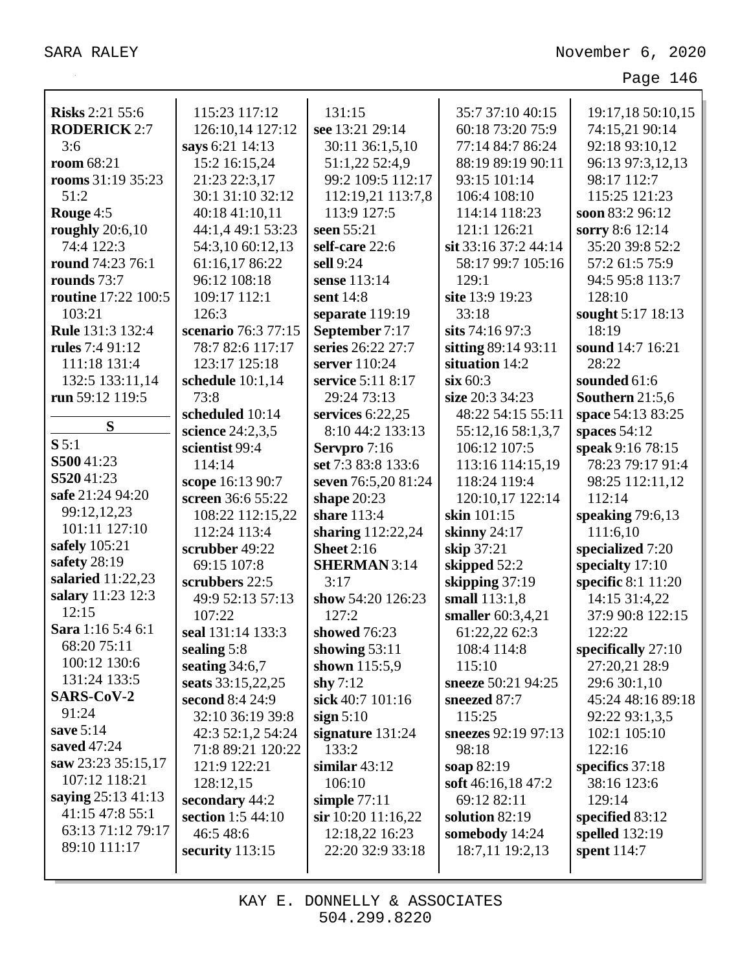| <b>Risks 2:21 55:6</b> | 115:23 117:12       | 131:15                | 35:7 37:10 40:15     | 19:17,18 50:10,15    |
|------------------------|---------------------|-----------------------|----------------------|----------------------|
| <b>RODERICK 2:7</b>    | 126:10,14 127:12    | see 13:21 29:14       | 60:18 73:20 75:9     | 74:15,21 90:14       |
| 3:6                    | says 6:21 14:13     | 30:11 36:1,5,10       | 77:14 84:7 86:24     | 92:18 93:10,12       |
| room 68:21             | 15:2 16:15,24       | 51:1,22 52:4,9        | 88:19 89:19 90:11    | 96:13 97:3,12,13     |
| rooms 31:19 35:23      | 21:23 22:3,17       | 99:2 109:5 112:17     | 93:15 101:14         | 98:17 112:7          |
| 51:2                   | 30:1 31:10 32:12    | 112:19,21 113:7,8     | 106:4 108:10         | 115:25 121:23        |
| Rouge 4:5              | 40:18 41:10,11      | 113:9 127:5           | 114:14 118:23        | soon 83:2 96:12      |
| roughly $20:6,10$      | 44:1,4 49:1 53:23   | seen 55:21            | 121:1 126:21         | sorry 8:6 12:14      |
| 74:4 122:3             | 54:3,10 60:12,13    | self-care 22:6        | sit 33:16 37:2 44:14 | 35:20 39:8 52:2      |
| round 74:23 76:1       | 61:16,17 86:22      | sell 9:24             | 58:17 99:7 105:16    | 57:2 61:5 75:9       |
| rounds 73:7            | 96:12 108:18        | sense 113:14          | 129:1                | 94:5 95:8 113:7      |
| routine 17:22 100:5    | 109:17 112:1        | sent 14:8             | site 13:9 19:23      | 128:10               |
| 103:21                 | 126:3               | separate 119:19       | 33:18                | sought 5:17 18:13    |
| Rule 131:3 132:4       | scenario 76:3 77:15 | September 7:17        | sits 74:16 97:3      | 18:19                |
| rules 7:4 91:12        | 78:7 82:6 117:17    | series 26:22 27:7     | sitting 89:14 93:11  | sound 14:7 16:21     |
| 111:18 131:4           | 123:17 125:18       | server 110:24         | situation 14:2       | 28:22                |
| 132:5 133:11,14        | schedule 10:1,14    | service 5:11 8:17     | $\sin 60:3$          | sounded 61:6         |
| run 59:12 119:5        | 73:8                | 29:24 73:13           | size 20:3 34:23      | Southern 21:5,6      |
|                        | scheduled 10:14     | services 6:22,25      | 48:22 54:15 55:11    | space 54:13 83:25    |
| S                      | science 24:2,3,5    | 8:10 44:2 133:13      | 55:12,16 58:1,3,7    | spaces $54:12$       |
| S 5:1                  | scientist 99:4      | Servpro 7:16          | 106:12 107:5         | speak 9:16 78:15     |
| S50041:23              | 114:14              | set 7:3 83:8 133:6    | 113:16 114:15,19     | 78:23 79:17 91:4     |
| S52041:23              | scope 16:13 90:7    | seven 76:5,20 81:24   | 118:24 119:4         | 98:25 112:11,12      |
| safe 21:24 94:20       | screen 36:6 55:22   | shape $20:23$         | 120:10,17 122:14     | 112:14               |
| 99:12,12,23            | 108:22 112:15,22    | share 113:4           | skin 101:15          | speaking $79:6,13$   |
| 101:11 127:10          | 112:24 113:4        | sharing 112:22,24     | skinny $24:17$       | 111:6,10             |
| safely 105:21          | scrubber 49:22      | <b>Sheet</b> 2:16     | skip 37:21           | specialized 7:20     |
| safety 28:19           | 69:15 107:8         | <b>SHERMAN</b> 3:14   | skipped 52:2         | specialty 17:10      |
| salaried $11:22,23$    | scrubbers 22:5      | 3:17                  | skipping 37:19       | specific 8:1 11:20   |
| salary 11:23 12:3      | 49:9 52:13 57:13    | show 54:20 126:23     | small 113:1,8        | 14:15 31:4,22        |
| 12:15                  | 107:22              | 127:2                 | smaller 60:3,4,21    | 37:9 90:8 122:15     |
| Sara 1:16 5:4 6:1      | seal 131:14 133:3   | showed 76:23          | 61:22,22 62:3        | 122:22               |
| 68:20 75:11            | sealing $5:8$       | showing $53:11$       | 108:4 114:8          | specifically $27:10$ |
| 100:12 130:6           | seating $34:6,7$    | shown 115:5,9         | 115:10               | 27:20,21 28:9        |
| 131:24 133:5           | seats 33:15,22,25   | shy $7:12$            | sneeze 50:21 94:25   | 29:6 30:1,10         |
| SARS-CoV-2             | second 8:4 24:9     | sick 40:7 101:16      | sneezed 87:7         | 45:24 48:16 89:18    |
| 91:24                  | 32:10 36:19 39:8    | sign $5:10$           | 115:25               | 92:22 93:1,3,5       |
| save 5:14              | 42:3 52:1,2 54:24   | signature $131:24$    | sneezes 92:19 97:13  | 102:1 105:10         |
| saved 47:24            | 71:8 89:21 120:22   | 133:2                 | 98:18                | 122:16               |
| saw 23:23 35:15,17     | 121:9 122:21        | similar $43:12$       | soap 82:19           | specifics 37:18      |
| 107:12 118:21          | 128:12,15           | 106:10                | soft 46:16,18 47:2   | 38:16 123:6          |
| saying 25:13 41:13     | secondary 44:2      | simple $77:11$        | 69:12 82:11          | 129:14               |
| 41:15 47:8 55:1        | section 1:5 44:10   | $\sin 10:20$ 11:16,22 | solution $82:19$     | specified $83:12$    |
| 63:13 71:12 79:17      | 46:5 48:6           | 12:18,22 16:23        | somebody 14:24       | spelled 132:19       |
| 89:10 111:17           | security $113:15$   | 22:20 32:9 33:18      | 18:7,11 19:2,13      | spent $114:7$        |
|                        |                     |                       |                      |                      |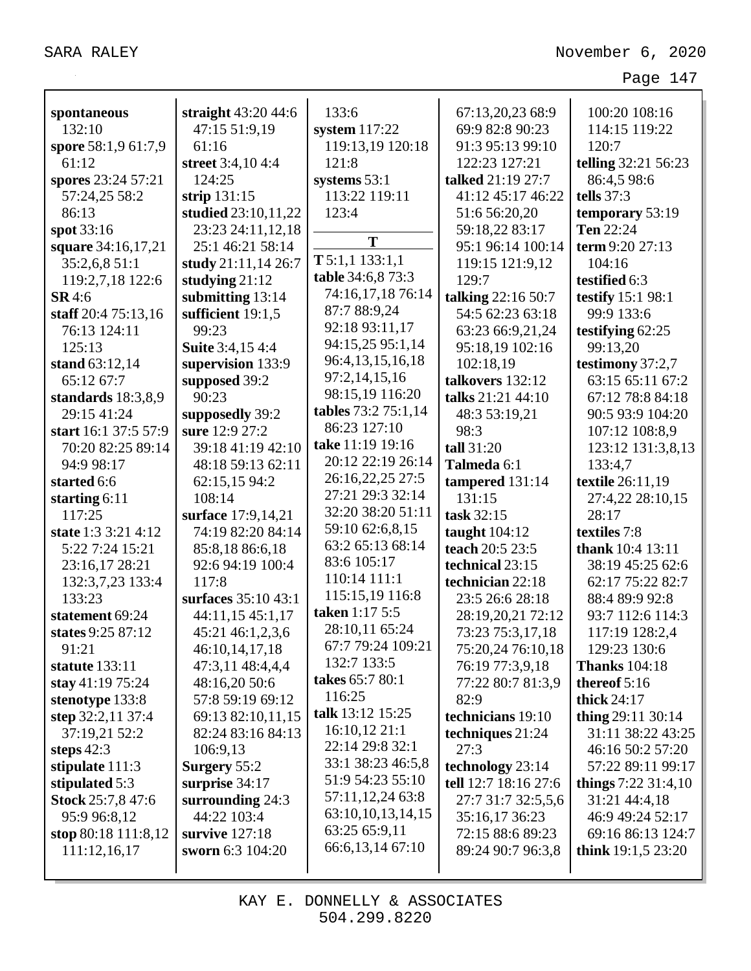| spontaneous              | straight 43:20 44:6     | 133:6                | 67:13,20,23 68:9     | 100:20 108:16          |
|--------------------------|-------------------------|----------------------|----------------------|------------------------|
| 132:10                   | 47:15 51:9,19           | system $117:22$      | 69:9 82:8 90:23      | 114:15 119:22          |
| spore 58:1,9 61:7,9      | 61:16                   | 119:13,19 120:18     | 91:3 95:13 99:10     | 120:7                  |
| 61:12                    | street 3:4,10 4:4       | 121:8                | 122:23 127:21        | telling 32:21 56:23    |
| spores 23:24 57:21       | 124:25                  | systems 53:1         | talked 21:19 27:7    | 86:4,5 98:6            |
| 57:24,25 58:2            | strip $131:15$          | 113:22 119:11        | 41:12 45:17 46:22    | tells $37:3$           |
| 86:13                    | studied 23:10,11,22     | 123:4                | 51:6 56:20,20        | temporary 53:19        |
| spot 33:16               | 23:23 24:11,12,18       |                      | 59:18,22 83:17       | Ten 22:24              |
| square 34:16,17,21       | 25:1 46:21 58:14        | T                    | 95:1 96:14 100:14    | term 9:20 27:13        |
| 35:2,6,8 51:1            | study 21:11,14 26:7     | $T$ 5:1,1 133:1,1    | 119:15 121:9,12      | 104:16                 |
| 119:2,7,18 122:6         | studying $21:12$        | table 34:6,8 73:3    | 129:7                | testified 6:3          |
| SR4:6                    | submitting 13:14        | 74:16,17,18 76:14    | talking 22:16 50:7   | testify 15:1 98:1      |
| staff $20:475:13,16$     | sufficient $19:1,5$     | 87:7 88:9,24         | 54:5 62:23 63:18     | 99:9 133:6             |
| 76:13 124:11             | 99:23                   | 92:18 93:11,17       | 63:23 66:9,21,24     | testifying 62:25       |
| 125:13                   | <b>Suite 3:4,15 4:4</b> | 94:15,25 95:1,14     | 95:18,19 102:16      | 99:13,20               |
| stand $63:12,14$         | supervision 133:9       | 96:4, 13, 15, 16, 18 | 102:18,19            | testimony 37:2,7       |
| 65:12 67:7               | supposed 39:2           | 97:2,14,15,16        | talkovers 132:12     | 63:15 65:11 67:2       |
| standards $18:3,8,9$     | 90:23                   | 98:15,19 116:20      | talks 21:21 44:10    | 67:12 78:8 84:18       |
| 29:15 41:24              | supposedly 39:2         | tables 73:2 75:1,14  | 48:3 53:19,21        | 90:5 93:9 104:20       |
| start 16:1 37:5 57:9     | sure 12:9 27:2          | 86:23 127:10         | 98:3                 | 107:12 108:8,9         |
| 70:20 82:25 89:14        | 39:18 41:19 42:10       | take 11:19 19:16     | tall 31:20           | 123:12 131:3,8,13      |
| 94:9 98:17               | 48:18 59:13 62:11       | 20:12 22:19 26:14    | Talmeda 6:1          | 133:4,7                |
| started 6:6              | 62:15,15 94:2           | 26:16,22,25 27:5     | tampered $131:14$    | textile 26:11,19       |
| starting 6:11            | 108:14                  | 27:21 29:3 32:14     | 131:15               | 27:4,22 28:10,15       |
| 117:25                   | surface 17:9,14,21      | 32:20 38:20 51:11    | task 32:15           | 28:17                  |
| state 1:3 3:21 4:12      | 74:19 82:20 84:14       | 59:10 62:6,8,15      | taught $104:12$      | textiles 7:8           |
| 5:22 7:24 15:21          | 85:8,18 86:6,18         | 63:2 65:13 68:14     | teach 20:5 23:5      | thank 10:4 13:11       |
| 23:16,17 28:21           | 92:6 94:19 100:4        | 83:6 105:17          | technical 23:15      | 38:19 45:25 62:6       |
| 132:3,7,23 133:4         | 117:8                   | 110:14 111:1         | technician 22:18     | 62:17 75:22 82:7       |
| 133:23                   | surfaces 35:10 43:1     | 115:15,19 116:8      | 23:5 26:6 28:18      | 88:4 89:9 92:8         |
| statement 69:24          | 44:11,15 45:1,17        | taken 1:17 5:5       | 28:19,20,21 72:12    | 93:7 112:6 114:3       |
| states 9:25 87:12        | 45:21 46:1,2,3,6        | 28:10,11 65:24       | 73:23 75:3,17,18     | 117:19 128:2,4         |
| 91:21                    | 46:10,14,17,18          | 67:7 79:24 109:21    | 75:20,24 76:10,18    | 129:23 130:6           |
| statute 133:11           | 47:3,11 48:4,4,4        | 132:7 133:5          | 76:19 77:3,9,18      | <b>Thanks</b> 104:18   |
| stay 41:19 75:24         | 48:16,20 50:6           | takes 65:7 80:1      | 77:22 80:7 81:3,9    | thereof $5:16$         |
| stenotype 133:8          | 57:8 59:19 69:12        | 116:25               | 82:9                 | thick $24:17$          |
| step 32:2,11 37:4        | 69:13 82:10,11,15       | talk 13:12 15:25     | technicians 19:10    | thing $29:11 \ 30:14$  |
| 37:19,21 52:2            | 82:24 83:16 84:13       | 16:10,12 21:1        | techniques 21:24     | 31:11 38:22 43:25      |
| steps $42:3$             | 106:9,13                | 22:14 29:8 32:1      | 27:3                 | 46:16 50:2 57:20       |
| stipulate $111:3$        | <b>Surgery 55:2</b>     | 33:1 38:23 46:5,8    | technology 23:14     | 57:22 89:11 99:17      |
| stipulated 5:3           | surprise 34:17          | 51:9 54:23 55:10     | tell 12:7 18:16 27:6 | things $7:22\,31:4,10$ |
| <b>Stock</b> 25:7,8 47:6 | surrounding 24:3        | 57:11,12,24 63:8     | 27:7 31:7 32:5,5,6   | 31:21 44:4,18          |
| 95:9 96:8,12             | 44:22 103:4             | 63:10,10,13,14,15    | 35:16,17 36:23       | 46:9 49:24 52:17       |
| stop 80:18 111:8,12      | survive 127:18          | 63:25 65:9,11        | 72:15 88:6 89:23     | 69:16 86:13 124:7      |
| 111:12,16,17             | sworn 6:3 104:20        | 66:6,13,14 67:10     | 89:24 90:7 96:3,8    | think $19:1,523:20$    |
|                          |                         |                      |                      |                        |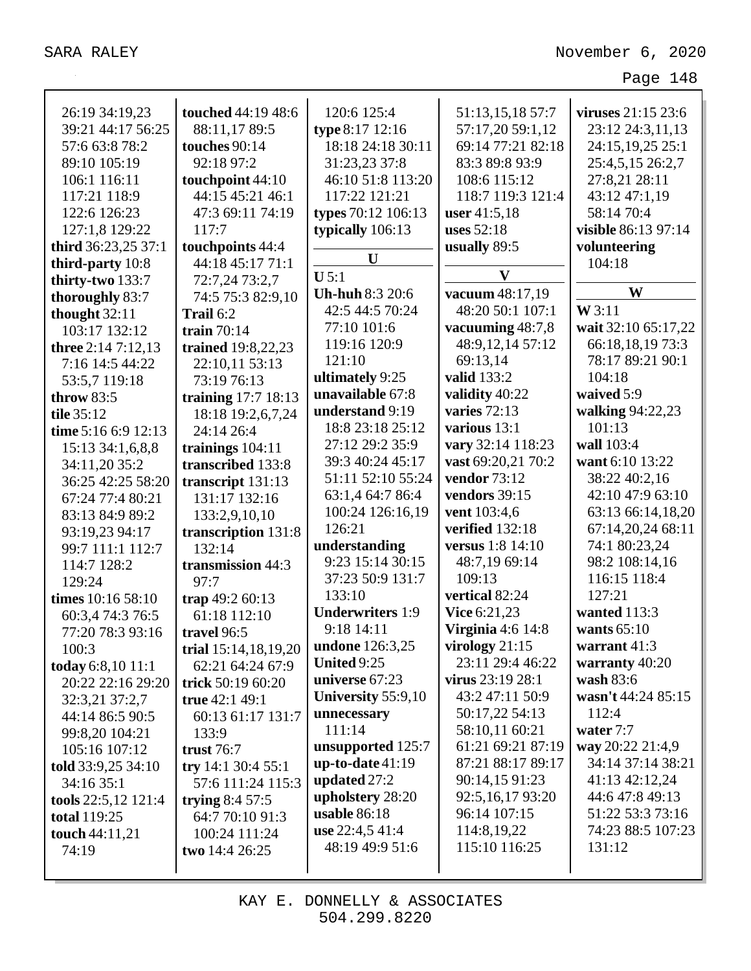| 26:19 34:19,23      | touched 44:19 48:6     | 120:6 125:4             | 51:13,15,18 57:7         | viruses $21:15\,23:6$ |
|---------------------|------------------------|-------------------------|--------------------------|-----------------------|
| 39:21 44:17 56:25   | 88:11,17 89:5          | type 8:17 12:16         | 57:17,20 59:1,12         | 23:12 24:3,11,13      |
| 57:6 63:8 78:2      | touches 90:14          | 18:18 24:18 30:11       | 69:14 77:21 82:18        | 24:15,19,25 25:1      |
| 89:10 105:19        | 92:18 97:2             | 31:23,23 37:8           | 83:3 89:8 93:9           | 25:4,5,15 26:2,7      |
| 106:1 116:11        | touchpoint 44:10       | 46:10 51:8 113:20       | 108:6 115:12             | 27:8,21 28:11         |
| 117:21 118:9        | 44:15 45:21 46:1       | 117:22 121:21           | 118:7 119:3 121:4        | 43:12 47:1,19         |
| 122:6 126:23        | 47:3 69:11 74:19       | types 70:12 106:13      | user $41:5,18$           | 58:14 70:4            |
| 127:1,8 129:22      | 117:7                  | typically 106:13        | uses 52:18               | visible 86:13 97:14   |
| third 36:23,25 37:1 | touchpoints 44:4       |                         | usually 89:5             | volunteering          |
| third-party 10:8    | 44:18 45:17 71:1       | U                       |                          | 104:18                |
| thirty-two 133:7    | 72:7,24 73:2,7         | $U$ 5:1                 | V                        |                       |
| thoroughly 83:7     | 74:5 75:3 82:9,10      | Uh-huh 8:3 20:6         | vacuum 48:17,19          | W                     |
| thought 32:11       | Trail 6:2              | 42:5 44:5 70:24         | 48:20 50:1 107:1         | W3:11                 |
| 103:17 132:12       | train $70:14$          | 77:10 101:6             | vacuuming 48:7,8         | wait 32:10 65:17,22   |
| three $2:147:12,13$ | trained 19:8,22,23     | 119:16 120:9            | 48:9,12,14 57:12         | 66:18,18,19 73:3      |
| 7:16 14:5 44:22     | 22:10,11 53:13         | 121:10                  | 69:13,14                 | 78:17 89:21 90:1      |
| 53:5,7 119:18       | 73:19 76:13            | ultimately 9:25         | valid 133:2              | 104:18                |
| throw $83:5$        | training 17:7 18:13    | unavailable 67:8        | validity 40:22           | waived 5:9            |
| tile 35:12          | 18:18 19:2,6,7,24      | understand 9:19         | varies $72:13$           | walking 94:22,23      |
| time 5:16 6:9 12:13 | 24:14 26:4             | 18:8 23:18 25:12        | various 13:1             | 101:13                |
| 15:13 34:1,6,8,8    | trainings 104:11       | 27:12 29:2 35:9         | vary 32:14 118:23        | wall 103:4            |
| 34:11,20 35:2       | transcribed 133:8      | 39:3 40:24 45:17        | vast 69:20,21 70:2       | want 6:10 13:22       |
| 36:25 42:25 58:20   | transcript 131:13      | 51:11 52:10 55:24       | vendor 73:12             | 38:22 40:2,16         |
| 67:24 77:4 80:21    | 131:17 132:16          | 63:1,4 64:7 86:4        | vendors 39:15            | 42:10 47:9 63:10      |
| 83:13 84:9 89:2     | 133:2,9,10,10          | 100:24 126:16,19        | vent 103:4,6             | 63:13 66:14,18,20     |
| 93:19,23 94:17      | transcription 131:8    | 126:21                  | verified 132:18          | 67:14,20,24 68:11     |
| 99:7 111:1 112:7    | 132:14                 | understanding           | <b>versus</b> 1:8 14:10  | 74:1 80:23,24         |
| 114:7 128:2         | transmission 44:3      | 9:23 15:14 30:15        | 48:7,19 69:14            | 98:2 108:14,16        |
| 129:24              | 97:7                   | 37:23 50:9 131:7        | 109:13                   | 116:15 118:4          |
| times 10:16 58:10   | trap 49:2 60:13        | 133:10                  | vertical 82:24           | 127:21                |
| 60:3,4 74:3 76:5    | 61:18 112:10           | <b>Underwriters 1:9</b> | Vice 6:21,23             | wanted 113:3          |
| 77:20 78:3 93:16    | travel 96:5            | 9:18 14:11              | <b>Virginia</b> 4:6 14:8 | wants $65:10$         |
| 100:3               | trial $15:14,18,19,20$ | undone 126:3,25         | virology $21:15$         | warrant 41:3          |
| today 6:8,10 11:1   | 62:21 64:24 67:9       | United 9:25             | 23:11 29:4 46:22         | warranty 40:20        |
| 20:22 22:16 29:20   | trick 50:19 60:20      | universe 67:23          | virus $23:19\,28:1$      | wash 83:6             |
| 32:3,21 37:2,7      | true 42:1 49:1         | University 55:9,10      | 43:2 47:11 50:9          | wasn't 44:24 85:15    |
| 44:14 86:5 90:5     | 60:13 61:17 131:7      | unnecessary             | 50:17,22 54:13           | 112:4                 |
| 99:8,20 104:21      | 133:9                  | 111:14                  | 58:10,11 60:21           | water 7:7             |
| 105:16 107:12       | trust $76:7$           | unsupported 125:7       | 61:21 69:21 87:19        | way 20:22 21:4,9      |
| told 33:9,25 34:10  | try $14:130:455:1$     | $up-to-date 41:19$      | 87:21 88:17 89:17        | 34:14 37:14 38:21     |
| 34:16 35:1          | 57:6 111:24 115:3      | updated 27:2            | 90:14,15 91:23           | 41:13 42:12,24        |
| tools 22:5,12 121:4 | trying $8:457:5$       | upholstery 28:20        | 92:5,16,17 93:20         | 44:6 47:8 49:13       |
| <b>total</b> 119:25 | 64:7 70:10 91:3        | usable 86:18            | 96:14 107:15             | 51:22 53:3 73:16      |
| touch 44:11,21      | 100:24 111:24          | use 22:4,5 41:4         | 114:8,19,22              | 74:23 88:5 107:23     |
| 74:19               | two $14:426:25$        | 48:19 49:9 51:6         | 115:10 116:25            | 131:12                |
|                     |                        |                         |                          |                       |